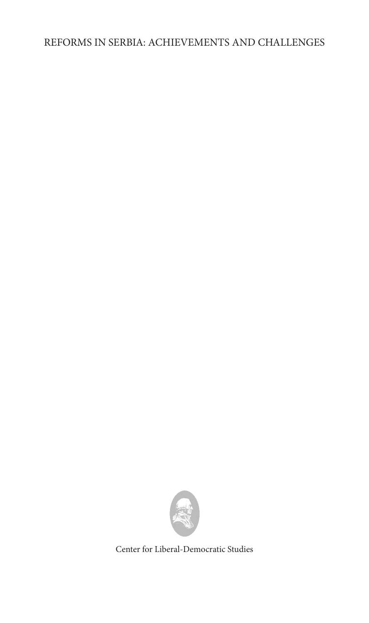### REFORMS IN SERBIA: ACHIEVEMENTS AND CHALLENGES



Center for Liberal-Democratic Studies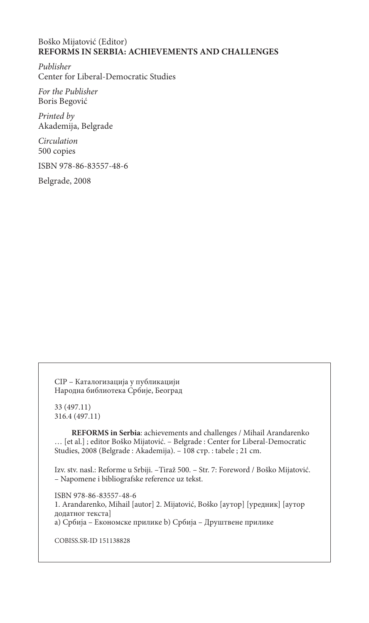#### Boško Mijatović (Editor) **REFORMS IN SERBIA: ACHIEVEMENTS AND CHALLENGES**

*Publisher* Center for Liberal-Democratic Studies

*For the Publisher* Boris Begović

*Printed by* Akademija, Belgrade

*Circulation* 500 copies

ISBN 978-86-83557-48-6

Belgrade, 2008

CIP – Каталогизација у публикацији Народна библиотека Србије, Београд

33 (497.11) 316.4 (497.11)

**REFORMS in Serbia**: achievements and challenges / Mihail Arandarenko … [et al.] ; editor Boško Mijatović. – Belgrade : Center for Liberal-Democratic Studies, 2008 (Belgrade : Akademija). – 108 стр. : tabele ; 21 cm.

Izv. stv. nasl.: Reforme u Srbiji. –Tiraž 500. – Str. 7: Foreword / Boško Mijatović. – Napomene i bibliografske reference uz tekst.

ISBN 978-86-83557-48-6 1. Arandarenko, Mihail [autor] 2. Mijatović, Boško [аутор] [уредник] [аутор додатног текста] a) Србија – Економске прилике b) Србија – Друштвене прилике

COBISS.SR-ID 151138828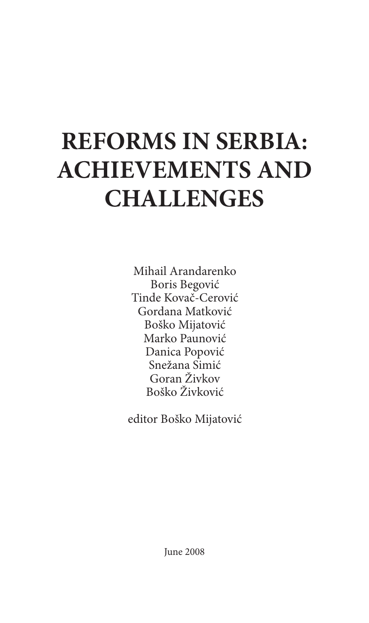# **REFORMS IN SERBIA: ACHIEVEMENTS AND CHALLENGES**

Mihail Arandarenko Boris Begović Tinde Kovač-Cerović Gordana Matković Boško Mijatović Marko Paunović Danica Popović Snežana Simić Goran Živkov Boško Živković

editor Boško Mijatović

June 2008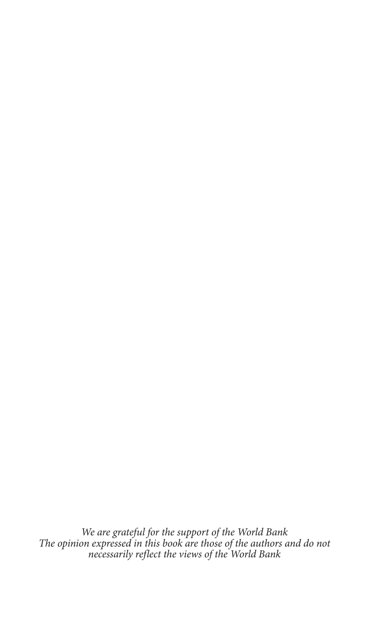*We are grateful for the support of the World Bank The opinion expressed in this book are those of the authors and do not necessarily reflect the views of the World Bank*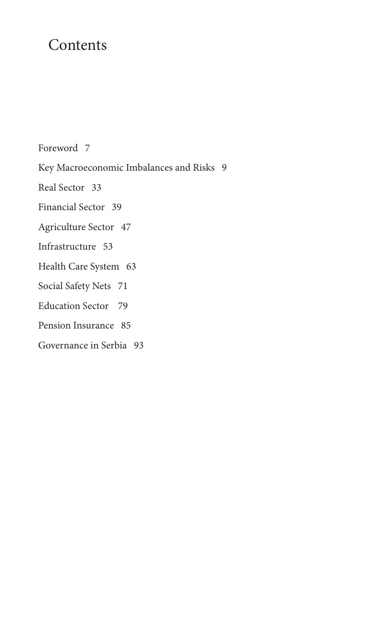## Contents

Foreword 7

Key Macroeconomic Imbalances and Risks 9

Real Sector 33

Financial Sector 39

Agriculture Sector 47

Infrastructure 53

Health Care System 63

Social Safety Nets 71

Education Sector 79

Pension Insurance 85

Governance in Serbia 93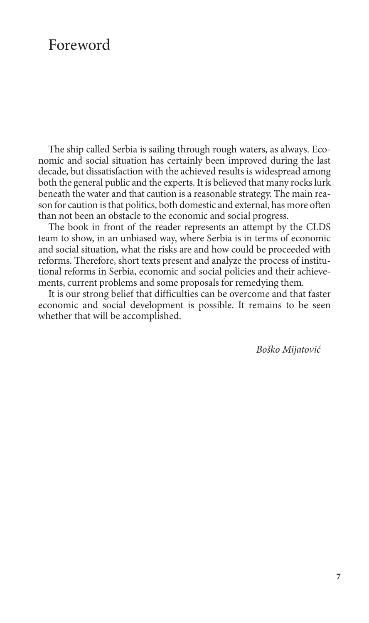### Foreword

The ship called Serbia is sailing through rough waters, as always. Economic and social situation has certainly been improved during the last decade, but dissatisfaction with the achieved results is widespread among both the general public and the experts. It is believed that many rocks lurk beneath the water and that caution is a reasonable strategy. The main reason for caution is that politics, both domestic and external, has more often than not been an obstacle to the economic and social progress.

The book in front of the reader represents an attempt by the CLDS team to show, in an unbiased way, where Serbia is in terms of economic and social situation, what the risks are and how could be proceeded with reforms. Therefore, short texts present and analyze the process of institutional reforms in Serbia, economic and social policies and their achievements, current problems and some proposals for remedying them.

It is our strong belief that difficulties can be overcome and that faster economic and social development is possible. It remains to be seen whether that will be accomplished.

*Boško Mijatović*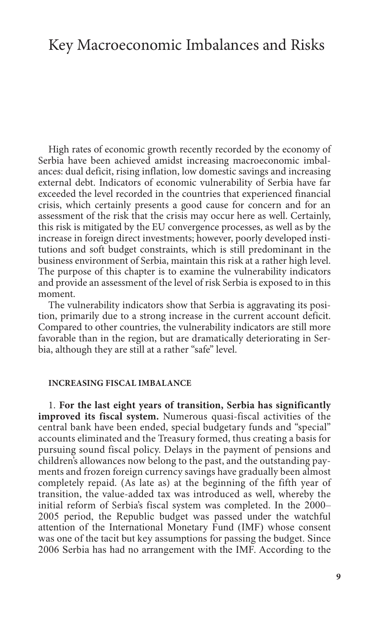### Key Macroeconomic Imbalances and Risks

High rates of economic growth recently recorded by the economy of Serbia have been achieved amidst increasing macroeconomic imbalances: dual deficit, rising inflation, low domestic savings and increasing external debt. Indicators of economic vulnerability of Serbia have far exceeded the level recorded in the countries that experienced financial crisis, which certainly presents a good cause for concern and for an assessment of the risk that the crisis may occur here as well. Certainly, this risk is mitigated by the EU convergence processes, as well as by the increase in foreign direct investments; however, poorly developed institutions and soft budget constraints, which is still predominant in the business environment of Serbia, maintain this risk at a rather high level. The purpose of this chapter is to examine the vulnerability indicators and provide an assessment of the level of risk Serbia is exposed to in this moment.

The vulnerability indicators show that Serbia is aggravating its position, primarily due to a strong increase in the current account deficit. Compared to other countries, the vulnerability indicators are still more favorable than in the region, but are dramatically deteriorating in Serbia, although they are still at a rather "safe" level.

#### **Increasing fiscal imbalance**

1. **For the last eight years of transition, Serbia has significantly improved its fiscal system.** Numerous quasi-fiscal activities of the central bank have been ended, special budgetary funds and "special" accounts eliminated and the Treasury formed, thus creating a basis for pursuing sound fiscal policy. Delays in the payment of pensions and children's allowances now belong to the past, and the outstanding payments and frozen foreign currency savings have gradually been almost completely repaid. (As late as) at the beginning of the fifth year of transition, the value-added tax was introduced as well, whereby the initial reform of Serbia's fiscal system was completed. In the 2000– 2005 period, the Republic budget was passed under the watchful attention of the International Monetary Fund (IMF) whose consent was one of the tacit but key assumptions for passing the budget. Since 2006 Serbia has had no arrangement with the IMF. According to the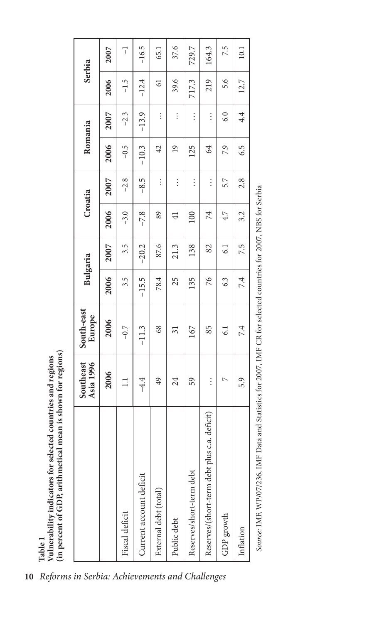|                                              | Asia 1996<br>Southeast | South-east<br>Europe |         | Bulgaria |                 | Croatia  |                 | Romania  |                | Serbia         |
|----------------------------------------------|------------------------|----------------------|---------|----------|-----------------|----------|-----------------|----------|----------------|----------------|
|                                              | 2006                   | 2006                 | 2006    | 2007     | 2006            | 2007     | 2006            | 2007     | 2006           | 2007           |
| Fiscal deficit                               | $\Xi$                  | $-0.7$               | 3.5     | 3.5      | $-3.0$          | $-2.8$   | $-0.5$          | $-2.3$   | $-1.5$         | $\overline{1}$ |
| Current account deficit                      | $-4.4$                 | $-11.3$              | $-15.5$ | $-20.2$  | $-7.8$          | $-8.5$   | $-10.3$         | $-13.9$  | $-12.4$        | $-16.5$        |
| External debt (total)                        | 49                     | 68                   | 78.4    | 87.6     | 89              | $\vdots$ | 42              | $\vdots$ | $\overline{6}$ | 65.1           |
| Public debt                                  | 24                     | $\overline{31}$      | 25      | 21.3     | $\overline{41}$ | $\vdots$ | $\overline{19}$ | $\vdots$ | 39.6           | 37.6           |
| Reserves/short-term debt                     | 59                     | 167                  | 135     | 138      | 100             | $\vdots$ | 125             | $\vdots$ | 717.3          | 729.7          |
| Reserves/(short-term debt plus c.a. deficit) | $\vdots$               | 85                   | 76      | 82       | 74              | $\vdots$ | $\mathcal{L}$   | $\vdots$ | 219            | 164.3          |
| GDP growth                                   | $\overline{ }$         | $\overline{61}$      | 6.3     | 6.1      | 4.7             | 5.7      | 7.9             | 6.0      | 5.6            | 7.5            |
| Inflation                                    | 5.9                    | 7.4                  | 7.4     | 7.5      | 3.2             | 2.8      | 6.5             | 4.4      | 12.7           | 10.1           |

Source: IME, WP/07/236, IMF Data and Statistics for 2007, IMF CR for selected countries for 2007, NBS for Serbia *Source:* IMF, WP/07/236, IMF Data and Statistics for 2007, IMF CR for selected countries for 2007, NBS for Serbia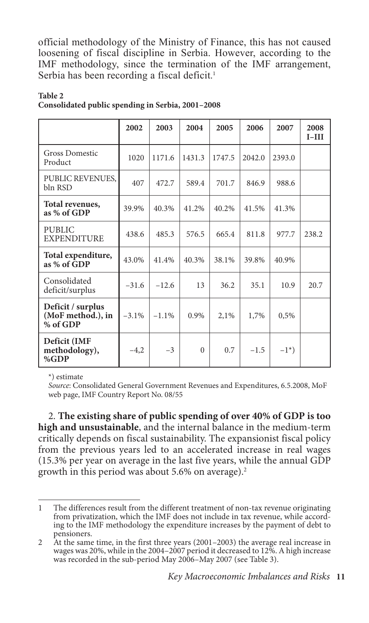official methodology of the Ministry of Finance, this has not caused loosening of fiscal discipline in Serbia. However, according to the IMF methodology, since the termination of the IMF arrangement, Serbia has been recording a fiscal deficit. 1

|                                                    | 2002     | 2003     | 2004     | 2005   | 2006   | 2007       | 2008<br>$I-III$ |
|----------------------------------------------------|----------|----------|----------|--------|--------|------------|-----------------|
| <b>Gross Domestic</b><br>Product                   | 1020     | 1171.6   | 1431.3   | 1747.5 | 2042.0 | 2393.0     |                 |
| PUBLIC REVENUES,<br>bln RSD                        | 407      | 472.7    | 589.4    | 701.7  | 846.9  | 988.6      |                 |
| Total revenues,<br>as % of GDP                     | 39.9%    | 40.3%    | 41.2%    | 40.2%  | 41.5%  | 41.3%      |                 |
| <b>PUBLIC</b><br><b>EXPENDITURE</b>                | 438.6    | 485.3    | 576.5    | 665.4  | 811.8  | 977.7      | 238.2           |
| Total expenditure,<br>as % of GDP                  | 43.0%    | 41.4%    | 40.3%    | 38.1%  | 39.8%  | 40.9%      |                 |
| Consolidated<br>deficit/surplus                    | $-31.6$  | $-12.6$  | 13       | 36.2   | 35.1   | 10.9       | 20.7            |
| Deficit / surplus<br>(MoF method.), in<br>% of GDP | $-3.1\%$ | $-1.1\%$ | $0.9\%$  | 2,1%   | 1,7%   | 0,5%       |                 |
| Deficit (IMF<br>methodology),<br>%GDP              | $-4,2$   | $-3$     | $\Omega$ | 0.7    | $-1.5$ | $-1^{*}$ ) |                 |

#### **Table 2 Consolidated public spending in Serbia, 2001–2008**

\*) estimate

*Source*: Consolidated General Government Revenues and Expenditures, 6.5.2008, MoF web page, IMF Country Report No. 08/55

2. **The existing share of public spending of over 40% of GDP is too high and unsustainable**, and the internal balance in the medium-term critically depends on fiscal sustainability. The expansionist fiscal policy from the previous years led to an accelerated increase in real wages (15.3% per year on average in the last five years, while the annual GDP growth in this period was about 5.6% on average).2

<sup>1</sup> The differences result from the different treatment of non-tax revenue originating from privatization, which the IMF does not include in tax revenue, while according to the IMF methodology the expenditure increases by the payment of debt to pensioners.

<sup>2</sup> At the same time, in the first three years (2001–2003) the average real increase in wages was 20%, while in the 2004–2007 period it decreased to 12%. A high increase was recorded in the sub-period May 2006–May 2007 (see Table 3).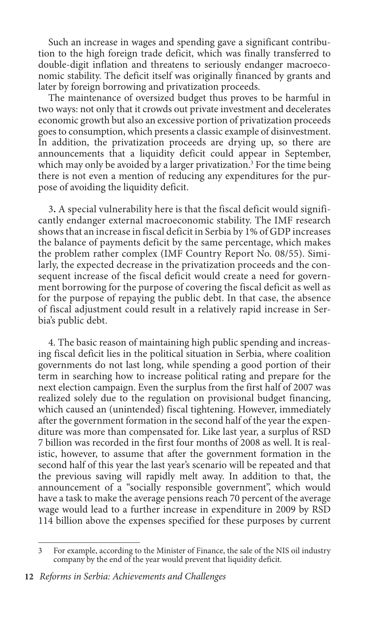Such an increase in wages and spending gave a significant contribution to the high foreign trade deficit, which was finally transferred to double-digit inflation and threatens to seriously endanger macroeconomic stability. The deficit itself was originally financed by grants and later by foreign borrowing and privatization proceeds.

The maintenance of oversized budget thus proves to be harmful in two ways: not only that it crowds out private investment and decelerates economic growth but also an excessive portion of privatization proceeds goes to consumption, which presents a classic example of disinvestment. In addition, the privatization proceeds are drying up, so there are announcements that a liquidity deficit could appear in September, which may only be avoided by a larger privatization.<sup>3</sup> For the time being there is not even a mention of reducing any expenditures for the purpose of avoiding the liquidity deficit.

3**.** A special vulnerability here is that the fiscal deficit would significantly endanger external macroeconomic stability. The IMF research shows that an increase in fiscal deficit in Serbia by 1% of GDP increases the balance of payments deficit by the same percentage, which makes the problem rather complex (IMF Country Report No. 08/55). Similarly, the expected decrease in the privatization proceeds and the consequent increase of the fiscal deficit would create a need for government borrowing for the purpose of covering the fiscal deficit as well as for the purpose of repaying the public debt. In that case, the absence of fiscal adjustment could result in a relatively rapid increase in Serbia's public debt.

4. The basic reason of maintaining high public spending and increasing fiscal deficit lies in the political situation in Serbia, where coalition governments do not last long, while spending a good portion of their term in searching how to increase political rating and prepare for the next election campaign. Even the surplus from the first half of 2007 was realized solely due to the regulation on provisional budget financing, which caused an (unintended) fiscal tightening. However, immediately after the government formation in the second half of the year the expenditure was more than compensated for. Like last year, a surplus of RSD 7 billion was recorded in the first four months of 2008 as well. It is realistic, however, to assume that after the government formation in the second half of this year the last year's scenario will be repeated and that the previous saving will rapidly melt away. In addition to that, the announcement of a "socially responsible government", which would have a task to make the average pensions reach 70 percent of the average wage would lead to a further increase in expenditure in 2009 by RSD 114 billion above the expenses specified for these purposes by current

<sup>3</sup> For example, according to the Minister of Finance, the sale of the NIS oil industry company by the end of the year would prevent that liquidity deficit.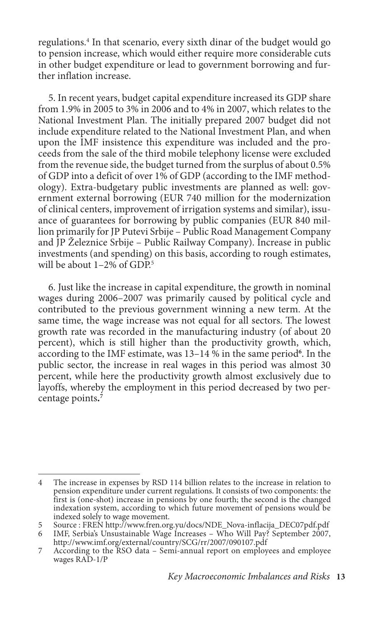regulations.4 In that scenario, every sixth dinar of the budget would go to pension increase, which would either require more considerable cuts in other budget expenditure or lead to government borrowing and further inflation increase.

5. In recent years, budget capital expenditure increased its GDP share from 1.9% in 2005 to 3% in 2006 and to 4% in 2007, which relates to the National Investment Plan. The initially prepared 2007 budget did not include expenditure related to the National Investment Plan, and when upon the IMF insistence this expenditure was included and the proceeds from the sale of the third mobile telephony license were excluded from the revenue side, the budget turned from the surplus of about 0.5% of GDP into a deficit of over 1% of GDP (according to the IMF methodology). Extra-budgetary public investments are planned as well: government external borrowing (EUR 740 million for the modernization of clinical centers, improvement of irrigation systems and similar), issuance of guarantees for borrowing by public companies (EUR 840 million primarily for JP Putevi Srbije – Public Road Management Company and JP Železnice Srbije – Public Railway Company). Increase in public investments (and spending) on this basis, according to rough estimates, will be about  $1-2\%$  of GDP<sup>5</sup>

6. Just like the increase in capital expenditure, the growth in nominal wages during 2006–2007 was primarily caused by political cycle and contributed to the previous government winning a new term. At the same time, the wage increase was not equal for all sectors. The lowest growth rate was recorded in the manufacturing industry (of about 20 percent), which is still higher than the productivity growth, which, according to the IMF estimate, was 13–14 % in the same period**<sup>6</sup>** . In the public sector, the increase in real wages in this period was almost 30 percent, while here the productivity growth almost exclusively due to layoffs, whereby the employment in this period decreased by two percentage points**. 7**

<sup>4</sup> The increase in expenses by RSD 114 billion relates to the increase in relation to pension expenditure under current regulations. It consists of two components: the first is (one-shot) increase in pensions by one fourth; the second is the changed indexation system, according to which future movement of pensions would be indexed solely to wage movement.

<sup>5</sup> Source : FREN http://www.fren.org.yu/docs/NDE\_Nova-inflacija\_DEC07pdf.pdf

IMF, Serbia's Unsustainable Wage Increases - Who Will Pay? September 2007, http://www.imf.org/external/country/SCG/rr/2007/090107.pdf

<sup>7</sup> According to the RSO data – Semi-annual report on employees and employee wages RAD-1/P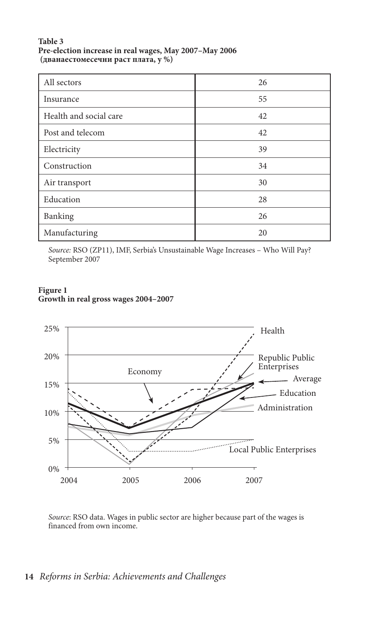#### **Table 3 Pre-election increase in real wages, May 2007–May 2006 (дванаестомесечни раст плата, у %)**

| All sectors            | 26 |
|------------------------|----|
| Insurance              | 55 |
| Health and social care | 42 |
| Post and telecom       | 42 |
| Electricity            | 39 |
| Construction           | 34 |
| Air transport          | 30 |
| Education              | 28 |
| Banking                | 26 |
| Manufacturing          | 20 |

*Source:* RSO (ZP11), IMF, Serbia's Unsustainable Wage Increases – Who Will Pay? September 2007

#### **Figure 1 Growth in real gross wages 2004–2007**



*Source*: RSO data. Wages in public sector are higher because part of the wages is financed from own income.

### **14** *Reforms in Serbia: Achievements and Challenges*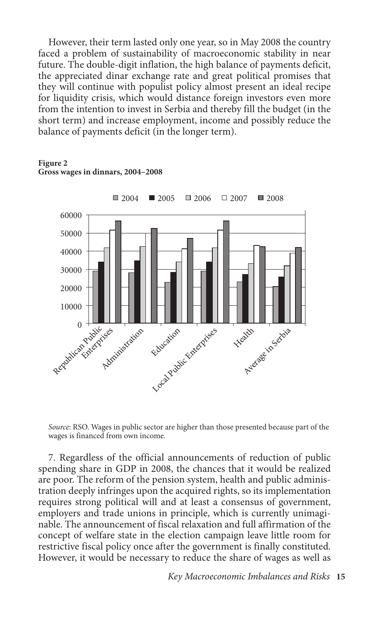However, their term lasted only one year, so in May 2008 the country faced a problem of sustainability of macroeconomic stability in near future. The double-digit inflation, the high balance of payments deficit, the appreciated dinar exchange rate and great political promises that they will continue with populist policy almost present an ideal recipe for liquidity crisis, which would distance foreign investors even more from the intention to invest in Serbia and thereby fill the budget (in the short term) and increase employment, income and possibly reduce the balance of payments deficit (in the longer term).

**Figure 2 Gross wages in dinnars, 2004–2008**



*Source*: RSO. Wages in public sector are higher than those presented because part of the wages is financed from own income.

7. Regardless of the official announcements of reduction of public spending share in GDP in 2008, the chances that it would be realized are poor. The reform of the pension system, health and public administration deeply infringes upon the acquired rights, so its implementation requires strong political will and at least a consensus of government, employers and trade unions in principle, which is currently unimaginable. The announcement of fiscal relaxation and full affirmation of the concept of welfare state in the election campaign leave little room for restrictive fiscal policy once after the government is finally constituted. However, it would be necessary to reduce the share of wages as well as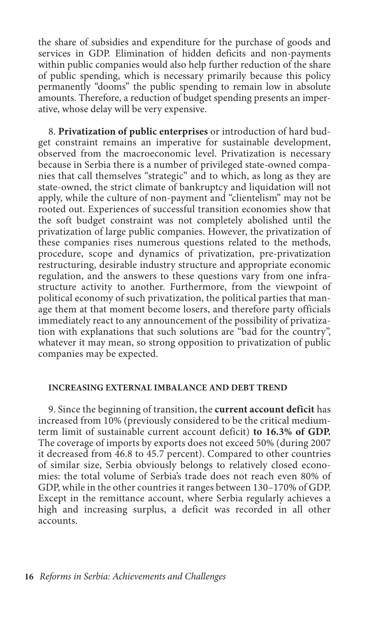the share of subsidies and expenditure for the purchase of goods and services in GDP. Elimination of hidden deficits and non-payments within public companies would also help further reduction of the share of public spending, which is necessary primarily because this policy permanently "dooms" the public spending to remain low in absolute amounts. Therefore, a reduction of budget spending presents an imperative, whose delay will be very expensive.

8. **Privatization of public enterprises** or introduction of hard budget constraint remains an imperative for sustainable development, observed from the macroeconomic level. Privatization is necessary because in Serbia there is a number of privileged state-owned companies that call themselves "strategic" and to which, as long as they are state-owned, the strict climate of bankruptcy and liquidation will not apply, while the culture of non-payment and "clientelism" may not be rooted out. Experiences of successful transition economies show that the soft budget constraint was not completely abolished until the privatization of large public companies. However, the privatization of these companies rises numerous questions related to the methods, procedure, scope and dynamics of privatization, pre-privatization restructuring, desirable industry structure and appropriate economic regulation, and the answers to these questions vary from one infrastructure activity to another. Furthermore, from the viewpoint of political economy of such privatization, the political parties that manage them at that moment become losers, and therefore party officials immediately react to any announcement of the possibility of privatization with explanations that such solutions are "bad for the country", whatever it may mean, so strong opposition to privatization of public companies may be expected.

#### **Increasing external imbalance and debt trend**

9. Since the beginning of transition, the **current account deficit** has increased from 10% (previously considered to be the critical mediumterm limit of sustainable current account deficit) **to 16.3% of GDP.** The coverage of imports by exports does not exceed 50% (during 2007 it decreased from 46.8 to 45.7 percent). Compared to other countries of similar size, Serbia obviously belongs to relatively closed economies: the total volume of Serbia's trade does not reach even 80% of GDP, while in the other countries it ranges between 130–170% of GDP. Except in the remittance account, where Serbia regularly achieves a high and increasing surplus, a deficit was recorded in all other accounts.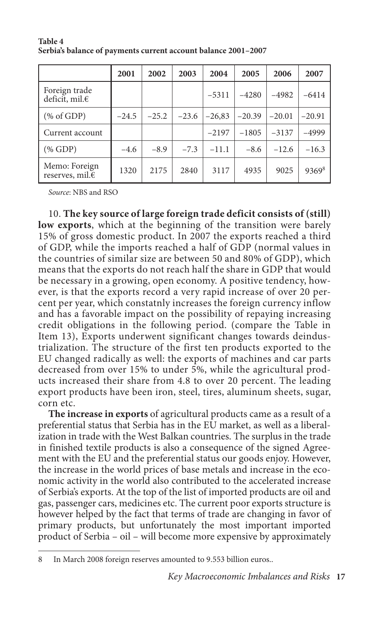|                                            | 2001    | 2002    | 2003    | 2004     | 2005     | 2006     | 2007              |
|--------------------------------------------|---------|---------|---------|----------|----------|----------|-------------------|
| Foreign trade<br>deficit, mil.€            |         |         |         | $-5311$  | $-4280$  | $-4982$  | $-6414$           |
| $(\% \text{ of GDP})$                      | $-24.5$ | $-25.2$ | $-23.6$ | $-26,83$ | $-20.39$ | $-20.01$ | $-20.91$          |
| Current account                            |         |         |         | $-2197$  | $-1805$  | $-3137$  | $-4999$           |
| $(\%$ GDP)                                 | $-4.6$  | $-8.9$  | $-7.3$  | $-11.1$  | $-8.6$   | $-12.6$  | $-16.3$           |
| Memo: Foreign<br>reserves, mil. $\epsilon$ | 1320    | 2175    | 2840    | 3117     | 4935     | 9025     | 9369 <sup>8</sup> |

**Table 4 Serbia's balance of payments current account balance 2001–2007**

*Source*: NBS and RSO

10. **The key source of large foreign trade deficit consists of (still) low exports**, which at the beginning of the transition were barely 15% of gross domestic product. In 2007 the exports reached a third of GDP, while the imports reached a half of GDP (normal values in the countries of similar size are between 50 and 80% of GDP), which means that the exports do not reach half the share in GDP that would be necessary in a growing, open economy. A positive tendency, however, is that the exports record a very rapid increase of over 20 percent per year, which constatnly increases the foreign currency inflow and has a favorable impact on the possibility of repaying increasing credit obligations in the following period. (compare the Table in Item 13), Exports underwent significant changes towards deindustrialization. The structure of the first ten products exported to the EU changed radically as well: the exports of machines and car parts decreased from over 15% to under 5%, while the agricultural products increased their share from 4.8 to over 20 percent. The leading export products have been iron, steel, tires, aluminum sheets, sugar, corn etc.

**The increase in exports** of agricultural products came as a result of a preferential status that Serbia has in the EU market, as well as a liberalization in trade with the West Balkan countries. The surplus in the trade in finished textile products is also a consequence of the signed Agreement with the EU and the preferential status our goods enjoy. However, the increase in the world prices of base metals and increase in the economic activity in the world also contributed to the accelerated increase of Serbia's exports. At the top of the list of imported products are oil and gas, passenger cars, medicines etc. The current poor exports structure is however helped by the fact that terms of trade are changing in favor of primary products, but unfortunately the most important imported product of Serbia – oil – will become more expensive by approximately

<sup>8</sup> In March 2008 foreign reserves amounted to 9.553 billion euros..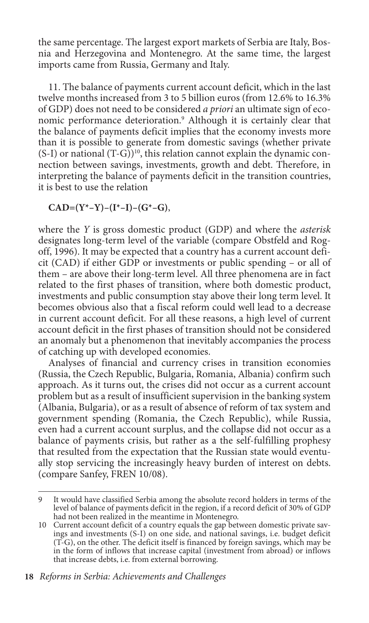the same percentage. The largest export markets of Serbia are Italy, Bosnia and Herzegovina and Montenegro. At the same time, the largest imports came from Russia, Germany and Italy.

11. The balance of payments current account deficit, which in the last twelve months increased from 3 to 5 billion euros (from 12.6% to 16.3% of GDP) does not need to be considered *a priori* an ultimate sign of economic performance deterioration.9 Although it is certainly clear that the balance of payments deficit implies that the economy invests more than it is possible to generate from domestic savings (whether private  $(S-I)$  or national  $(T-G)$ <sup>10</sup>, this relation cannot explain the dynamic connection between savings, investments, growth and debt. Therefore, in interpreting the balance of payments deficit in the transition countries, it is best to use the relation

 $CAD=(Y^*-Y)-(I^*-I)-(G^*-G),$ 

where the *Y* is gross domestic product (GDP) and where the *asterisk*  designates long-term level of the variable (compare Obstfeld and Rogoff, 1996). It may be expected that a country has a current account deficit (CAD) if either GDP or investments or public spending – or all of them – are above their long-term level. All three phenomena are in fact related to the first phases of transition, where both domestic product, investments and public consumption stay above their long term level. It becomes obvious also that a fiscal reform could well lead to a decrease in current account deficit. For all these reasons, a high level of current account deficit in the first phases of transition should not be considered an anomaly but a phenomenon that inevitably accompanies the process of catching up with developed economies.

Analyses of financial and currency crises in transition economies (Russia, the Czech Republic, Bulgaria, Romania, Albania) confirm such approach. As it turns out, the crises did not occur as a current account problem but as a result of insufficient supervision in the banking system (Albania, Bulgaria), or as a result of absence of reform of tax system and government spending (Romania, the Czech Republic), while Russia, even had a current account surplus, and the collapse did not occur as a balance of payments crisis, but rather as a the self-fulfilling prophesy that resulted from the expectation that the Russian state would eventually stop servicing the increasingly heavy burden of interest on debts. (compare Sanfey, FREN 10/08).

<sup>9</sup> It would have classified Serbia among the absolute record holders in terms of the level of balance of payments deficit in the region, if a record deficit of 30% of GDP had not been realized in the meantime in Montenegro.

<sup>10</sup> Current account deficit of a country equals the gap between domestic private savings and investments (S-I) on one side, and national savings, i.e. budget deficit (T-G), on the other. The deficit itself is financed by foreign savings, which may be in the form of inflows that increase capital (investment from abroad) or inflows that increase debts, i.e. from external borrowing.

**<sup>18</sup>** *Reforms in Serbia: Achievements and Challenges*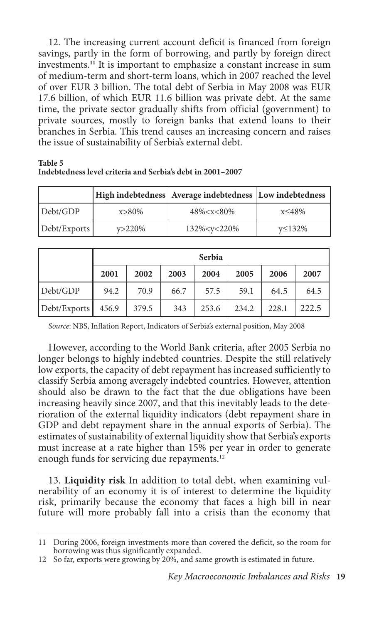12. The increasing current account deficit is financed from foreign savings, partly in the form of borrowing, and partly by foreign direct investments. **<sup>11</sup>** It is important to emphasize a constant increase in sum of medium-term and short-term loans, which in 2007 reached the level of over EUR 3 billion. The total debt of Serbia in May 2008 was EUR 17.6 billion, of which EUR 11.6 billion was private debt. At the same time, the private sector gradually shifts from official (government) to private sources, mostly to foreign banks that extend loans to their branches in Serbia. This trend causes an increasing concern and raises the issue of sustainability of Serbia's external debt.

|              |             | High indebtedness Average indebtedness Low indebtedness |        |
|--------------|-------------|---------------------------------------------------------|--------|
| Debt/GDP     | $x > 80\%$  | $48\% < x < 80\%$                                       | x≤48%  |
| Debt/Exports | $v > 220\%$ | 132% <y<220%< td=""><td>v≤132%</td></y<220%<>           | v≤132% |

| Table 5                                                    |  |
|------------------------------------------------------------|--|
| Indebtedness level criteria and Serbia's debt in 2001–2007 |  |

|              |       |       |      | Serbia |       |       |       |
|--------------|-------|-------|------|--------|-------|-------|-------|
|              | 2001  | 2002  | 2003 | 2004   | 2005  | 2006  | 2007  |
| Debt/GDP     | 94.2  | 70.9  | 66.7 | 57.5   | 59.1  | 64.5  | 64.5  |
| Debt/Exports | 456.9 | 379.5 | 343  | 253.6  | 234.2 | 228.1 | 222.5 |

*Source*: NBS, Inflation Report, Indicators of Serbia's external position, May 2008

However, according to the World Bank criteria, after 2005 Serbia no longer belongs to highly indebted countries. Despite the still relatively low exports, the capacity of debt repayment has increased sufficiently to classify Serbia among averagely indebted countries. However, attention should also be drawn to the fact that the due obligations have been increasing heavily since 2007, and that this inevitably leads to the deterioration of the external liquidity indicators (debt repayment share in GDP and debt repayment share in the annual exports of Serbia). The estimates of sustainability of external liquidity show that Serbia's exports must increase at a rate higher than 15% per year in order to generate enough funds for servicing due repayments.<sup>12</sup>

13. **Liquidity risk** In addition to total debt, when examining vulnerability of an economy it is of interest to determine the liquidity risk, primarily because the economy that faces a high bill in near future will more probably fall into a crisis than the economy that

<sup>11</sup> During 2006, foreign investments more than covered the deficit, so the room for borrowing was thus significantly expanded.

<sup>12</sup> So far, exports were growing by 20%, and same growth is estimated in future.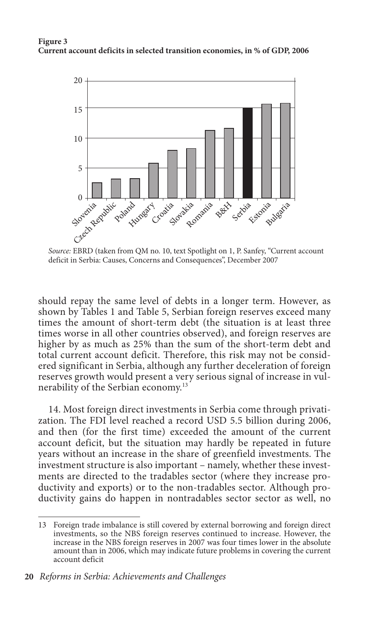#### **Figure 3 Current account deficits in selected transition economies, in % of GDP, 2006**



*Source:* EBRD (taken from QM no. 10, text Spotlight on 1, P. Sanfey, "Current account deficit in Serbia: Causes, Concerns and Consequences", December 2007

should repay the same level of debts in a longer term. However, as shown by Tables 1 and Table 5, Serbian foreign reserves exceed many times the amount of short-term debt (the situation is at least three times worse in all other countries observed), and foreign reserves are higher by as much as 25% than the sum of the short-term debt and total current account deficit. Therefore, this risk may not be considered significant in Serbia, although any further deceleration of foreign reserves growth would present a very serious signal of increase in vulnerability of the Serbian economy.13

14. Most foreign direct investments in Serbia come through privatization. The FDI level reached a record USD 5.5 billion during 2006, and then (for the first time) exceeded the amount of the current account deficit, but the situation may hardly be repeated in future years without an increase in the share of greenfield investments. The investment structure is also important – namely, whether these investments are directed to the tradables sector (where they increase productivity and exports) or to the non-tradables sector. Although productivity gains do happen in nontradables sector sector as well, no

<sup>13</sup> Foreign trade imbalance is still covered by external borrowing and foreign direct investments, so the NBS foreign reserves continued to increase. However, the increase in the NBS foreign reserves in 2007 was four times lower in the absolute amount than in 2006, which may indicate future problems in covering the current account deficit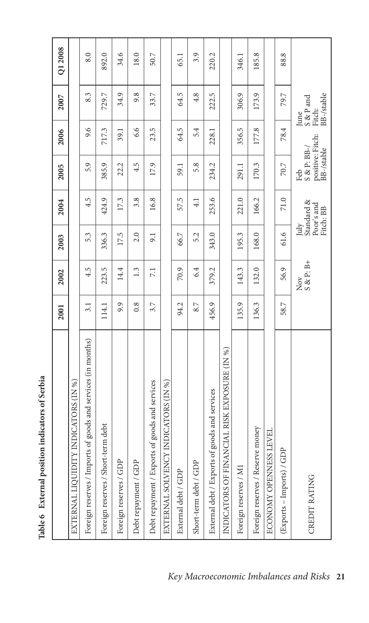| ς<br>ś |
|--------|
|        |
| d      |
|        |
|        |

 $\cdot$ a

|                                                              | 2001  | 2002                     | 2003  | 2004                                  | 2005                                                     | 2006  | 2007                                      | Q1 2008 |
|--------------------------------------------------------------|-------|--------------------------|-------|---------------------------------------|----------------------------------------------------------|-------|-------------------------------------------|---------|
| EXTERNAL LIQUIDITY INDICATORS (IN %)                         |       |                          |       |                                       |                                                          |       |                                           |         |
| Foreign reserves / Imports of goods and services (in months) | 3.1   | 4.5                      | 5.3   | 4.5                                   | 5.9                                                      | 9.6   | 8.3                                       | 8.0     |
| debt<br>Foreign reserves / Short-term                        | 114.1 | 223.5                    | 336.3 | 424.9                                 | 385.9                                                    | 717.3 | 729.7                                     | 892.0   |
| Foreign reserves / GDP                                       | 9.9   | 14.4                     | 17.5  | 17.3                                  | 22.2                                                     | 39.1  | 34.9                                      | 34.6    |
| Debt repayment / GDP                                         | 0.8   | 1.3                      | 2.0   | 3.8                                   | 4.5                                                      | 6.6   | 9.8                                       | 18.0    |
| Debt repayment / Exports of goods and services               | 3.7   | 7.1                      | 9.1   | 16.8                                  | 17.9                                                     | 23.5  | 33.7                                      | 50.7    |
| EXTERNAL SOLVENCY INDICATORS (IN %)                          |       |                          |       |                                       |                                                          |       |                                           |         |
| External debt / GDP                                          | 94.2  | 70.9                     | 66.7  | 57.5                                  | 59.1                                                     | 64.5  | 64.5                                      | 65.1    |
| Short-term debt / GDP                                        | 8.7   | 6.4                      | 5.2   | $\frac{1}{4}$                         | 5.8                                                      | 5.4   | 4.8                                       | 3.9     |
| External debt / Exports of goods and services                | 456.9 | 379.2                    | 343.0 | 253.6                                 | 234.2                                                    | 228.1 | 222.5                                     | 220.2   |
| INDICATORS OF FINANCIAL RISK EXPOSURE (IN %)                 |       |                          |       |                                       |                                                          |       |                                           |         |
| Foreign reserves / M1                                        | 135.9 | 143.3                    | 195.3 | 221.0                                 | 291.1                                                    | 356.5 | 306.9                                     | 346.1   |
| Foreign reserves / Reserve money                             | 136.3 | 132.0                    | 168.0 | 166.2                                 | 170.3                                                    | 177.8 | 173.9                                     | 185.8   |
| ロ<br>ECONOMY OPENNESS LEV                                    |       |                          |       |                                       |                                                          |       |                                           |         |
| (Exports - Imports) / GDP                                    | 58.7  | 56.9                     | 61.6  | 71.0                                  | 70.7                                                     | 78.4  | 79.7                                      | 88.8    |
| <b>CREDIT RATING</b>                                         |       | $\frac{Now}{S \& P: B+}$ | July  | Standard &<br>Poor's and<br>Fitch: BB | positive: Fitch:<br>BB-/stable<br>$S \& P$ : BB-/<br>Feb |       | BB-/stable<br>S & P and<br>Fitch:<br>June |         |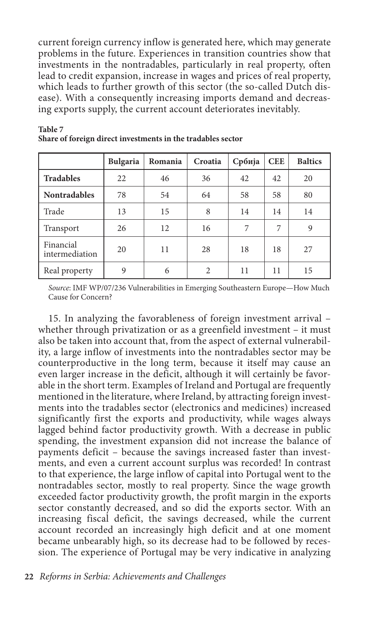current foreign currency inflow is generated here, which may generate problems in the future. Experiences in transition countries show that investments in the nontradables, particularly in real property, often lead to credit expansion, increase in wages and prices of real property, which leads to further growth of this sector (the so-called Dutch disease). With a consequently increasing imports demand and decreasing exports supply, the current account deteriorates inevitably.

|                             | <b>Bulgaria</b> | Romania | Croatia        | Србија | <b>CEE</b> | <b>Baltics</b> |
|-----------------------------|-----------------|---------|----------------|--------|------------|----------------|
| <b>Tradables</b>            | 22              | 46      | 36             | 42     | 42         | 20             |
| <b>Nontradables</b>         | 78              | 54      | 64             | 58     | 58         | 80             |
| Trade                       | 13              | 15      | 8              | 14     | 14         | 14             |
| Transport                   | 26              | 12      | 16             | 7      | 7          | 9              |
| Financial<br>intermediation | 20              | 11      | 28             | 18     | 18         | 27             |
| Real property               | 9               | 6       | $\mathfrak{D}$ | 11     | 11         | 15             |

**Table 7 Share of foreign direct investments in the tradables sector**

*Source*: IMF WP/07/236 Vulnerabilities in Emerging Southeastern Europe—How Much Cause for Concern?

15. In analyzing the favorableness of foreign investment arrival – whether through privatization or as a greenfield investment – it must also be taken into account that, from the aspect of external vulnerability, a large inflow of investments into the nontradables sector may be counterproductive in the long term, because it itself may cause an even larger increase in the deficit, although it will certainly be favorable in the short term. Examples of Ireland and Portugal are frequently mentioned in the literature, where Ireland, by attracting foreign investments into the tradables sector (electronics and medicines) increased significantly first the exports and productivity, while wages always lagged behind factor productivity growth. With a decrease in public spending, the investment expansion did not increase the balance of payments deficit – because the savings increased faster than investments, and even a current account surplus was recorded! In contrast to that experience, the large inflow of capital into Portugal went to the nontradables sector, mostly to real property. Since the wage growth exceeded factor productivity growth, the profit margin in the exports sector constantly decreased, and so did the exports sector. With an increasing fiscal deficit, the savings decreased, while the current account recorded an increasingly high deficit and at one moment became unbearably high, so its decrease had to be followed by recession. The experience of Portugal may be very indicative in analyzing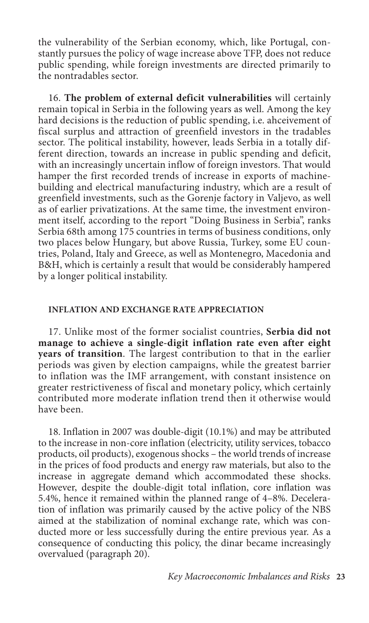the vulnerability of the Serbian economy, which, like Portugal, constantly pursues the policy of wage increase above TFP, does not reduce public spending, while foreign investments are directed primarily to the nontradables sector.

16. **The problem of external deficit vulnerabilities** will certainly remain topical in Serbia in the following years as well. Among the key hard decisions is the reduction of public spending, i.e. ahceivement of fiscal surplus and attraction of greenfield investors in the tradables sector. The political instability, however, leads Serbia in a totally different direction, towards an increase in public spending and deficit, with an increasingly uncertain inflow of foreign investors. That would hamper the first recorded trends of increase in exports of machinebuilding and electrical manufacturing industry, which are a result of greenfield investments, such as the Gorenje factory in Valjevo, as well as of earlier privatizations. At the same time, the investment environment itself, according to the report "Doing Business in Serbia", ranks Serbia 68th among 175 countries in terms of business conditions, only two places below Hungary, but above Russia, Turkey, some EU countries, Poland, Italy and Greece, as well as Montenegro, Macedonia and B&H, which is certainly a result that would be considerably hampered by a longer political instability.

#### **Inflation and exchange rate appreciation**

17. Unlike most of the former socialist countries, **Serbia did not manage to achieve a single-digit inflation rate even after eight years of transition**. The largest contribution to that in the earlier periods was given by election campaigns, while the greatest barrier to inflation was the IMF arrangement, with constant insistence on greater restrictiveness of fiscal and monetary policy, which certainly contributed more moderate inflation trend then it otherwise would have been.

18. Inflation in 2007 was double-digit (10.1%) and may be attributed to the increase in non-core inflation (electricity, utility services, tobacco products, oil products), exogenous shocks – the world trends of increase in the prices of food products and energy raw materials, but also to the increase in aggregate demand which accommodated these shocks. However, despite the double-digit total inflation, core inflation was 5.4%, hence it remained within the planned range of 4–8%. Deceleration of inflation was primarily caused by the active policy of the NBS aimed at the stabilization of nominal exchange rate, which was conducted more or less successfully during the entire previous year. As a consequence of conducting this policy, the dinar became increasingly overvalued (paragraph 20).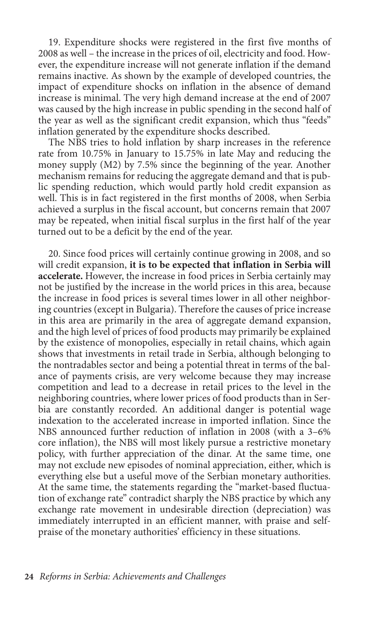19. Expenditure shocks were registered in the first five months of 2008 as well – the increase in the prices of oil, electricity and food. However, the expenditure increase will not generate inflation if the demand remains inactive. As shown by the example of developed countries, the impact of expenditure shocks on inflation in the absence of demand increase is minimal. The very high demand increase at the end of 2007 was caused by the high increase in public spending in the second half of the year as well as the significant credit expansion, which thus "feeds" inflation generated by the expenditure shocks described.

The NBS tries to hold inflation by sharp increases in the reference rate from 10.75% in January to 15.75% in late May and reducing the money supply (M2) by 7.5% since the beginning of the year. Another mechanism remains for reducing the aggregate demand and that is public spending reduction, which would partly hold credit expansion as well. This is in fact registered in the first months of 2008, when Serbia achieved a surplus in the fiscal account, but concerns remain that 2007 may be repeated, when initial fiscal surplus in the first half of the year turned out to be a deficit by the end of the year.

20. Since food prices will certainly continue growing in 2008, and so will credit expansion, **it is to be expected that inflation in Serbia will accelerate.** However, the increase in food prices in Serbia certainly may not be justified by the increase in the world prices in this area, because the increase in food prices is several times lower in all other neighboring countries (except in Bulgaria). Therefore the causes of price increase in this area are primarily in the area of aggregate demand expansion, and the high level of prices of food products may primarily be explained by the existence of monopolies, especially in retail chains, which again shows that investments in retail trade in Serbia, although belonging to the nontradables sector and being a potential threat in terms of the balance of payments crisis, are very welcome because they may increase competition and lead to a decrease in retail prices to the level in the neighboring countries, where lower prices of food products than in Serbia are constantly recorded. An additional danger is potential wage indexation to the accelerated increase in imported inflation. Since the NBS announced further reduction of inflation in 2008 (with a 3–6% core inflation), the NBS will most likely pursue a restrictive monetary policy, with further appreciation of the dinar. At the same time, one may not exclude new episodes of nominal appreciation, either, which is everything else but a useful move of the Serbian monetary authorities. At the same time, the statements regarding the "market-based fluctuation of exchange rate" contradict sharply the NBS practice by which any exchange rate movement in undesirable direction (depreciation) was immediately interrupted in an efficient manner, with praise and selfpraise of the monetary authorities' efficiency in these situations.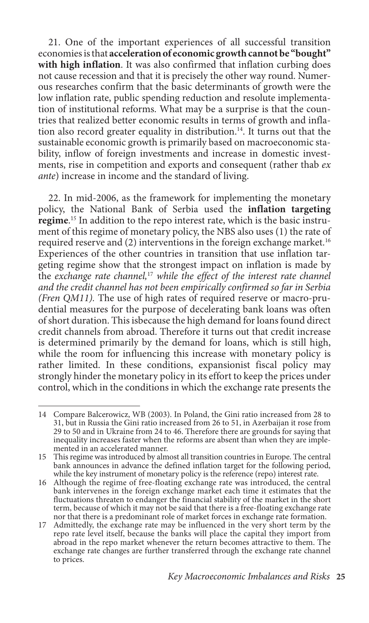21. One of the important experiences of all successful transition economies is that **acceleration of economic growth cannot be "bought" with high inflation**. It was also confirmed that inflation curbing does not cause recession and that it is precisely the other way round. Numerous researches confirm that the basic determinants of growth were the low inflation rate, public spending reduction and resolute implementation of institutional reforms. What may be a surprise is that the countries that realized better economic results in terms of growth and inflation also record greater equality in distribution.14. It turns out that the sustainable economic growth is primarily based on macroeconomic stability, inflow of foreign investments and increase in domestic investments, rise in competition and exports and consequent (rather thab *ex ante*) increase in income and the standard of living.

22. In mid-2006, as the framework for implementing the monetary policy, the National Bank of Serbia used the **inflation targeting regime**. 15 In addition to the repo interest rate, which is the basic instrument of this regime of monetary policy, the NBS also uses (1) the rate of required reserve and (2) interventions in the foreign exchange market.<sup>16</sup> Experiences of the other countries in transition that use inflation targeting regime show that the strongest impact on inflation is made by the *exchange rate channel,*<sup>17</sup> *while the effect of the interest rate channel and the credit channel has not been empirically confirmed so far in Serbia (Fren QM11).* The use of high rates of required reserve or macro-prudential measures for the purpose of decelerating bank loans was often of short duration. This isbecause the high demand for loans found direct credit channels from abroad. Therefore it turns out that credit increase is determined primarily by the demand for loans, which is still high, while the room for influencing this increase with monetary policy is rather limited. In these conditions, expansionist fiscal policy may strongly hinder the monetary policy in its effort to keep the prices under control, which in the conditions in which the exchange rate presents the

<sup>14</sup> Compare Balcerowicz, WB (2003). In Poland, the Gini ratio increased from 28 to 31, but in Russia the Gini ratio increased from 26 to 51, in Azerbaijan it rose from 29 to 50 and in Ukraine from 24 to 46. Therefore there are grounds for saying that inequality increases faster when the reforms are absent than when they are implemented in an accelerated manner.

<sup>15</sup> This regime was introduced by almost all transition countries in Europe. The central bank announces in advance the defined inflation target for the following period, while the key instrument of monetary policy is the reference (repo) interest rate.

<sup>16</sup> Although the regime of free-floating exchange rate was introduced, the central bank intervenes in the foreign exchange market each time it estimates that the fluctuations threaten to endanger the financial stability of the market in the short term, because of which it may not be said that there is a free-floating exchange rate nor that there is a predominant role of market forces in exchange rate formation.

<sup>17</sup> Admittedly, the exchange rate may be influenced in the very short term by the repo rate level itself, because the banks will place the capital they import from abroad in the repo market whenever the return becomes attractive to them. The exchange rate changes are further transferred through the exchange rate channel to prices.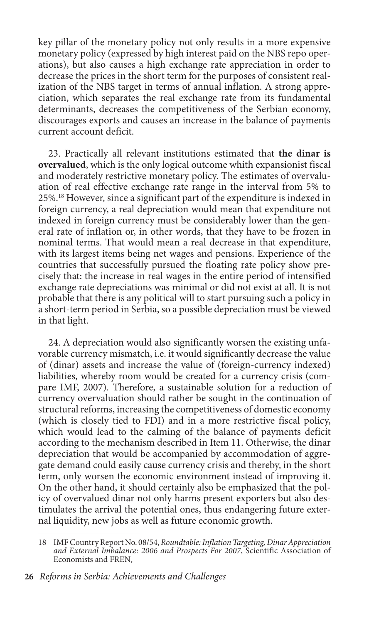key pillar of the monetary policy not only results in a more expensive monetary policy (expressed by high interest paid on the NBS repo operations), but also causes a high exchange rate appreciation in order to decrease the prices in the short term for the purposes of consistent realization of the NBS target in terms of annual inflation. A strong appreciation, which separates the real exchange rate from its fundamental determinants, decreases the competitiveness of the Serbian economy, discourages exports and causes an increase in the balance of payments current account deficit.

23. Practically all relevant institutions estimated that **the dinar is overvalued**, which is the only logical outcome whith expansionist fiscal and moderately restrictive monetary policy. The estimates of overvaluation of real effective exchange rate range in the interval from 5% to 25%.18 However, since a significant part of the expenditure is indexed in foreign currency, a real depreciation would mean that expenditure not indexed in foreign currency must be considerably lower than the general rate of inflation or, in other words, that they have to be frozen in nominal terms. That would mean a real decrease in that expenditure, with its largest items being net wages and pensions. Experience of the countries that successfully pursued the floating rate policy show precisely that: the increase in real wages in the entire period of intensified exchange rate depreciations was minimal or did not exist at all. It is not probable that there is any political will to start pursuing such a policy in a short-term period in Serbia, so a possible depreciation must be viewed in that light.

24. A depreciation would also significantly worsen the existing unfavorable currency mismatch, i.e. it would significantly decrease the value of (dinar) assets and increase the value of (foreign-currency indexed) liabilities, whereby room would be created for a currency crisis (compare IMF, 2007). Therefore, a sustainable solution for a reduction of currency overvaluation should rather be sought in the continuation of structural reforms, increasing the competitiveness of domestic economy (which is closely tied to FDI) and in a more restrictive fiscal policy, which would lead to the calming of the balance of payments deficit according to the mechanism described in Item 11. Otherwise, the dinar depreciation that would be accompanied by accommodation of aggregate demand could easily cause currency crisis and thereby, in the short term, only worsen the economic environment instead of improving it. On the other hand, it should certainly also be emphasized that the policy of overvalued dinar not only harms present exporters but also destimulates the arrival the potential ones, thus endangering future external liquidity, new jobs as well as future economic growth.

<sup>18</sup> IMF Country Report No. 08/54, *Roundtable: Inflation Targeting, Dinar Appreciation and External Imbalance: 2006 and Prospects For 2007*, Scientific Association of Economists and FREN,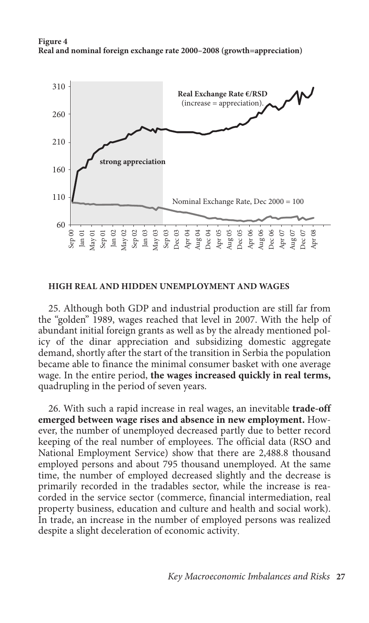



#### **High real and hidden unemployment and wages**

25. Although both GDP and industrial production are still far from the "golden" 1989, wages reached that level in 2007. With the help of abundant initial foreign grants as well as by the already mentioned policy of the dinar appreciation and subsidizing domestic aggregate demand, shortly after the start of the transition in Serbia the population became able to finance the minimal consumer basket with one average wage. In the entire period, **the wages increased quickly in real terms,**  quadrupling in the period of seven years.

26. With such a rapid increase in real wages, an inevitable **trade-off emerged between wage rises and absence in new employment.** However, the number of unemployed decreased partly due to better record keeping of the real number of employees. The official data (RSO and National Employment Service) show that there are 2,488.8 thousand employed persons and about 795 thousand unemployed. At the same time, the number of employed decreased slightly and the decrease is primarily recorded in the tradables sector, while the increase is reacorded in the service sector (commerce, financial intermediation, real property business, education and culture and health and social work). In trade, an increase in the number of employed persons was realized despite a slight deceleration of economic activity.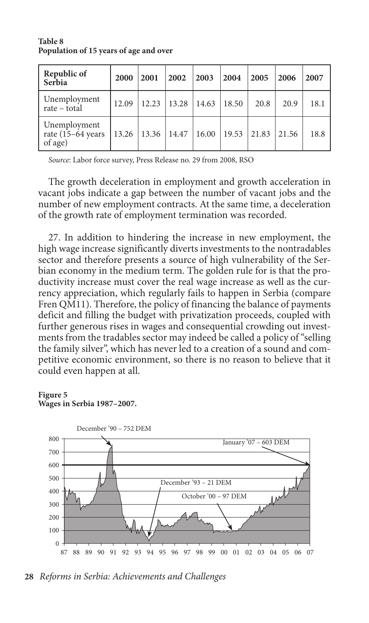| Republic of<br>Serbia                                   | 2000  | 2001  | 2002  | 2003  | 2004  | 2005  | 2006  | 2007 |
|---------------------------------------------------------|-------|-------|-------|-------|-------|-------|-------|------|
| Unemployment<br>rate – total                            | 12.09 | 12.23 | 13.28 | 14.63 | 18.50 | 20.8  | 20.9  | 18.1 |
| Unemployment<br>rate $(15-64 \text{ years})$<br>of age) | 13.26 | 13.36 | 14.47 | 16.00 | 19.53 | 21.83 | 21.56 | 18.8 |

**Table 8 Population of 15 years of age and over**

*Source*: Labor force survey, Press Release no. 29 from 2008, RSO

The growth deceleration in employment and growth acceleration in vacant jobs indicate a gap between the number of vacant jobs and the number of new employment contracts. At the same time, a deceleration of the growth rate of employment termination was recorded.

27. In addition to hindering the increase in new employment, the high wage increase significantly diverts investments to the nontradables sector and therefore presents a source of high vulnerability of the Serbian economy in the medium term. The golden rule for is that the productivity increase must cover the real wage increase as well as the currency appreciation, which regularly fails to happen in Serbia (compare Fren QM11). Therefore, the policy of financing the balance of payments deficit and filling the budget with privatization proceeds, coupled with further generous rises in wages and consequential crowding out investments from the tradables sector may indeed be called a policy of "selling the family silver", which has never led to a creation of a sound and competitive economic environment, so there is no reason to believe that it could even happen at all.

#### **Figure 5 Wages in Serbia 1987–2007.**



**28** *Reforms in Serbia: Achievements and Challenges*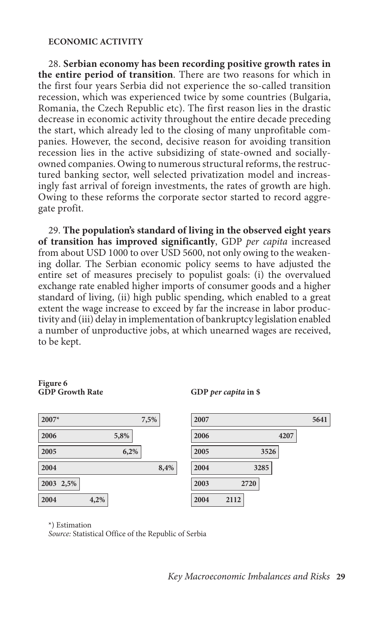#### **Economic activity**

28. **Serbian economy has been recording positive growth rates in the entire period of transition**. There are two reasons for which in the first four years Serbia did not experience the so-called transition recession, which was experienced twice by some countries (Bulgaria, Romania, the Czech Republic etc). The first reason lies in the drastic decrease in economic activity throughout the entire decade preceding the start, which already led to the closing of many unprofitable companies. However, the second, decisive reason for avoiding transition recession lies in the active subsidizing of state-owned and sociallyowned companies. Owing to numerous structural reforms, the restructured banking sector, well selected privatization model and increasingly fast arrival of foreign investments, the rates of growth are high. Owing to these reforms the corporate sector started to record aggregate profit.

29. **The population's standard of living in the observed eight years of transition has improved significantly**, GDP *per capita* increased from about USD 1000 to over USD 5600, not only owing to the weakening dollar. The Serbian economic policy seems to have adjusted the entire set of measures precisely to populist goals: (i) the overvalued exchange rate enabled higher imports of consumer goods and a higher standard of living, (ii) high public spending, which enabled to a great extent the wage increase to exceed by far the increase in labor productivity and (iii) delay in implementation of bankruptcy legislation enabled a number of unproductive jobs, at which unearned wages are received, to be kept.

# **Figure 6**

| $2007*$      | 7,5% | 2007 |      |
|--------------|------|------|------|
| 2006<br>5,8% |      | 2006 | 4207 |
| 2005<br>6,2% |      | 2005 | 3526 |
| 2004         | 8,4% | 2004 | 3285 |
| 2003 2,5%    |      | 2003 | 2720 |
| 2004<br>4,2% |      | 2004 | 2112 |

#### **GDP Growth Rate GDP** *per capita* **in \$**



\*) Estimation

*Source:* Statistical Office of the Republic of Serbia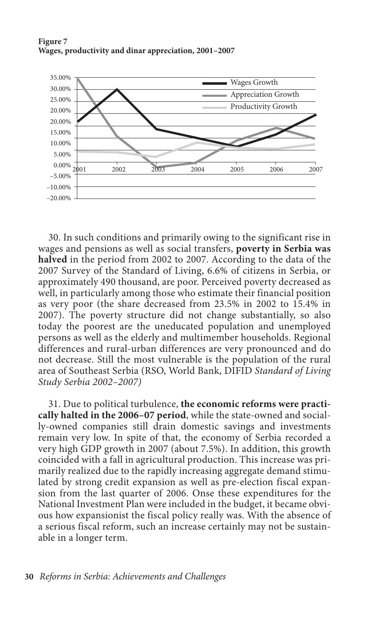



30. In such conditions and primarily owing to the significant rise in wages and pensions as well as social transfers, **poverty in Serbia was halved** in the period from 2002 to 2007. According to the data of the 2007 Survey of the Standard of Living, 6.6% of citizens in Serbia, or approximately 490 thousand, are poor. Perceived poverty decreased as well, in particularly among those who estimate their financial position as very poor (the share decreased from 23.5% in 2002 to 15.4% in 2007). The poverty structure did not change substantially, so also today the poorest are the uneducated population and unemployed persons as well as the elderly and multimember households. Regional differences and rural-urban differences are very pronounced and do not decrease. Still the most vulnerable is the population of the rural area of Southeast Serbia (RSO, World Bank, DIFID *Standard of Living Study Serbia 2002–2007)*

31. Due to political turbulence, **the economic reforms were practically halted in the 2006–07 period**, while the state-owned and socially-owned companies still drain domestic savings and investments remain very low. In spite of that, the economy of Serbia recorded a very high GDP growth in 2007 (about 7.5%). In addition, this growth coincided with a fall in agricultural production. This increase was primarily realized due to the rapidly increasing aggregate demand stimulated by strong credit expansion as well as pre-election fiscal expansion from the last quarter of 2006. Onse these expenditures for the National Investment Plan were included in the budget, it became obvious how expansionist the fiscal policy really was. With the absence of a serious fiscal reform, such an increase certainly may not be sustainable in a longer term.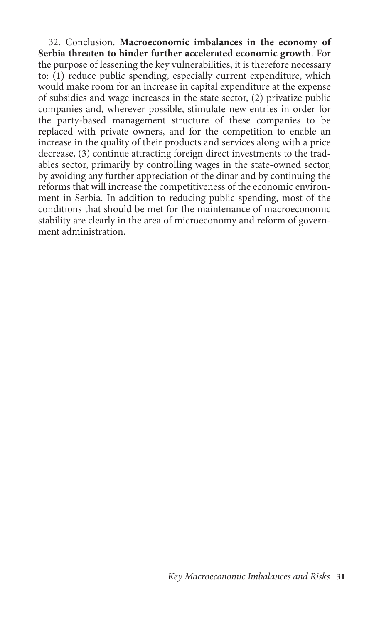32. Conclusion. **Macroeconomic imbalances in the economy of Serbia threaten to hinder further accelerated economic growth**. For the purpose of lessening the key vulnerabilities, it is therefore necessary to: (1) reduce public spending, especially current expenditure, which would make room for an increase in capital expenditure at the expense of subsidies and wage increases in the state sector, (2) privatize public companies and, wherever possible, stimulate new entries in order for the party-based management structure of these companies to be replaced with private owners, and for the competition to enable an increase in the quality of their products and services along with a price decrease, (3) continue attracting foreign direct investments to the tradables sector, primarily by controlling wages in the state-owned sector, by avoiding any further appreciation of the dinar and by continuing the reforms that will increase the competitiveness of the economic environment in Serbia. In addition to reducing public spending, most of the conditions that should be met for the maintenance of macroeconomic stability are clearly in the area of microeconomy and reform of government administration.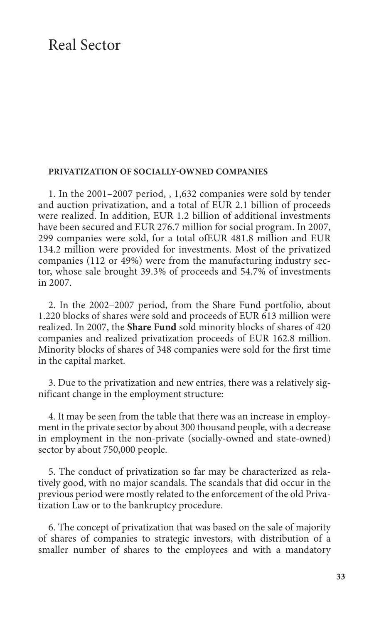### Real Sector

#### **Privatization of socially-owned companies**

1. In the 2001–2007 period, , 1,632 companies were sold by tender and auction privatization, and a total of EUR 2.1 billion of proceeds were realized. In addition, EUR 1.2 billion of additional investments have been secured and EUR 276.7 million for social program. In 2007, 299 companies were sold, for a total ofEUR 481.8 million and EUR 134.2 million were provided for investments. Most of the privatized companies (112 or 49%) were from the manufacturing industry sector, whose sale brought 39.3% of proceeds and 54.7% of investments in 2007.

2. In the 2002–2007 period, from the Share Fund portfolio, about 1.220 blocks of shares were sold and proceeds of EUR 613 million were realized. In 2007, the **Share Fund** sold minority blocks of shares of 420 companies and realized privatization proceeds of EUR 162.8 million. Minority blocks of shares of 348 companies were sold for the first time in the capital market.

3. Due to the privatization and new entries, there was a relatively significant change in the employment structure:

4. It may be seen from the table that there was an increase in employment in the private sector by about 300 thousand people, with a decrease in employment in the non-private (socially-owned and state-owned) sector by about 750,000 people.

5. The conduct of privatization so far may be characterized as relatively good, with no major scandals. The scandals that did occur in the previous period were mostly related to the enforcement of the old Privatization Law or to the bankruptcy procedure.

6. The concept of privatization that was based on the sale of majority of shares of companies to strategic investors, with distribution of a smaller number of shares to the employees and with a mandatory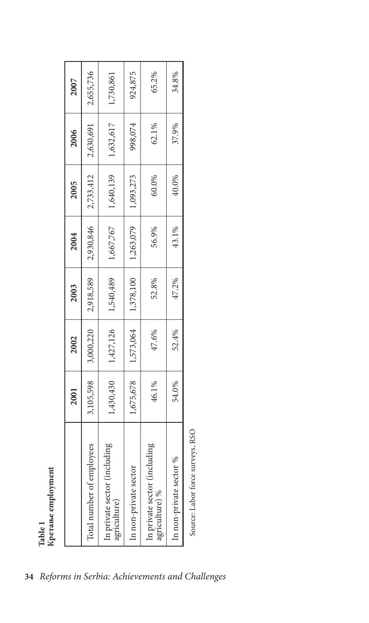|                                                        | 2001      | 2002      | 2003      | 2004      | 2005      | 2006      | 2007      |
|--------------------------------------------------------|-----------|-----------|-----------|-----------|-----------|-----------|-----------|
| Total number of employees                              | 3,105,598 | 3,000,220 | 2,918,589 | 2,930,846 | 2,733,412 | 2,630,691 | 2,655,736 |
| uding<br>In private sector (incly<br>agriculture)      | 1,430,430 | 1,427,126 | 1,540,489 | 1,667,767 | 1,640,139 | 1,632,617 | 1,730,861 |
| In non-private sector                                  | 1,675,678 | 1,573,064 | 1,378,100 | 1,263,079 | 1,093,273 | 998,074   | 924,875   |
| luding<br>In private sector (incl<br>agriculture) $\%$ | 46.1%     | 47.6%     | 52.8%     | 56.9%     | 60.0%     | 62.1%     | 65.2%     |
| %<br>In non-private sector                             | 54.0%     | 52.4%     | 47.2%     | 43.1%     | 40.0%     | 37.9%     | 34.8%     |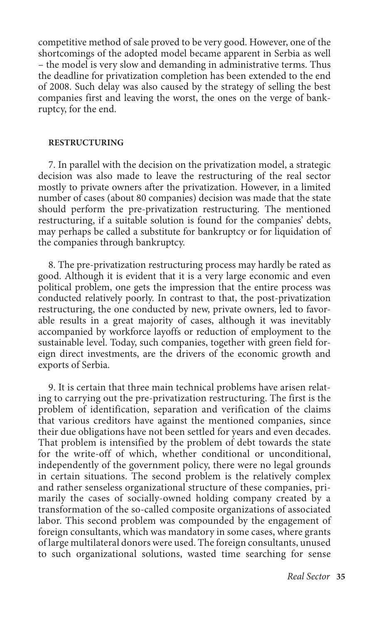competitive method of sale proved to be very good. However, one of the shortcomings of the adopted model became apparent in Serbia as well – the model is very slow and demanding in administrative terms. Thus the deadline for privatization completion has been extended to the end of 2008. Such delay was also caused by the strategy of selling the best companies first and leaving the worst, the ones on the verge of bankruptcy, for the end.

#### **Restructuring**

7. In parallel with the decision on the privatization model, a strategic decision was also made to leave the restructuring of the real sector mostly to private owners after the privatization. However, in a limited number of cases (about 80 companies) decision was made that the state should perform the pre-privatization restructuring. The mentioned restructuring, if a suitable solution is found for the companies' debts, may perhaps be called a substitute for bankruptcy or for liquidation of the companies through bankruptcy.

8. The pre-privatization restructuring process may hardly be rated as good. Although it is evident that it is a very large economic and even political problem, one gets the impression that the entire process was conducted relatively poorly. In contrast to that, the post-privatization restructuring, the one conducted by new, private owners, led to favorable results in a great majority of cases, although it was inevitably accompanied by workforce layoffs or reduction of employment to the sustainable level. Today, such companies, together with green field foreign direct investments, are the drivers of the economic growth and exports of Serbia.

9. It is certain that three main technical problems have arisen relating to carrying out the pre-privatization restructuring. The first is the problem of identification, separation and verification of the claims that various creditors have against the mentioned companies, since their due obligations have not been settled for years and even decades. That problem is intensified by the problem of debt towards the state for the write-off of which, whether conditional or unconditional, independently of the government policy, there were no legal grounds in certain situations. The second problem is the relatively complex and rather senseless organizational structure of these companies, primarily the cases of socially-owned holding company created by a transformation of the so-called composite organizations of associated labor. This second problem was compounded by the engagement of foreign consultants, which was mandatory in some cases, where grants of large multilateral donors were used. The foreign consultants, unused to such organizational solutions, wasted time searching for sense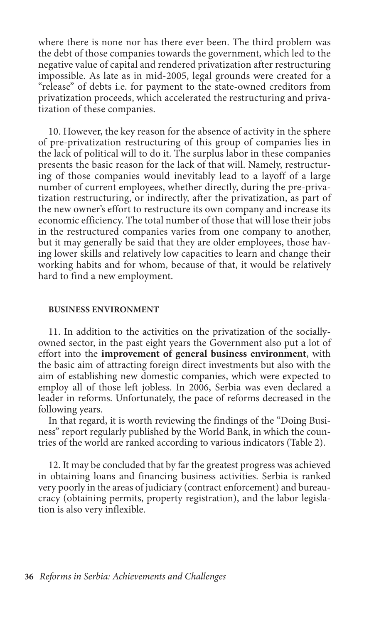where there is none nor has there ever been. The third problem was the debt of those companies towards the government, which led to the negative value of capital and rendered privatization after restructuring impossible. As late as in mid-2005, legal grounds were created for a "release" of debts i.e. for payment to the state-owned creditors from privatization proceeds, which accelerated the restructuring and privatization of these companies.

10. However, the key reason for the absence of activity in the sphere of pre-privatization restructuring of this group of companies lies in the lack of political will to do it. The surplus labor in these companies presents the basic reason for the lack of that will. Namely, restructuring of those companies would inevitably lead to a layoff of a large number of current employees, whether directly, during the pre-privatization restructuring, or indirectly, after the privatization, as part of the new owner's effort to restructure its own company and increase its economic efficiency. The total number of those that will lose their jobs in the restructured companies varies from one company to another, but it may generally be said that they are older employees, those having lower skills and relatively low capacities to learn and change their working habits and for whom, because of that, it would be relatively hard to find a new employment.

#### **Business environment**

11. In addition to the activities on the privatization of the sociallyowned sector, in the past eight years the Government also put a lot of effort into the **improvement of general business environment**, with the basic aim of attracting foreign direct investments but also with the aim of establishing new domestic companies, which were expected to employ all of those left jobless. In 2006, Serbia was even declared a leader in reforms. Unfortunately, the pace of reforms decreased in the following years.

In that regard, it is worth reviewing the findings of the "Doing Business" report regularly published by the World Bank, in which the countries of the world are ranked according to various indicators (Table 2).

12. It may be concluded that by far the greatest progress was achieved in obtaining loans and financing business activities. Serbia is ranked very poorly in the areas of judiciary (contract enforcement) and bureaucracy (obtaining permits, property registration), and the labor legislation is also very inflexible.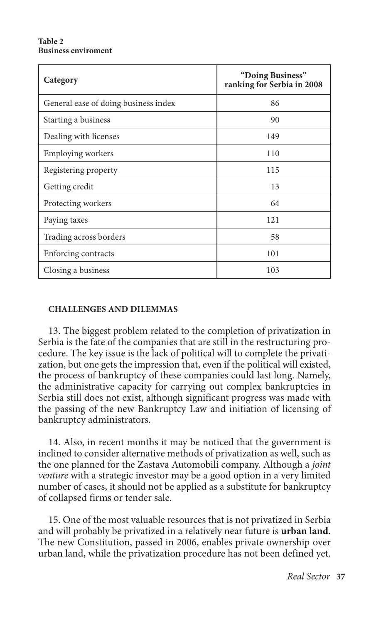#### **Table 2 Business enviroment**

| Category                             | "Doing Business"<br>ranking for Serbia in 2008 |
|--------------------------------------|------------------------------------------------|
| General ease of doing business index | 86                                             |
| Starting a business                  | 90                                             |
| Dealing with licenses                | 149                                            |
| <b>Employing workers</b>             | 110                                            |
| Registering property                 | 115                                            |
| Getting credit                       | 13                                             |
| Protecting workers                   | 64                                             |
| Paying taxes                         | 121                                            |
| Trading across borders               | 58                                             |
| Enforcing contracts                  | 101                                            |
| Closing a business                   | 103                                            |

### **Challenges and dilemmas**

13. The biggest problem related to the completion of privatization in Serbia is the fate of the companies that are still in the restructuring procedure. The key issue is the lack of political will to complete the privatization, but one gets the impression that, even if the political will existed, the process of bankruptcy of these companies could last long. Namely, the administrative capacity for carrying out complex bankruptcies in Serbia still does not exist, although significant progress was made with the passing of the new Bankruptcy Law and initiation of licensing of bankruptcy administrators.

14. Also, in recent months it may be noticed that the government is inclined to consider alternative methods of privatization as well, such as the one planned for the Zastava Automobili company. Although a *joint venture* with a strategic investor may be a good option in a very limited number of cases, it should not be applied as a substitute for bankruptcy of collapsed firms or tender sale.

15. One of the most valuable resources that is not privatized in Serbia and will probably be privatized in a relatively near future is **urban land**. The new Constitution, passed in 2006, enables private ownership over urban land, while the privatization procedure has not been defined yet.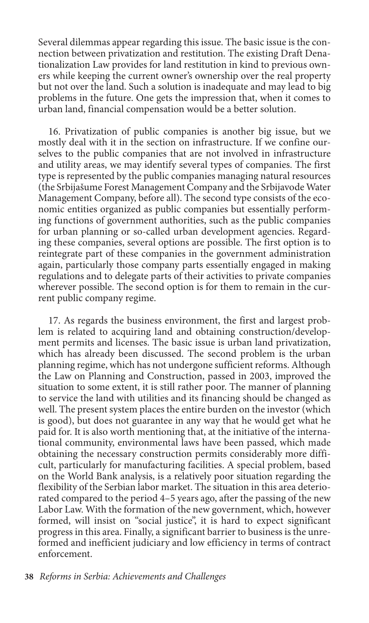Several dilemmas appear regarding this issue. The basic issue is the connection between privatization and restitution. The existing Draft Denationalization Law provides for land restitution in kind to previous owners while keeping the current owner's ownership over the real property but not over the land. Such a solution is inadequate and may lead to big problems in the future. One gets the impression that, when it comes to urban land, financial compensation would be a better solution.

16. Privatization of public companies is another big issue, but we mostly deal with it in the section on infrastructure. If we confine ourselves to the public companies that are not involved in infrastructure and utility areas, we may identify several types of companies. The first type is represented by the public companies managing natural resources (the Srbijašume Forest Management Company and the Srbijavode Water Management Company, before all). The second type consists of the economic entities organized as public companies but essentially performing functions of government authorities, such as the public companies for urban planning or so-called urban development agencies. Regarding these companies, several options are possible. The first option is to reintegrate part of these companies in the government administration again, particularly those company parts essentially engaged in making regulations and to delegate parts of their activities to private companies wherever possible. The second option is for them to remain in the current public company regime.

17. As regards the business environment, the first and largest problem is related to acquiring land and obtaining construction/development permits and licenses. The basic issue is urban land privatization, which has already been discussed. The second problem is the urban planning regime, which has not undergone sufficient reforms. Although the Law on Planning and Construction, passed in 2003, improved the situation to some extent, it is still rather poor. The manner of planning to service the land with utilities and its financing should be changed as well. The present system places the entire burden on the investor (which is good), but does not guarantee in any way that he would get what he paid for. It is also worth mentioning that, at the initiative of the international community, environmental laws have been passed, which made obtaining the necessary construction permits considerably more difficult, particularly for manufacturing facilities. A special problem, based on the World Bank analysis, is a relatively poor situation regarding the flexibility of the Serbian labor market. The situation in this area deteriorated compared to the period 4–5 years ago, after the passing of the new Labor Law. With the formation of the new government, which, however formed, will insist on "social justice", it is hard to expect significant progress in this area. Finally, a significant barrier to business is the unreformed and inefficient judiciary and low efficiency in terms of contract enforcement.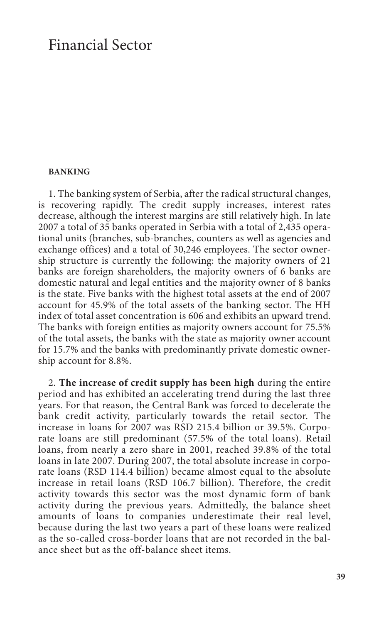## Financial Sector

#### **Banking**

1. The banking system of Serbia, after the radical structural changes, is recovering rapidly. The credit supply increases, interest rates decrease, although the interest margins are still relatively high. In late 2007 a total of 35 banks operated in Serbia with a total of 2,435 operational units (branches, sub-branches, counters as well as agencies and exchange offices) and a total of 30,246 employees. The sector ownership structure is currently the following: the majority owners of 21 banks are foreign shareholders, the majority owners of 6 banks are domestic natural and legal entities and the majority owner of 8 banks is the state. Five banks with the highest total assets at the end of 2007 account for 45.9% of the total assets of the banking sector. The HH index of total asset concentration is 606 and exhibits an upward trend. The banks with foreign entities as majority owners account for 75.5% of the total assets, the banks with the state as majority owner account for 15.7% and the banks with predominantly private domestic ownership account for 8.8%.

2. **The increase of credit supply has been high** during the entire period and has exhibited an accelerating trend during the last three years. For that reason, the Central Bank was forced to decelerate the bank credit activity, particularly towards the retail sector. The increase in loans for 2007 was RSD 215.4 billion or 39.5%. Corporate loans are still predominant (57.5% of the total loans). Retail loans, from nearly a zero share in 2001, reached 39.8% of the total loans in late 2007. During 2007, the total absolute increase in corporate loans (RSD 114.4 billion) became almost equal to the absolute increase in retail loans (RSD 106.7 billion). Therefore, the credit activity towards this sector was the most dynamic form of bank activity during the previous years. Admittedly, the balance sheet amounts of loans to companies underestimate their real level, because during the last two years a part of these loans were realized as the so-called cross-border loans that are not recorded in the balance sheet but as the off-balance sheet items.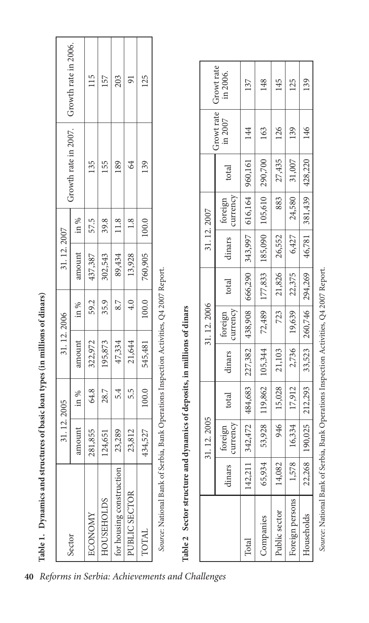| ֚֓<br>co finanza esta il listo es<br>l             |
|----------------------------------------------------|
| ı                                                  |
| くちじゅう こうこうしょう サイト                                  |
| i                                                  |
| <b>Control Control</b><br>$\overline{\phantom{a}}$ |
|                                                    |
| ¢                                                  |

| Growth rate in 2007. Crowth rate in 2006. |           | 115         | 157               | 203                      | $\overline{91}$<br>84 | 125     |                                                                                                                                                                     | Growt rate<br>Growt rate | in 2006.<br>in 2007 |
|-------------------------------------------|-----------|-------------|-------------------|--------------------------|-----------------------|---------|---------------------------------------------------------------------------------------------------------------------------------------------------------------------|--------------------------|---------------------|
|                                           |           | 135         | 155               | 189                      |                       | 139     |                                                                                                                                                                     |                          | total               |
|                                           | $\sin \%$ | 57.5        | 39.8              | 11.8                     | 1.8                   | 100.0   |                                                                                                                                                                     | 31.12.2007               | foreign             |
| 31.12.2007                                | amount    | 437,387     | 302,543           | 89,434                   | 13,928                | 760,905 |                                                                                                                                                                     |                          | dinars              |
|                                           | in %      | 59.2        | 35.9              | 8.7                      | 4.0                   | 100.0   |                                                                                                                                                                     |                          | total               |
|                                           |           |             |                   |                          |                       |         |                                                                                                                                                                     | 31.12.2006               | foreign             |
| 31.12.2006                                | amount    | 322,972     | 195,873           | 47,334                   | 21,644                | 545,481 |                                                                                                                                                                     |                          | dinars              |
|                                           | in %      | 64.8        | 28.7              | 5.4                      | 5.5                   | 100.0   |                                                                                                                                                                     |                          | total               |
| 31.12.2005                                | amount    | 855<br>281, | 651<br>124,       | 23,289                   | 812<br>23,8           | 434,527 |                                                                                                                                                                     | 31.12.2005               | foreign             |
|                                           |           |             |                   |                          |                       |         |                                                                                                                                                                     |                          | dinars              |
| Sector                                    |           | ECONOMY     | <b>HOUSEHOLDS</b> | for housing construction | PUBLIC SECTOR         | TOTAL   | Source: National Bank of Serbia, Bank Operations Inspection Activities, Q4 2007 Report.<br>Table 2 Sector structure and dynamics of deposits, in millions of dinars |                          |                     |

| in 2006.                         |                     | 137                                                                            | 148                                            | 145           | 125             | 139                        |
|----------------------------------|---------------------|--------------------------------------------------------------------------------|------------------------------------------------|---------------|-----------------|----------------------------|
| Growt rate Growt rate<br>in 2007 |                     | 144                                                                            | 163                                            | 126           | 139             | 146                        |
|                                  | total               |                                                                                |                                                | 27,435        | 31,007          |                            |
|                                  | foreign<br>currency | $342,472$ $484,683$ $27,382$ $438,908$ $666,290$ $343,997$ $616,164$ $960,161$ | 72,489   177,833   185,090   105,610   290,700 | 883           | 24,580          | 46,781 381,439 428,220     |
| 31.12.2007                       | dinars              |                                                                                |                                                | 26,552        | 6,427           |                            |
|                                  | total               |                                                                                |                                                | 21,826        | 22,375          |                            |
| 31.12.2006                       | foreign<br>currency |                                                                                |                                                | $723$         | 19,639          | 33,523   260,746   294,269 |
|                                  | dinars              |                                                                                |                                                | 21,103        | 2,736           |                            |
|                                  | total               |                                                                                | 53,928   119,862   105,344                     | 15,028        | 17,912          | $190,025$   212,293        |
| 31.12.2005                       | urrency<br>foreign  |                                                                                |                                                | 946           | 16,334          |                            |
|                                  | dinars              | 142,211                                                                        | 65,934                                         | 14,082        | 1,578           | 22,268                     |
|                                  |                     | Total                                                                          | Companies                                      | Public sector | Foreign persons | Households                 |

Source: National Bank of Serbia, Bank Operations Inspection Activities, Q4 2007 Report. *Source*: National Bank of Serbia, Bank Operations Inspection Activities, Q4 2007 Report.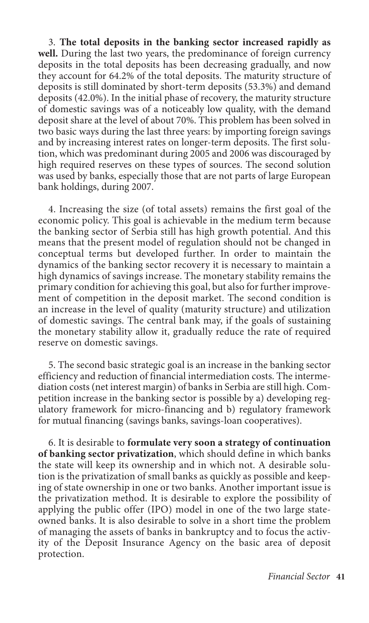3. **The total deposits in the banking sector increased rapidly as well.** During the last two years, the predominance of foreign currency deposits in the total deposits has been decreasing gradually, and now they account for 64.2% of the total deposits. The maturity structure of deposits is still dominated by short-term deposits (53.3%) and demand deposits (42.0%). In the initial phase of recovery, the maturity structure of domestic savings was of a noticeably low quality, with the demand deposit share at the level of about 70%. This problem has been solved in two basic ways during the last three years: by importing foreign savings and by increasing interest rates on longer-term deposits. The first solution, which was predominant during 2005 and 2006 was discouraged by high required reserves on these types of sources. The second solution was used by banks, especially those that are not parts of large European bank holdings, during 2007.

4. Increasing the size (of total assets) remains the first goal of the economic policy. This goal is achievable in the medium term because the banking sector of Serbia still has high growth potential. And this means that the present model of regulation should not be changed in conceptual terms but developed further. In order to maintain the dynamics of the banking sector recovery it is necessary to maintain a high dynamics of savings increase. The monetary stability remains the primary condition for achieving this goal, but also for further improvement of competition in the deposit market. The second condition is an increase in the level of quality (maturity structure) and utilization of domestic savings. The central bank may, if the goals of sustaining the monetary stability allow it, gradually reduce the rate of required reserve on domestic savings.

5. The second basic strategic goal is an increase in the banking sector efficiency and reduction of financial intermediation costs. The intermediation costs (net interest margin) of banks in Serbia are still high. Competition increase in the banking sector is possible by a) developing regulatory framework for micro-financing and b) regulatory framework for mutual financing (savings banks, savings-loan cooperatives).

6. It is desirable to **formulate very soon a strategy of continuation of banking sector privatization**, which should define in which banks the state will keep its ownership and in which not. A desirable solution is the privatization of small banks as quickly as possible and keeping of state ownership in one or two banks. Another important issue is the privatization method. It is desirable to explore the possibility of applying the public offer (IPO) model in one of the two large stateowned banks. It is also desirable to solve in a short time the problem of managing the assets of banks in bankruptcy and to focus the activity of the Deposit Insurance Agency on the basic area of deposit protection.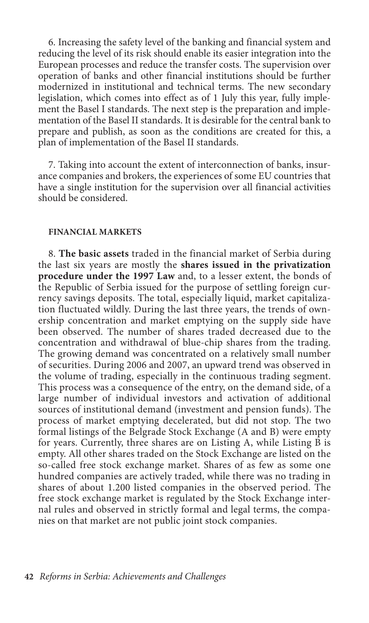6. Increasing the safety level of the banking and financial system and reducing the level of its risk should enable its easier integration into the European processes and reduce the transfer costs. The supervision over operation of banks and other financial institutions should be further modernized in institutional and technical terms. The new secondary legislation, which comes into effect as of 1 July this year, fully implement the Basel I standards. The next step is the preparation and implementation of the Basel II standards. It is desirable for the central bank to prepare and publish, as soon as the conditions are created for this, a plan of implementation of the Basel II standards.

7. Taking into account the extent of interconnection of banks, insurance companies and brokers, the experiences of some EU countries that have a single institution for the supervision over all financial activities should be considered.

#### **Financial markets**

8. **The basic assets** traded in the financial market of Serbia during the last six years are mostly the **shares issued in the privatization procedure under the 1997 Law** and, to a lesser extent, the bonds of the Republic of Serbia issued for the purpose of settling foreign currency savings deposits. The total, especially liquid, market capitalization fluctuated wildly. During the last three years, the trends of ownership concentration and market emptying on the supply side have been observed. The number of shares traded decreased due to the concentration and withdrawal of blue-chip shares from the trading. The growing demand was concentrated on a relatively small number of securities. During 2006 and 2007, an upward trend was observed in the volume of trading, especially in the continuous trading segment. This process was a consequence of the entry, on the demand side, of a large number of individual investors and activation of additional sources of institutional demand (investment and pension funds). The process of market emptying decelerated, but did not stop. The two formal listings of the Belgrade Stock Exchange (A and B) were empty for years. Currently, three shares are on Listing A, while Listing B is empty. All other shares traded on the Stock Exchange are listed on the so-called free stock exchange market. Shares of as few as some one hundred companies are actively traded, while there was no trading in shares of about 1.200 listed companies in the observed period. The free stock exchange market is regulated by the Stock Exchange internal rules and observed in strictly formal and legal terms, the companies on that market are not public joint stock companies.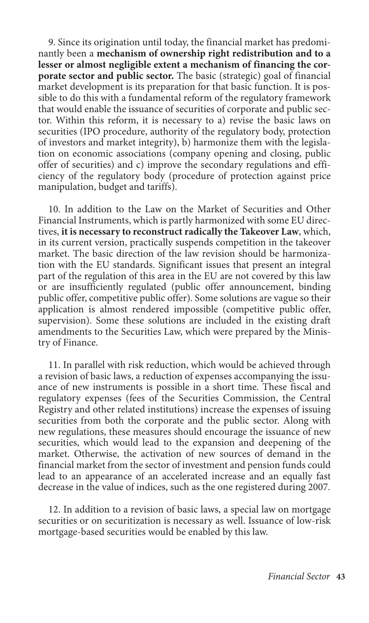9. Since its origination until today, the financial market has predominantly been a **mechanism of ownership right redistribution and to a lesser or almost negligible extent a mechanism of financing the corporate sector and public sector.** The basic (strategic) goal of financial market development is its preparation for that basic function. It is possible to do this with a fundamental reform of the regulatory framework that would enable the issuance of securities of corporate and public sector. Within this reform, it is necessary to a) revise the basic laws on securities (IPO procedure, authority of the regulatory body, protection of investors and market integrity), b) harmonize them with the legislation on economic associations (company opening and closing, public offer of securities) and c) improve the secondary regulations and efficiency of the regulatory body (procedure of protection against price manipulation, budget and tariffs).

10. In addition to the Law on the Market of Securities and Other Financial Instruments, which is partly harmonized with some EU directives, **it is necessary to reconstruct radically the Takeover Law**, which, in its current version, practically suspends competition in the takeover market. The basic direction of the law revision should be harmonization with the EU standards. Significant issues that present an integral part of the regulation of this area in the EU are not covered by this law or are insufficiently regulated (public offer announcement, binding public offer, competitive public offer). Some solutions are vague so their application is almost rendered impossible (competitive public offer, supervision). Some these solutions are included in the existing draft amendments to the Securities Law, which were prepared by the Ministry of Finance.

11. In parallel with risk reduction, which would be achieved through a revision of basic laws, a reduction of expenses accompanying the issuance of new instruments is possible in a short time. These fiscal and regulatory expenses (fees of the Securities Commission, the Central Registry and other related institutions) increase the expenses of issuing securities from both the corporate and the public sector. Along with new regulations, these measures should encourage the issuance of new securities, which would lead to the expansion and deepening of the market. Otherwise, the activation of new sources of demand in the financial market from the sector of investment and pension funds could lead to an appearance of an accelerated increase and an equally fast decrease in the value of indices, such as the one registered during 2007.

12. In addition to a revision of basic laws, a special law on mortgage securities or on securitization is necessary as well. Issuance of low-risk mortgage-based securities would be enabled by this law.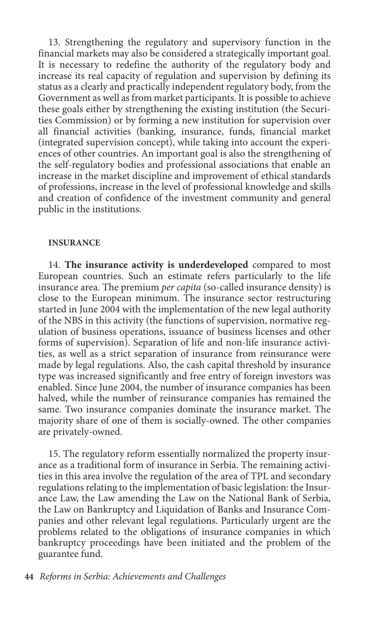13. Strengthening the regulatory and supervisory function in the financial markets may also be considered a strategically important goal. It is necessary to redefine the authority of the regulatory body and increase its real capacity of regulation and supervision by defining its status as a clearly and practically independent regulatory body, from the Government as well as from market participants. It is possible to achieve these goals either by strengthening the existing institution (the Securities Commission) or by forming a new institution for supervision over all financial activities (banking, insurance, funds, financial market (integrated supervision concept), while taking into account the experiences of other countries. An important goal is also the strengthening of the self-regulatory bodies and professional associations that enable an increase in the market discipline and improvement of ethical standards of professions, increase in the level of professional knowledge and skills and creation of confidence of the investment community and general public in the institutions.

#### **Insurance**

14. **The insurance activity is underdeveloped** compared to most European countries. Such an estimate refers particularly to the life insurance area. The premium *per capita* (so-called insurance density) is close to the European minimum. The insurance sector restructuring started in June 2004 with the implementation of the new legal authority of the NBS in this activity (the functions of supervision, normative regulation of business operations, issuance of business licenses and other forms of supervision). Separation of life and non-life insurance activities, as well as a strict separation of insurance from reinsurance were made by legal regulations. Also, the cash capital threshold by insurance type was increased significantly and free entry of foreign investors was enabled. Since June 2004, the number of insurance companies has been halved, while the number of reinsurance companies has remained the same. Two insurance companies dominate the insurance market. The majority share of one of them is socially-owned. The other companies are privately-owned.

15. The regulatory reform essentially normalized the property insurance as a traditional form of insurance in Serbia. The remaining activities in this area involve the regulation of the area of TPL and secondary regulations relating to the implementation of basic legislation: the Insurance Law, the Law amending the Law on the National Bank of Serbia, the Law on Bankruptcy and Liquidation of Banks and Insurance Companies and other relevant legal regulations. Particularly urgent are the problems related to the obligations of insurance companies in which bankruptcy proceedings have been initiated and the problem of the guarantee fund.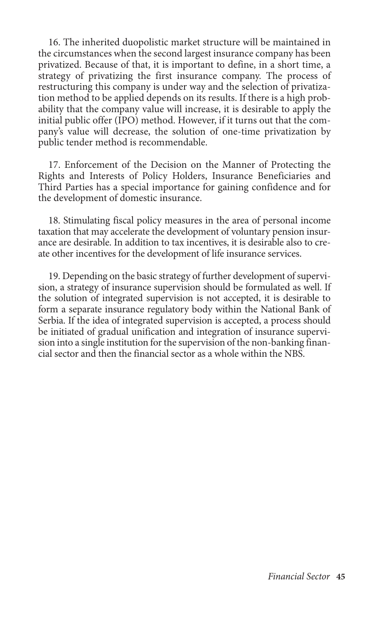16. The inherited duopolistic market structure will be maintained in the circumstances when the second largest insurance company has been privatized. Because of that, it is important to define, in a short time, a strategy of privatizing the first insurance company. The process of restructuring this company is under way and the selection of privatization method to be applied depends on its results. If there is a high probability that the company value will increase, it is desirable to apply the initial public offer (IPO) method. However, if it turns out that the company's value will decrease, the solution of one-time privatization by public tender method is recommendable.

17. Enforcement of the Decision on the Manner of Protecting the Rights and Interests of Policy Holders, Insurance Beneficiaries and Third Parties has a special importance for gaining confidence and for the development of domestic insurance.

18. Stimulating fiscal policy measures in the area of personal income taxation that may accelerate the development of voluntary pension insurance are desirable. In addition to tax incentives, it is desirable also to create other incentives for the development of life insurance services.

19. Depending on the basic strategy of further development of supervision, a strategy of insurance supervision should be formulated as well. If the solution of integrated supervision is not accepted, it is desirable to form a separate insurance regulatory body within the National Bank of Serbia. If the idea of integrated supervision is accepted, a process should be initiated of gradual unification and integration of insurance supervision into a single institution for the supervision of the non-banking financial sector and then the financial sector as a whole within the NBS.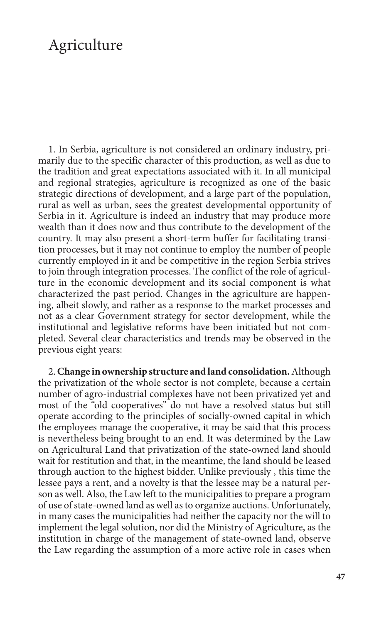# Agriculture

1. In Serbia, agriculture is not considered an ordinary industry, primarily due to the specific character of this production, as well as due to the tradition and great expectations associated with it. In all municipal and regional strategies, agriculture is recognized as one of the basic strategic directions of development, and a large part of the population, rural as well as urban, sees the greatest developmental opportunity of Serbia in it. Agriculture is indeed an industry that may produce more wealth than it does now and thus contribute to the development of the country. It may also present a short-term buffer for facilitating transition processes, but it may not continue to employ the number of people currently employed in it and be competitive in the region Serbia strives to join through integration processes. The conflict of the role of agriculture in the economic development and its social component is what characterized the past period. Changes in the agriculture are happening, albeit slowly, and rather as a response to the market processes and not as a clear Government strategy for sector development, while the institutional and legislative reforms have been initiated but not completed. Several clear characteristics and trends may be observed in the previous eight years:

2. **Change in ownership structure and land consolidation.** Although the privatization of the whole sector is not complete, because a certain number of agro-industrial complexes have not been privatized yet and most of the "old cooperatives" do not have a resolved status but still operate according to the principles of socially-owned capital in which the employees manage the cooperative, it may be said that this process is nevertheless being brought to an end. It was determined by the Law on Agricultural Land that privatization of the state-owned land should wait for restitution and that, in the meantime, the land should be leased through auction to the highest bidder. Unlike previously , this time the lessee pays a rent, and a novelty is that the lessee may be a natural person as well. Also, the Law left to the municipalities to prepare a program of use of state-owned land as well as to organize auctions. Unfortunately, in many cases the municipalities had neither the capacity nor the will to implement the legal solution, nor did the Ministry of Agriculture, as the institution in charge of the management of state-owned land, observe the Law regarding the assumption of a more active role in cases when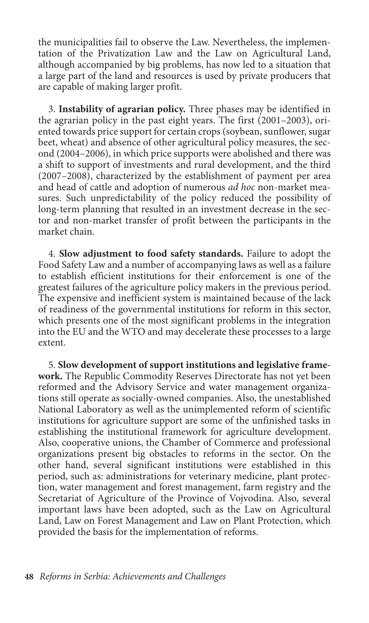the municipalities fail to observe the Law. Nevertheless, the implementation of the Privatization Law and the Law on Agricultural Land, although accompanied by big problems, has now led to a situation that a large part of the land and resources is used by private producers that are capable of making larger profit.

3. **Instability of agrarian policy.** Three phases may be identified in the agrarian policy in the past eight years. The first (2001–2003), oriented towards price support for certain crops (soybean, sunflower, sugar beet, wheat) and absence of other agricultural policy measures, the second (2004–2006), in which price supports were abolished and there was a shift to support of investments and rural development, and the third (2007–2008), characterized by the establishment of payment per area and head of cattle and adoption of numerous *ad hoc* non-market measures. Such unpredictability of the policy reduced the possibility of long-term planning that resulted in an investment decrease in the sector and non-market transfer of profit between the participants in the market chain.

4. **Slow adjustment to food safety standards.** Failure to adopt the Food Safety Law and a number of accompanying laws as well as a failure to establish efficient institutions for their enforcement is one of the greatest failures of the agriculture policy makers in the previous period. The expensive and inefficient system is maintained because of the lack of readiness of the governmental institutions for reform in this sector, which presents one of the most significant problems in the integration into the EU and the WTO and may decelerate these processes to a large extent.

5. **Slow development of support institutions and legislative framework.** The Republic Commodity Reserves Directorate has not yet been reformed and the Advisory Service and water management organizations still operate as socially-owned companies. Also, the unestablished National Laboratory as well as the unimplemented reform of scientific institutions for agriculture support are some of the unfinished tasks in establishing the institutional framework for agriculture development. Also, cooperative unions, the Chamber of Commerce and professional organizations present big obstacles to reforms in the sector. On the other hand, several significant institutions were established in this period, such as: administrations for veterinary medicine, plant protection, water management and forest management, farm registry and the Secretariat of Agriculture of the Province of Vojvodina. Also, several important laws have been adopted, such as the Law on Agricultural Land, Law on Forest Management and Law on Plant Protection, which provided the basis for the implementation of reforms.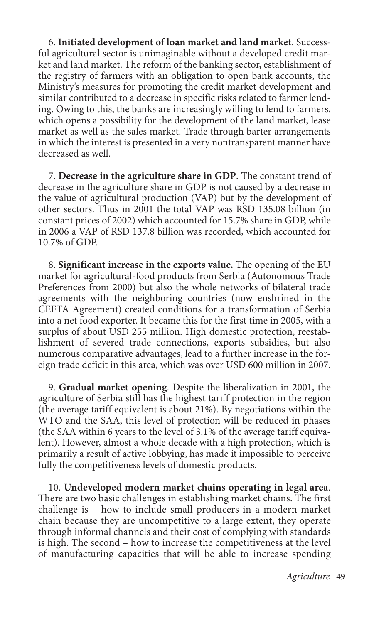6. **Initiated development of loan market and land market**. Successful agricultural sector is unimaginable without a developed credit market and land market. The reform of the banking sector, establishment of the registry of farmers with an obligation to open bank accounts, the Ministry's measures for promoting the credit market development and similar contributed to a decrease in specific risks related to farmer lending. Owing to this, the banks are increasingly willing to lend to farmers, which opens a possibility for the development of the land market, lease market as well as the sales market. Trade through barter arrangements in which the interest is presented in a very nontransparent manner have decreased as well.

7. **Decrease in the agriculture share in GDP**. The constant trend of decrease in the agriculture share in GDP is not caused by a decrease in the value of agricultural production (VAP) but by the development of other sectors. Thus in 2001 the total VAP was RSD 135.08 billion (in constant prices of 2002) which accounted for 15.7% share in GDP, while in 2006 a VAP of RSD 137.8 billion was recorded, which accounted for 10.7% of GDP.

8. **Significant increase in the exports value.** The opening of the EU market for agricultural-food products from Serbia (Autonomous Trade Preferences from 2000) but also the whole networks of bilateral trade agreements with the neighboring countries (now enshrined in the CEFTA Agreement) created conditions for a transformation of Serbia into a net food exporter. It became this for the first time in 2005, with a surplus of about USD 255 million. High domestic protection, reestablishment of severed trade connections, exports subsidies, but also numerous comparative advantages, lead to a further increase in the foreign trade deficit in this area, which was over USD 600 million in 2007.

9. **Gradual market opening**. Despite the liberalization in 2001, the agriculture of Serbia still has the highest tariff protection in the region (the average tariff equivalent is about 21%). By negotiations within the WTO and the SAA, this level of protection will be reduced in phases (the SAA within 6 years to the level of 3.1% of the average tariff equivalent). However, almost a whole decade with a high protection, which is primarily a result of active lobbying, has made it impossible to perceive fully the competitiveness levels of domestic products.

10. **Undeveloped modern market chains operating in legal area**. There are two basic challenges in establishing market chains. The first challenge is – how to include small producers in a modern market chain because they are uncompetitive to a large extent, they operate through informal channels and their cost of complying with standards is high. The second – how to increase the competitiveness at the level of manufacturing capacities that will be able to increase spending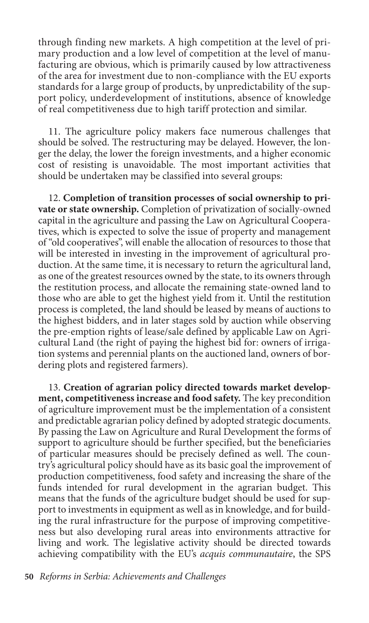through finding new markets. A high competition at the level of primary production and a low level of competition at the level of manufacturing are obvious, which is primarily caused by low attractiveness of the area for investment due to non-compliance with the EU exports standards for a large group of products, by unpredictability of the support policy, underdevelopment of institutions, absence of knowledge of real competitiveness due to high tariff protection and similar.

11. The agriculture policy makers face numerous challenges that should be solved. The restructuring may be delayed. However, the longer the delay, the lower the foreign investments, and a higher economic cost of resisting is unavoidable. The most important activities that should be undertaken may be classified into several groups:

12. **Completion of transition processes of social ownership to private or state ownership.** Completion of privatization of socially-owned capital in the agriculture and passing the Law on Agricultural Cooperatives, which is expected to solve the issue of property and management of "old cooperatives", will enable the allocation of resources to those that will be interested in investing in the improvement of agricultural production. At the same time, it is necessary to return the agricultural land, as one of the greatest resources owned by the state, to its owners through the restitution process, and allocate the remaining state-owned land to those who are able to get the highest yield from it. Until the restitution process is completed, the land should be leased by means of auctions to the highest bidders, and in later stages sold by auction while observing the pre-emption rights of lease/sale defined by applicable Law on Agricultural Land (the right of paying the highest bid for: owners of irrigation systems and perennial plants on the auctioned land, owners of bordering plots and registered farmers).

13. **Creation of agrarian policy directed towards market development, competitiveness increase and food safety.** The key precondition of agriculture improvement must be the implementation of a consistent and predictable agrarian policy defined by adopted strategic documents. By passing the Law on Agriculture and Rural Development the forms of support to agriculture should be further specified, but the beneficiaries of particular measures should be precisely defined as well. The country's agricultural policy should have as its basic goal the improvement of production competitiveness, food safety and increasing the share of the funds intended for rural development in the agrarian budget. This means that the funds of the agriculture budget should be used for support to investments in equipment as well as in knowledge, and for building the rural infrastructure for the purpose of improving competitiveness but also developing rural areas into environments attractive for living and work. The legislative activity should be directed towards achieving compatibility with the EU's *acquis communautaire*, the SPS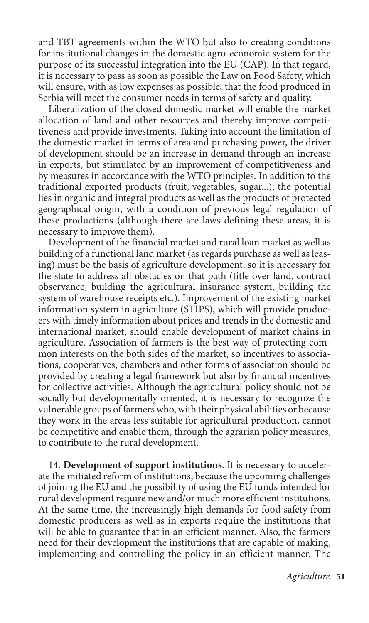and TBT agreements within the WTO but also to creating conditions for institutional changes in the domestic agro-economic system for the purpose of its successful integration into the EU (CAP). In that regard, it is necessary to pass as soon as possible the Law on Food Safety, which will ensure, with as low expenses as possible, that the food produced in Serbia will meet the consumer needs in terms of safety and quality.

Liberalization of the closed domestic market will enable the market allocation of land and other resources and thereby improve competitiveness and provide investments. Taking into account the limitation of the domestic market in terms of area and purchasing power, the driver of development should be an increase in demand through an increase in exports, but stimulated by an improvement of competitiveness and by measures in accordance with the WTO principles. In addition to the traditional exported products (fruit, vegetables, sugar...), the potential lies in organic and integral products as well as the products of protected geographical origin, with a condition of previous legal regulation of these productions (although there are laws defining these areas, it is necessary to improve them).

Development of the financial market and rural loan market as well as building of a functional land market (as regards purchase as well as leasing) must be the basis of agriculture development, so it is necessary for the state to address all obstacles on that path (title over land, contract observance, building the agricultural insurance system, building the system of warehouse receipts etc.). Improvement of the existing market information system in agriculture (STIPS), which will provide producers with timely information about prices and trends in the domestic and international market, should enable development of market chains in agriculture. Association of farmers is the best way of protecting common interests on the both sides of the market, so incentives to associations, cooperatives, chambers and other forms of association should be provided by creating a legal framework but also by financial incentives for collective activities. Although the agricultural policy should not be socially but developmentally oriented, it is necessary to recognize the vulnerable groups of farmers who, with their physical abilities or because they work in the areas less suitable for agricultural production, cannot be competitive and enable them, through the agrarian policy measures, to contribute to the rural development.

14. **Development of support institutions**. It is necessary to accelerate the initiated reform of institutions, because the upcoming challenges of joining the EU and the possibility of using the EU funds intended for rural development require new and/or much more efficient institutions. At the same time, the increasingly high demands for food safety from domestic producers as well as in exports require the institutions that will be able to guarantee that in an efficient manner. Also, the farmers need for their development the institutions that are capable of making, implementing and controlling the policy in an efficient manner. The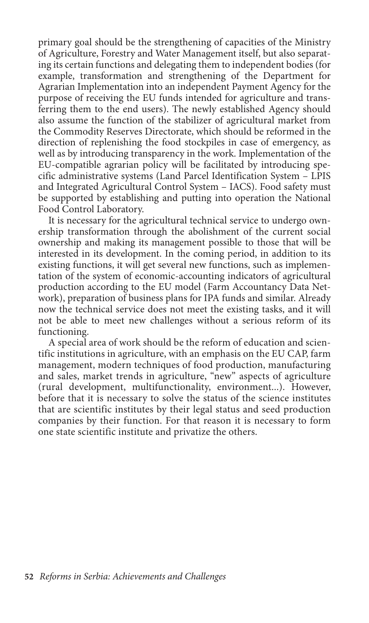primary goal should be the strengthening of capacities of the Ministry of Agriculture, Forestry and Water Management itself, but also separating its certain functions and delegating them to independent bodies (for example, transformation and strengthening of the Department for Agrarian Implementation into an independent Payment Agency for the purpose of receiving the EU funds intended for agriculture and transferring them to the end users). The newly established Agency should also assume the function of the stabilizer of agricultural market from the Commodity Reserves Directorate, which should be reformed in the direction of replenishing the food stockpiles in case of emergency, as well as by introducing transparency in the work. Implementation of the EU-compatible agrarian policy will be facilitated by introducing specific administrative systems (Land Parcel Identification System – LPIS and Integrated Agricultural Control System – IACS). Food safety must be supported by establishing and putting into operation the National Food Control Laboratory.

It is necessary for the agricultural technical service to undergo ownership transformation through the abolishment of the current social ownership and making its management possible to those that will be interested in its development. In the coming period, in addition to its existing functions, it will get several new functions, such as implementation of the system of economic-accounting indicators of agricultural production according to the EU model (Farm Accountancy Data Network), preparation of business plans for IPA funds and similar. Already now the technical service does not meet the existing tasks, and it will not be able to meet new challenges without a serious reform of its functioning.

A special area of work should be the reform of education and scientific institutions in agriculture, with an emphasis on the EU CAP, farm management, modern techniques of food production, manufacturing and sales, market trends in agriculture, "new" aspects of agriculture (rural development, multifunctionality, environment...). However, before that it is necessary to solve the status of the science institutes that are scientific institutes by their legal status and seed production companies by their function. For that reason it is necessary to form one state scientific institute and privatize the others.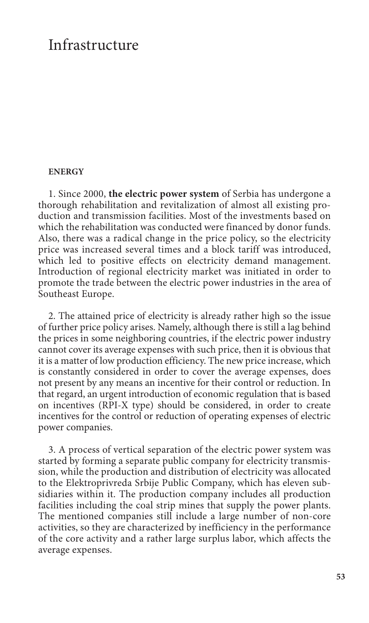### Infrastructure

#### **Energy**

1. Since 2000, **the electric power system** of Serbia has undergone a thorough rehabilitation and revitalization of almost all existing production and transmission facilities. Most of the investments based on which the rehabilitation was conducted were financed by donor funds. Also, there was a radical change in the price policy, so the electricity price was increased several times and a block tariff was introduced, which led to positive effects on electricity demand management. Introduction of regional electricity market was initiated in order to promote the trade between the electric power industries in the area of Southeast Europe.

2. The attained price of electricity is already rather high so the issue of further price policy arises. Namely, although there is still a lag behind the prices in some neighboring countries, if the electric power industry cannot cover its average expenses with such price, then it is obvious that it is a matter of low production efficiency. The new price increase, which is constantly considered in order to cover the average expenses, does not present by any means an incentive for their control or reduction. In that regard, an urgent introduction of economic regulation that is based on incentives (RPI-X type) should be considered, in order to create incentives for the control or reduction of operating expenses of electric power companies.

3. A process of vertical separation of the electric power system was started by forming a separate public company for electricity transmission, while the production and distribution of electricity was allocated to the Elektroprivreda Srbije Public Company, which has eleven subsidiaries within it. The production company includes all production facilities including the coal strip mines that supply the power plants. The mentioned companies still include a large number of non-core activities, so they are characterized by inefficiency in the performance of the core activity and a rather large surplus labor, which affects the average expenses.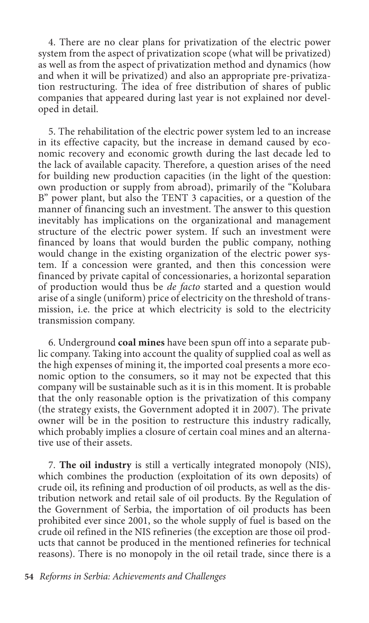4. There are no clear plans for privatization of the electric power system from the aspect of privatization scope (what will be privatized) as well as from the aspect of privatization method and dynamics (how and when it will be privatized) and also an appropriate pre-privatization restructuring. The idea of free distribution of shares of public companies that appeared during last year is not explained nor developed in detail.

5. The rehabilitation of the electric power system led to an increase in its effective capacity, but the increase in demand caused by economic recovery and economic growth during the last decade led to the lack of available capacity. Therefore, a question arises of the need for building new production capacities (in the light of the question: own production or supply from abroad), primarily of the "Kolubara B" power plant, but also the TENT 3 capacities, or a question of the manner of financing such an investment. The answer to this question inevitably has implications on the organizational and management structure of the electric power system. If such an investment were financed by loans that would burden the public company, nothing would change in the existing organization of the electric power system. If a concession were granted, and then this concession were financed by private capital of concessionaries, a horizontal separation of production would thus be *de facto* started and a question would arise of a single (uniform) price of electricity on the threshold of transmission, i.e. the price at which electricity is sold to the electricity transmission company.

6. Underground **coal mines** have been spun off into a separate public company. Taking into account the quality of supplied coal as well as the high expenses of mining it, the imported coal presents a more economic option to the consumers, so it may not be expected that this company will be sustainable such as it is in this moment. It is probable that the only reasonable option is the privatization of this company (the strategy exists, the Government adopted it in 2007). The private owner will be in the position to restructure this industry radically, which probably implies a closure of certain coal mines and an alternative use of their assets.

7. **The oil industry** is still a vertically integrated monopoly (NIS), which combines the production (exploitation of its own deposits) of crude oil, its refining and production of oil products, as well as the distribution network and retail sale of oil products. By the Regulation of the Government of Serbia, the importation of oil products has been prohibited ever since 2001, so the whole supply of fuel is based on the crude oil refined in the NIS refineries (the exception are those oil products that cannot be produced in the mentioned refineries for technical reasons). There is no monopoly in the oil retail trade, since there is a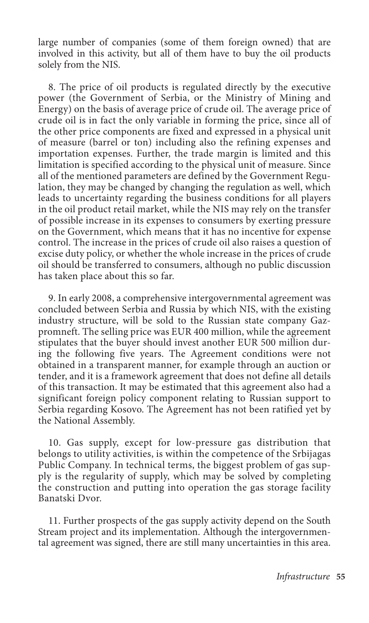large number of companies (some of them foreign owned) that are involved in this activity, but all of them have to buy the oil products solely from the NIS.

8. The price of oil products is regulated directly by the executive power (the Government of Serbia, or the Ministry of Mining and Energy) on the basis of average price of crude oil. The average price of crude oil is in fact the only variable in forming the price, since all of the other price components are fixed and expressed in a physical unit of measure (barrel or ton) including also the refining expenses and importation expenses. Further, the trade margin is limited and this limitation is specified according to the physical unit of measure. Since all of the mentioned parameters are defined by the Government Regulation, they may be changed by changing the regulation as well, which leads to uncertainty regarding the business conditions for all players in the oil product retail market, while the NIS may rely on the transfer of possible increase in its expenses to consumers by exerting pressure on the Government, which means that it has no incentive for expense control. The increase in the prices of crude oil also raises a question of excise duty policy, or whether the whole increase in the prices of crude oil should be transferred to consumers, although no public discussion has taken place about this so far.

9. In early 2008, a comprehensive intergovernmental agreement was concluded between Serbia and Russia by which NIS, with the existing industry structure, will be sold to the Russian state company Gazpromneft. The selling price was EUR 400 million, while the agreement stipulates that the buyer should invest another EUR 500 million during the following five years. The Agreement conditions were not obtained in a transparent manner, for example through an auction or tender, and it is a framework agreement that does not define all details of this transaction. It may be estimated that this agreement also had a significant foreign policy component relating to Russian support to Serbia regarding Kosovo. The Agreement has not been ratified yet by the National Assembly.

10. Gas supply, except for low-pressure gas distribution that belongs to utility activities, is within the competence of the Srbijagas Public Company. In technical terms, the biggest problem of gas supply is the regularity of supply, which may be solved by completing the construction and putting into operation the gas storage facility Banatski Dvor.

11. Further prospects of the gas supply activity depend on the South Stream project and its implementation. Although the intergovernmental agreement was signed, there are still many uncertainties in this area.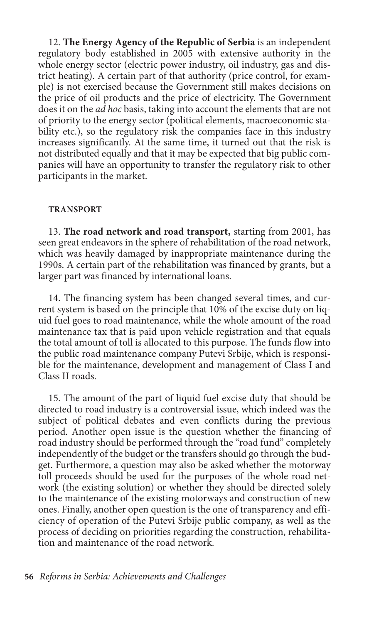12. **The Energy Agency of the Republic of Serbia** is an independent regulatory body established in 2005 with extensive authority in the whole energy sector (electric power industry, oil industry, gas and district heating). A certain part of that authority (price control, for example) is not exercised because the Government still makes decisions on the price of oil products and the price of electricity. The Government does it on the *ad hoc* basis, taking into account the elements that are not of priority to the energy sector (political elements, macroeconomic stability etc.), so the regulatory risk the companies face in this industry increases significantly. At the same time, it turned out that the risk is not distributed equally and that it may be expected that big public companies will have an opportunity to transfer the regulatory risk to other participants in the market.

#### **Transport**

13. **The road network and road transport,** starting from 2001, has seen great endeavors in the sphere of rehabilitation of the road network, which was heavily damaged by inappropriate maintenance during the 1990s. A certain part of the rehabilitation was financed by grants, but a larger part was financed by international loans.

14. The financing system has been changed several times, and current system is based on the principle that 10% of the excise duty on liquid fuel goes to road maintenance, while the whole amount of the road maintenance tax that is paid upon vehicle registration and that equals the total amount of toll is allocated to this purpose. The funds flow into the public road maintenance company Putevi Srbije, which is responsible for the maintenance, development and management of Class I and Class II roads.

15. The amount of the part of liquid fuel excise duty that should be directed to road industry is a controversial issue, which indeed was the subject of political debates and even conflicts during the previous period. Another open issue is the question whether the financing of road industry should be performed through the "road fund" completely independently of the budget or the transfers should go through the budget. Furthermore, a question may also be asked whether the motorway toll proceeds should be used for the purposes of the whole road network (the existing solution) or whether they should be directed solely to the maintenance of the existing motorways and construction of new ones. Finally, another open question is the one of transparency and efficiency of operation of the Putevi Srbije public company, as well as the process of deciding on priorities regarding the construction, rehabilitation and maintenance of the road network.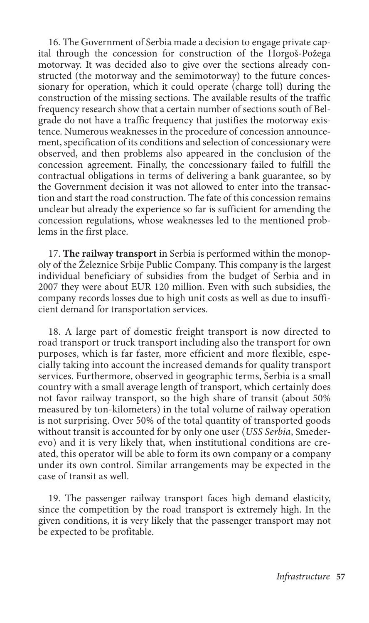16. The Government of Serbia made a decision to engage private capital through the concession for construction of the Horgoš-Požega motorway. It was decided also to give over the sections already constructed (the motorway and the semimotorway) to the future concessionary for operation, which it could operate (charge toll) during the construction of the missing sections. The available results of the traffic frequency research show that a certain number of sections south of Belgrade do not have a traffic frequency that justifies the motorway existence. Numerous weaknesses in the procedure of concession announcement, specification of its conditions and selection of concessionary were observed, and then problems also appeared in the conclusion of the concession agreement. Finally, the concessionary failed to fulfill the contractual obligations in terms of delivering a bank guarantee, so by the Government decision it was not allowed to enter into the transaction and start the road construction. The fate of this concession remains unclear but already the experience so far is sufficient for amending the concession regulations, whose weaknesses led to the mentioned problems in the first place.

17. **The railway transport** in Serbia is performed within the monopoly of the Železnice Srbije Public Company. This company is the largest individual beneficiary of subsidies from the budget of Serbia and in 2007 they were about EUR 120 million. Even with such subsidies, the company records losses due to high unit costs as well as due to insufficient demand for transportation services.

18. A large part of domestic freight transport is now directed to road transport or truck transport including also the transport for own purposes, which is far faster, more efficient and more flexible, especially taking into account the increased demands for quality transport services. Furthermore, observed in geographic terms, Serbia is a small country with a small average length of transport, which certainly does not favor railway transport, so the high share of transit (about 50% measured by ton-kilometers) in the total volume of railway operation is not surprising. Over 50% of the total quantity of transported goods without transit is accounted for by only one user (*USS Serbia*, Smederevo) and it is very likely that, when institutional conditions are created, this operator will be able to form its own company or a company under its own control. Similar arrangements may be expected in the case of transit as well.

19. The passenger railway transport faces high demand elasticity, since the competition by the road transport is extremely high. In the given conditions, it is very likely that the passenger transport may not be expected to be profitable.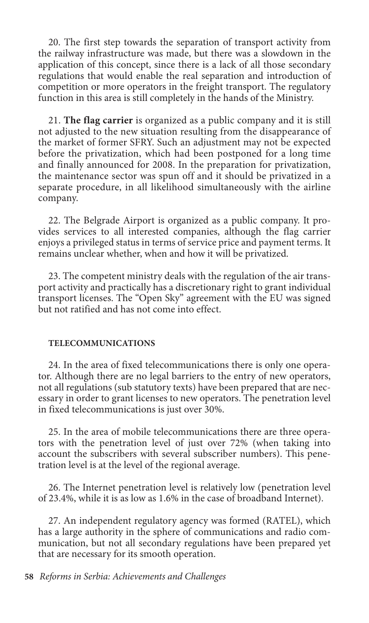20. The first step towards the separation of transport activity from the railway infrastructure was made, but there was a slowdown in the application of this concept, since there is a lack of all those secondary regulations that would enable the real separation and introduction of competition or more operators in the freight transport. The regulatory function in this area is still completely in the hands of the Ministry.

21. **The flag carrier** is organized as a public company and it is still not adjusted to the new situation resulting from the disappearance of the market of former SFRY. Such an adjustment may not be expected before the privatization, which had been postponed for a long time and finally announced for 2008. In the preparation for privatization, the maintenance sector was spun off and it should be privatized in a separate procedure, in all likelihood simultaneously with the airline company.

22. The Belgrade Airport is organized as a public company. It provides services to all interested companies, although the flag carrier enjoys a privileged status in terms of service price and payment terms. It remains unclear whether, when and how it will be privatized.

23. The competent ministry deals with the regulation of the air transport activity and practically has a discretionary right to grant individual transport licenses. The "Open Sky" agreement with the EU was signed but not ratified and has not come into effect.

### **Telecommunications**

24. In the area of fixed telecommunications there is only one operator. Although there are no legal barriers to the entry of new operators, not all regulations (sub statutory texts) have been prepared that are necessary in order to grant licenses to new operators. The penetration level in fixed telecommunications is just over 30%.

25. In the area of mobile telecommunications there are three operators with the penetration level of just over 72% (when taking into account the subscribers with several subscriber numbers). This penetration level is at the level of the regional average.

26. The Internet penetration level is relatively low (penetration level of 23.4%, while it is as low as 1.6% in the case of broadband Internet).

27. An independent regulatory agency was formed (RATEL), which has a large authority in the sphere of communications and radio communication, but not all secondary regulations have been prepared yet that are necessary for its smooth operation.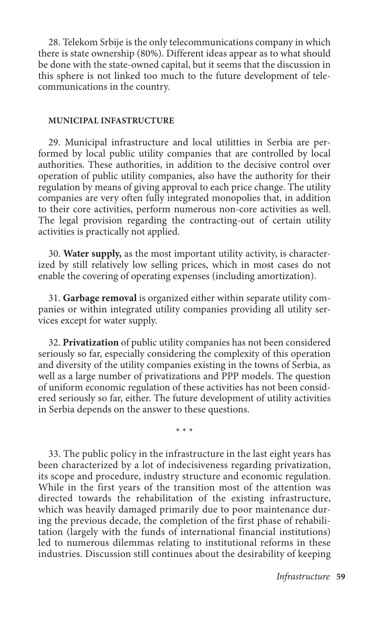28. Telekom Srbije is the only telecommunications company in which there is state ownership (80%). Different ideas appear as to what should be done with the state-owned capital, but it seems that the discussion in this sphere is not linked too much to the future development of telecommunications in the country.

#### **Municipal Infastructure**

29. Municipal infrastructure and local utilitties in Serbia are performed by local public utility companies that are controlled by local authorities. These authorities, in addition to the decisive control over operation of public utility companies, also have the authority for their regulation by means of giving approval to each price change. The utility companies are very often fully integrated monopolies that, in addition to their core activities, perform numerous non-core activities as well. The legal provision regarding the contracting-out of certain utility activities is practically not applied.

30. **Water supply,** as the most important utility activity, is characterized by still relatively low selling prices, which in most cases do not enable the covering of operating expenses (including amortization).

31. **Garbage removal** is organized either within separate utility companies or within integrated utility companies providing all utility services except for water supply.

32. **Privatization** of public utility companies has not been considered seriously so far, especially considering the complexity of this operation and diversity of the utility companies existing in the towns of Serbia, as well as a large number of privatizations and PPP models. The question of uniform economic regulation of these activities has not been considered seriously so far, either. The future development of utility activities in Serbia depends on the answer to these questions.

\* \* \*

33. The public policy in the infrastructure in the last eight years has been characterized by a lot of indecisiveness regarding privatization, its scope and procedure, industry structure and economic regulation. While in the first years of the transition most of the attention was directed towards the rehabilitation of the existing infrastructure, which was heavily damaged primarily due to poor maintenance during the previous decade, the completion of the first phase of rehabilitation (largely with the funds of international financial institutions) led to numerous dilemmas relating to institutional reforms in these industries. Discussion still continues about the desirability of keeping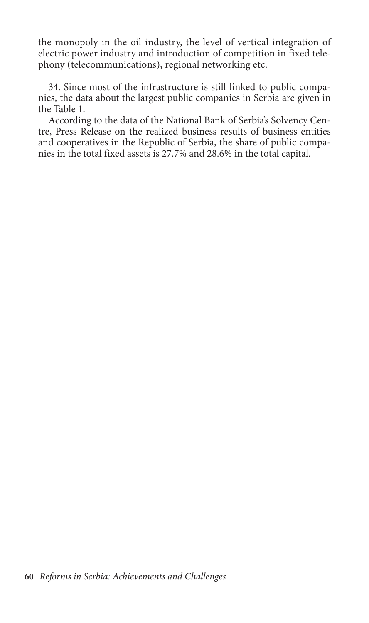the monopoly in the oil industry, the level of vertical integration of electric power industry and introduction of competition in fixed telephony (telecommunications), regional networking etc.

34. Since most of the infrastructure is still linked to public companies, the data about the largest public companies in Serbia are given in the Table 1.

According to the data of the National Bank of Serbia's Solvency Centre, Press Release on the realized business results of business entities and cooperatives in the Republic of Serbia, the share of public companies in the total fixed assets is 27.7% and 28.6% in the total capital.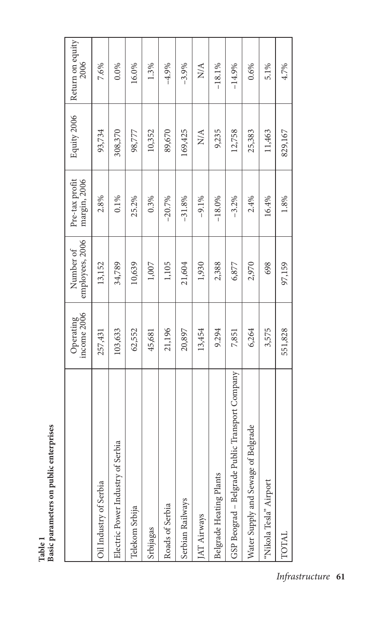| mrise               |
|---------------------|
| S                   |
| Σ<br>به.            |
|                     |
|                     |
| parameters on publi |
|                     |
|                     |
|                     |
|                     |
| π<br>Sasic          |
|                     |
|                     |

|                                                 | income 2006<br>Operating | employees, 2006<br>Number of | Pre-tax profit<br>margin, 2006 | Equity 2006                | Return on equity<br>2006 |
|-------------------------------------------------|--------------------------|------------------------------|--------------------------------|----------------------------|--------------------------|
| Oil Industry of Serbia                          | 257,431                  | 13,152                       | 2.8%                           | 93,734                     | 7.6%                     |
| Electric Power Industry of Serbia               | 103,633                  | 34,789                       | 0.1%                           | 308,370                    | 0.0%                     |
| Telekom Srbija                                  | 62,552                   | 10,639                       | 25.2%                          | 98,777                     | 16.0%                    |
| Srbijagas                                       | 45,681                   | 1,007                        | 0.3%                           | 10,352                     | 1.3%                     |
| Roads of Serbia                                 | 21,196                   | 1,105                        | $-20.7%$                       | 89,670                     | $-4.9%$                  |
| Serbian Railways                                | 20,897                   | 21,604                       | $-31.8%$                       | 169,425                    | $-3.9%$                  |
| <b>IAT Airways</b>                              | 13,454                   | 1,930                        | $-9.1\%$                       | $\mathop{\rm NA}\nolimits$ | N/A                      |
| Belgrade Heating Plants                         | 9.294                    | 2,388                        | $-18.0%$                       | 9,235                      | $-18.1%$                 |
| GSP Beograd - Belgrade Public Transport Company | 7,851                    | 6,877                        | $-3.2%$                        | 12,758                     | $-14.9%$                 |
| Water Supply and Sewage of Belgrade             | 6,264                    | 2,970                        | 2.4%                           | 25,383                     | 0.6%                     |
| "Nikola Tesla" Airport                          | 3,575                    | 698                          | 16.4%                          | 11,463                     | 5.1%                     |
| TOTAI                                           | 551,828                  | 97,159                       | 1.8%                           | 829,167                    | 4.7%                     |

*Infrastructure* **61**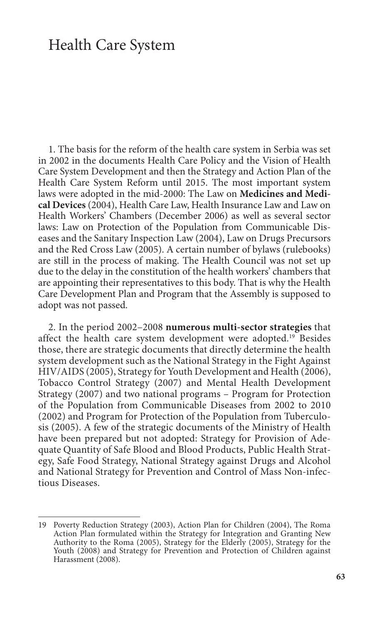### Health Care System

1. The basis for the reform of the health care system in Serbia was set in 2002 in the documents Health Care Policy and the Vision of Health Care System Development and then the Strategy and Action Plan of the Health Care System Reform until 2015. The most important system laws were adopted in the mid-2000: The Law on **Medicines and Medical Devices** (2004), Health Care Law, Health Insurance Law and Law on Health Workers' Chambers (December 2006) as well as several sector laws: Law on Protection of the Population from Communicable Diseases and the Sanitary Inspection Law (2004), Law on Drugs Precursors and the Red Cross Law (2005). A certain number of bylaws (rulebooks) are still in the process of making. The Health Council was not set up due to the delay in the constitution of the health workers' chambers that are appointing their representatives to this body. That is why the Health Care Development Plan and Program that the Assembly is supposed to adopt was not passed.

2. In the period 2002–2008 **numerous multi-sector strategies** that affect the health care system development were adopted.<sup>19</sup> Besides those, there are strategic documents that directly determine the health system development such as the National Strategy in the Fight Against HIV/AIDS (2005), Strategy for Youth Development and Health (2006), Tobacco Control Strategy (2007) and Mental Health Development Strategy (2007) and two national programs – Program for Protection of the Population from Communicable Diseases from 2002 to 2010 (2002) and Program for Protection of the Population from Tuberculosis (2005). A few of the strategic documents of the Ministry of Health have been prepared but not adopted: Strategy for Provision of Adequate Quantity of Safe Blood and Blood Products, Public Health Strategy, Safe Food Strategy, National Strategy against Drugs and Alcohol and National Strategy for Prevention and Control of Mass Non-infectious Diseases.

<sup>19</sup> Poverty Reduction Strategy (2003), Action Plan for Children (2004), The Roma Action Plan formulated within the Strategy for Integration and Granting New Authority to the Roma (2005), Strategy for the Elderly (2005), Strategy for the Youth (2008) and Strategy for Prevention and Protection of Children against Harassment (2008).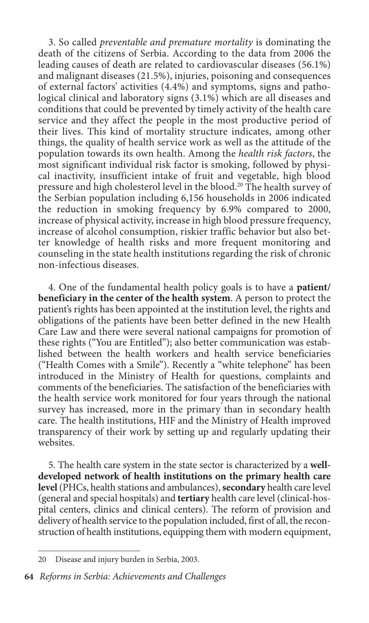3. So called *preventable and premature mortality* is dominating the death of the citizens of Serbia. According to the data from 2006 the leading causes of death are related to cardiovascular diseases (56.1%) and malignant diseases (21.5%), injuries, poisoning and consequences of external factors' activities (4.4%) and symptoms, signs and pathological clinical and laboratory signs (3.1%) which are all diseases and conditions that could be prevented by timely activity of the health care service and they affect the people in the most productive period of their lives. This kind of mortality structure indicates, among other things, the quality of health service work as well as the attitude of the population towards its own health. Among the *health risk factors*, the most significant individual risk factor is smoking, followed by physical inactivity, insufficient intake of fruit and vegetable, high blood pressure and high cholesterol level in the blood.20 The health survey of the Serbian population including 6,156 households in 2006 indicated the reduction in smoking frequency by 6.9% compared to 2000, increase of physical activity, increase in high blood pressure frequency, increase of alcohol consumption, riskier traffic behavior but also better knowledge of health risks and more frequent monitoring and counseling in the state health institutions regarding the risk of chronic non-infectious diseases.

4. One of the fundamental health policy goals is to have a **patient/ beneficiary in the center of the health system**. A person to protect the patient's rights has been appointed at the institution level, the rights and obligations of the patients have been better defined in the new Health Care Law and there were several national campaigns for promotion of these rights ("You are Entitled"); also better communication was established between the health workers and health service beneficiaries ("Health Comes with a Smile"). Recently a "white telephone" has been introduced in the Ministry of Health for questions, complaints and comments of the beneficiaries. The satisfaction of the beneficiaries with the health service work monitored for four years through the national survey has increased, more in the primary than in secondary health care. The health institutions, HIF and the Ministry of Health improved transparency of their work by setting up and regularly updating their websites.

5. The health care system in the state sector is characterized by a **welldeveloped network of health institutions on the primary health care level** (PHCs, health stations and ambulances), **secondary** health care level (general and special hospitals) and **tertiary** health care level (clinical-hospital centers, clinics and clinical centers). The reform of provision and delivery of health service to the population included, first of all, the reconstruction of health institutions, equipping them with modern equipment,

<sup>20</sup> Disease and injury burden in Serbia, 2003.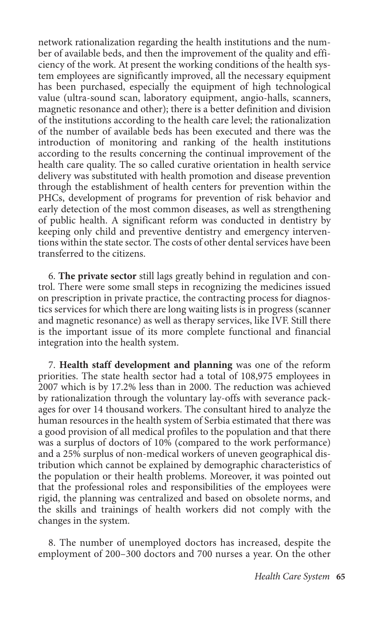network rationalization regarding the health institutions and the number of available beds, and then the improvement of the quality and efficiency of the work. At present the working conditions of the health system employees are significantly improved, all the necessary equipment has been purchased, especially the equipment of high technological value (ultra-sound scan, laboratory equipment, angio-halls, scanners, magnetic resonance and other); there is a better definition and division of the institutions according to the health care level; the rationalization of the number of available beds has been executed and there was the introduction of monitoring and ranking of the health institutions according to the results concerning the continual improvement of the health care quality. The so called curative orientation in health service delivery was substituted with health promotion and disease prevention through the establishment of health centers for prevention within the PHCs, development of programs for prevention of risk behavior and early detection of the most common diseases, as well as strengthening of public health. A significant reform was conducted in dentistry by keeping only child and preventive dentistry and emergency interventions within the state sector. The costs of other dental services have been transferred to the citizens.

6. **The private sector** still lags greatly behind in regulation and control. There were some small steps in recognizing the medicines issued on prescription in private practice, the contracting process for diagnostics services for which there are long waiting lists is in progress (scanner and magnetic resonance) as well as therapy services, like IVF. Still there is the important issue of its more complete functional and financial integration into the health system.

7. **Health staff development and planning** was one of the reform priorities. The state health sector had a total of 108,975 employees in 2007 which is by 17.2% less than in 2000. The reduction was achieved by rationalization through the voluntary lay-offs with severance packages for over 14 thousand workers. The consultant hired to analyze the human resources in the health system of Serbia estimated that there was a good provision of all medical profiles to the population and that there was a surplus of doctors of 10% (compared to the work performance) and a 25% surplus of non-medical workers of uneven geographical distribution which cannot be explained by demographic characteristics of the population or their health problems. Moreover, it was pointed out that the professional roles and responsibilities of the employees were rigid, the planning was centralized and based on obsolete norms, and the skills and trainings of health workers did not comply with the changes in the system.

8. The number of unemployed doctors has increased, despite the employment of 200–300 doctors and 700 nurses a year. On the other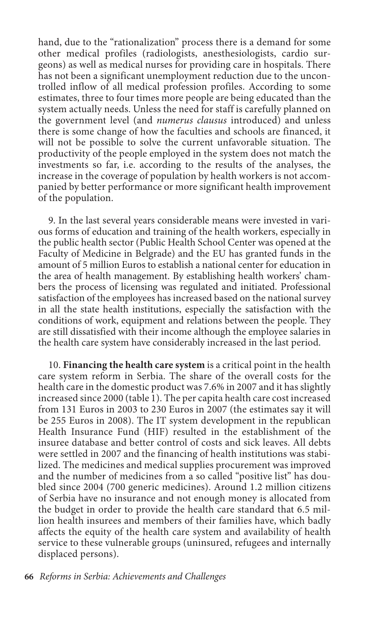hand, due to the "rationalization" process there is a demand for some other medical profiles (radiologists, anesthesiologists, cardio surgeons) as well as medical nurses for providing care in hospitals. There has not been a significant unemployment reduction due to the uncontrolled inflow of all medical profession profiles. According to some estimates, three to four times more people are being educated than the system actually needs. Unless the need for staff is carefully planned on the government level (and *numerus clausus* introduced) and unless there is some change of how the faculties and schools are financed, it will not be possible to solve the current unfavorable situation. The productivity of the people employed in the system does not match the investments so far, i.e. according to the results of the analyses, the increase in the coverage of population by health workers is not accompanied by better performance or more significant health improvement of the population.

9. In the last several years considerable means were invested in various forms of education and training of the health workers, especially in the public health sector (Public Health School Center was opened at the Faculty of Medicine in Belgrade) and the EU has granted funds in the amount of 5 million Euros to establish a national center for education in the area of health management. By establishing health workers' chambers the process of licensing was regulated and initiated. Professional satisfaction of the employees has increased based on the national survey in all the state health institutions, especially the satisfaction with the conditions of work, equipment and relations between the people. They are still dissatisfied with their income although the employee salaries in the health care system have considerably increased in the last period.

10. **Financing the health care system** is a critical point in the health care system reform in Serbia. The share of the overall costs for the health care in the domestic product was 7.6% in 2007 and it has slightly increased since 2000 (table 1). The per capita health care cost increased from 131 Euros in 2003 to 230 Euros in 2007 (the estimates say it will be 255 Euros in 2008). The IT system development in the republican Health Insurance Fund (HIF) resulted in the establishment of the insuree database and better control of costs and sick leaves. All debts were settled in 2007 and the financing of health institutions was stabilized. The medicines and medical supplies procurement was improved and the number of medicines from a so called "positive list" has doubled since 2004 (700 generic medicines). Around 1.2 million citizens of Serbia have no insurance and not enough money is allocated from the budget in order to provide the health care standard that 6.5 million health insurees and members of their families have, which badly affects the equity of the health care system and availability of health service to these vulnerable groups (uninsured, refugees and internally displaced persons).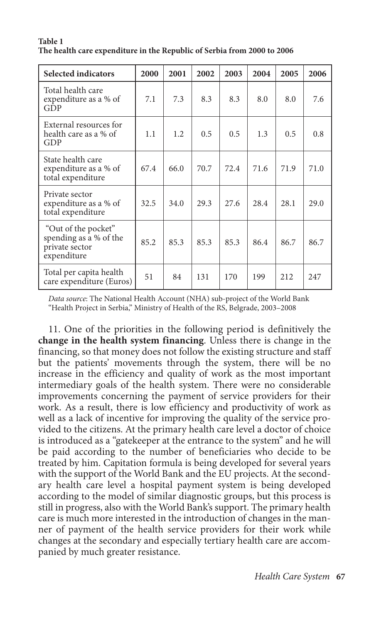| <b>Selected indicators</b>                                                     | 2000 | 2001 | 2002 | 2003 | 2004 | 2005 | 2006 |
|--------------------------------------------------------------------------------|------|------|------|------|------|------|------|
| Total health care<br>expenditure as a % of<br>GDP                              | 7.1  | 7.3  | 8.3  | 8.3  | 8.0  | 8.0  | 7.6  |
| External resources for<br>health care as a % of<br>GDP                         | 1.1  | 1.2  | 0.5  | 0.5  | 1.3  | 0.5  | 0.8  |
| State health care<br>expenditure as a % of<br>total expenditure                | 67.4 | 66.0 | 70.7 | 72.4 | 71.6 | 71.9 | 71.0 |
| Private sector<br>expenditure as a % of<br>total expenditure                   | 32.5 | 34.0 | 29.3 | 27.6 | 28.4 | 28.1 | 29.0 |
| "Out of the pocket"<br>spending as a % of the<br>private sector<br>expenditure | 85.2 | 85.3 | 85.3 | 85.3 | 86.4 | 86.7 | 86.7 |
| Total per capita health<br>care expenditure (Euros)                            | 51   | 84   | 131  | 170  | 199  | 2.12 | 247  |

#### **Table 1 The health care expenditure in the Republic of Serbia from 2000 to 2006**

*Data source*: The National Health Account (NHA) sub-project of the World Bank "Health Project in Serbia," Ministry of Health of the RS, Belgrade, 2003–2008

11. One of the priorities in the following period is definitively the **change in the health system financing**. Unless there is change in the financing, so that money does not follow the existing structure and staff but the patients' movements through the system, there will be no increase in the efficiency and quality of work as the most important intermediary goals of the health system. There were no considerable improvements concerning the payment of service providers for their work. As a result, there is low efficiency and productivity of work as well as a lack of incentive for improving the quality of the service provided to the citizens. At the primary health care level a doctor of choice is introduced as a "gatekeeper at the entrance to the system" and he will be paid according to the number of beneficiaries who decide to be treated by him. Capitation formula is being developed for several years with the support of the World Bank and the EU projects. At the secondary health care level a hospital payment system is being developed according to the model of similar diagnostic groups, but this process is still in progress, also with the World Bank's support. The primary health care is much more interested in the introduction of changes in the manner of payment of the health service providers for their work while changes at the secondary and especially tertiary health care are accompanied by much greater resistance.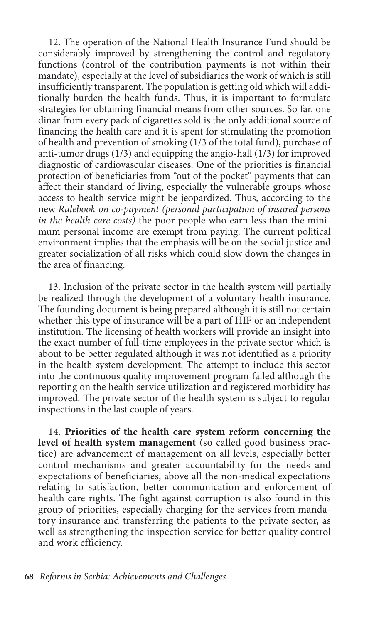12. The operation of the National Health Insurance Fund should be considerably improved by strengthening the control and regulatory functions (control of the contribution payments is not within their mandate), especially at the level of subsidiaries the work of which is still insufficiently transparent. The population is getting old which will additionally burden the health funds. Thus, it is important to formulate strategies for obtaining financial means from other sources. So far, one dinar from every pack of cigarettes sold is the only additional source of financing the health care and it is spent for stimulating the promotion of health and prevention of smoking (1/3 of the total fund), purchase of anti-tumor drugs (1/3) and equipping the angio-hall (1/3) for improved diagnostic of cardiovascular diseases. One of the priorities is financial protection of beneficiaries from "out of the pocket" payments that can affect their standard of living, especially the vulnerable groups whose access to health service might be jeopardized. Thus, according to the new *Rulebook on co-payment (personal participation of insured persons in the health care costs)* the poor people who earn less than the minimum personal income are exempt from paying. The current political environment implies that the emphasis will be on the social justice and greater socialization of all risks which could slow down the changes in the area of financing.

13. Inclusion of the private sector in the health system will partially be realized through the development of a voluntary health insurance. The founding document is being prepared although it is still not certain whether this type of insurance will be a part of HIF or an independent institution. The licensing of health workers will provide an insight into the exact number of full-time employees in the private sector which is about to be better regulated although it was not identified as a priority in the health system development. The attempt to include this sector into the continuous quality improvement program failed although the reporting on the health service utilization and registered morbidity has improved. The private sector of the health system is subject to regular inspections in the last couple of years.

14. **Priorities of the health care system reform concerning the level of health system management** (so called good business practice) are advancement of management on all levels, especially better control mechanisms and greater accountability for the needs and expectations of beneficiaries, above all the non-medical expectations relating to satisfaction, better communication and enforcement of health care rights. The fight against corruption is also found in this group of priorities, especially charging for the services from mandatory insurance and transferring the patients to the private sector, as well as strengthening the inspection service for better quality control and work efficiency.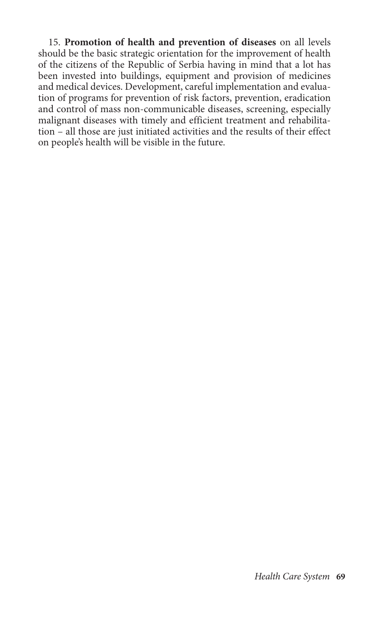15. **Promotion of health and prevention of diseases** on all levels should be the basic strategic orientation for the improvement of health of the citizens of the Republic of Serbia having in mind that a lot has been invested into buildings, equipment and provision of medicines and medical devices. Development, careful implementation and evaluation of programs for prevention of risk factors, prevention, eradication and control of mass non-communicable diseases, screening, especially malignant diseases with timely and efficient treatment and rehabilitation – all those are just initiated activities and the results of their effect on people's health will be visible in the future.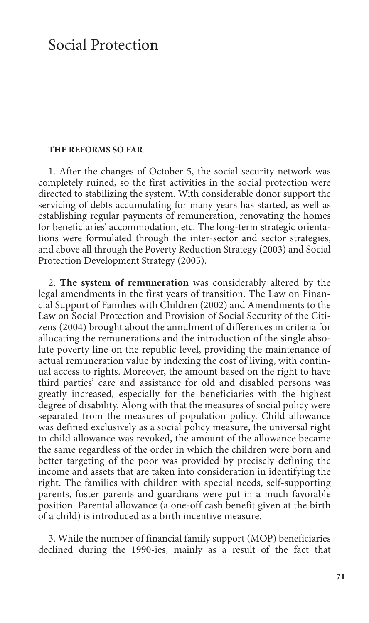### Social Protection

#### **The reforms so far**

1. After the changes of October 5, the social security network was completely ruined, so the first activities in the social protection were directed to stabilizing the system. With considerable donor support the servicing of debts accumulating for many years has started, as well as establishing regular payments of remuneration, renovating the homes for beneficiaries' accommodation, etc. The long-term strategic orientations were formulated through the inter-sector and sector strategies, and above all through the Poverty Reduction Strategy (2003) and Social Protection Development Strategy (2005).

2. **The system of remuneration** was considerably altered by the legal amendments in the first years of transition. The Law on Financial Support of Families with Children (2002) and Amendments to the Law on Social Protection and Provision of Social Security of the Citizens (2004) brought about the annulment of differences in criteria for allocating the remunerations and the introduction of the single absolute poverty line on the republic level, providing the maintenance of actual remuneration value by indexing the cost of living, with continual access to rights. Moreover, the amount based on the right to have third parties' care and assistance for old and disabled persons was greatly increased, especially for the beneficiaries with the highest degree of disability. Along with that the measures of social policy were separated from the measures of population policy. Child allowance was defined exclusively as a social policy measure, the universal right to child allowance was revoked, the amount of the allowance became the same regardless of the order in which the children were born and better targeting of the poor was provided by precisely defining the income and assets that are taken into consideration in identifying the right. The families with children with special needs, self-supporting parents, foster parents and guardians were put in a much favorable position. Parental allowance (a one-off cash benefit given at the birth of a child) is introduced as a birth incentive measure.

3. While the number of financial family support (MOP) beneficiaries declined during the 1990-ies, mainly as a result of the fact that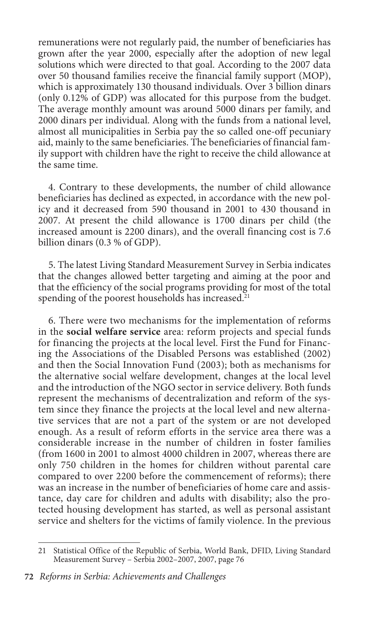remunerations were not regularly paid, the number of beneficiaries has grown after the year 2000, especially after the adoption of new legal solutions which were directed to that goal. According to the 2007 data over 50 thousand families receive the financial family support (MOP), which is approximately 130 thousand individuals. Over 3 billion dinars (only 0.12% of GDP) was allocated for this purpose from the budget. The average monthly amount was around 5000 dinars per family, and 2000 dinars per individual. Along with the funds from a national level, almost all municipalities in Serbia pay the so called one-off pecuniary aid, mainly to the same beneficiaries. The beneficiaries of financial family support with children have the right to receive the child allowance at the same time.

4. Contrary to these developments, the number of child allowance beneficiaries has declined as expected, in accordance with the new policy and it decreased from 590 thousand in 2001 to 430 thousand in 2007. At present the child allowance is 1700 dinars per child (the increased amount is 2200 dinars), and the overall financing cost is 7.6 billion dinars (0.3 % of GDP).

5. The latest Living Standard Measurement Survey in Serbia indicates that the changes allowed better targeting and aiming at the poor and that the efficiency of the social programs providing for most of the total spending of the poorest households has increased.<sup>21</sup>

6. There were two mechanisms for the implementation of reforms in the **social welfare service** area: reform projects and special funds for financing the projects at the local level. First the Fund for Financing the Associations of the Disabled Persons was established (2002) and then the Social Innovation Fund (2003); both as mechanisms for the alternative social welfare development, changes at the local level and the introduction of the NGO sector in service delivery. Both funds represent the mechanisms of decentralization and reform of the system since they finance the projects at the local level and new alternative services that are not a part of the system or are not developed enough. As a result of reform efforts in the service area there was a considerable increase in the number of children in foster families (from 1600 in 2001 to almost 4000 children in 2007, whereas there are only 750 children in the homes for children without parental care compared to over 2200 before the commencement of reforms); there was an increase in the number of beneficiaries of home care and assistance, day care for children and adults with disability; also the protected housing development has started, as well as personal assistant service and shelters for the victims of family violence. In the previous

<sup>21</sup> Statistical Office of the Republic of Serbia, World Bank, DFID, Living Standard Measurement Survey – Serbia 2002–2007, 2007, page 76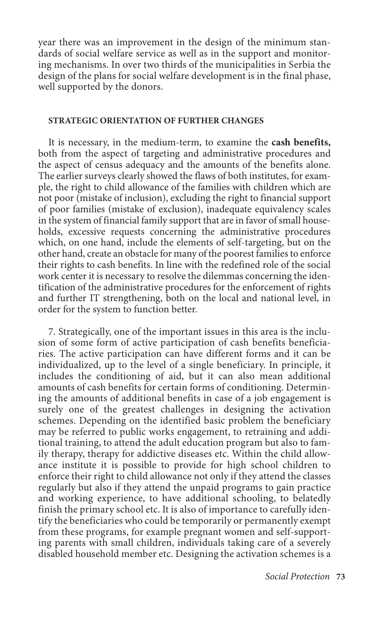year there was an improvement in the design of the minimum standards of social welfare service as well as in the support and monitoring mechanisms. In over two thirds of the municipalities in Serbia the design of the plans for social welfare development is in the final phase, well supported by the donors.

### **Strategic orientation of further changes**

It is necessary, in the medium-term, to examine the **cash benefits,**  both from the aspect of targeting and administrative procedures and the aspect of census adequacy and the amounts of the benefits alone. The earlier surveys clearly showed the flaws of both institutes, for example, the right to child allowance of the families with children which are not poor (mistake of inclusion), excluding the right to financial support of poor families (mistake of exclusion), inadequate equivalency scales in the system of financial family support that are in favor of small households, excessive requests concerning the administrative procedures which, on one hand, include the elements of self-targeting, but on the other hand, create an obstacle for many of the poorest families to enforce their rights to cash benefits. In line with the redefined role of the social work center it is necessary to resolve the dilemmas concerning the identification of the administrative procedures for the enforcement of rights and further IT strengthening, both on the local and national level, in order for the system to function better.

7. Strategically, one of the important issues in this area is the inclusion of some form of active participation of cash benefits beneficiaries. The active participation can have different forms and it can be individualized, up to the level of a single beneficiary. In principle, it includes the conditioning of aid, but it can also mean additional amounts of cash benefits for certain forms of conditioning. Determining the amounts of additional benefits in case of a job engagement is surely one of the greatest challenges in designing the activation schemes. Depending on the identified basic problem the beneficiary may be referred to public works engagement, to retraining and additional training, to attend the adult education program but also to family therapy, therapy for addictive diseases etc. Within the child allowance institute it is possible to provide for high school children to enforce their right to child allowance not only if they attend the classes regularly but also if they attend the unpaid programs to gain practice and working experience, to have additional schooling, to belatedly finish the primary school etc. It is also of importance to carefully identify the beneficiaries who could be temporarily or permanently exempt from these programs, for example pregnant women and self-supporting parents with small children, individuals taking care of a severely disabled household member etc. Designing the activation schemes is a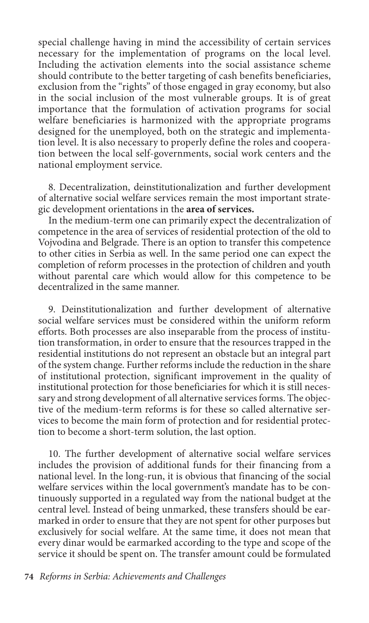special challenge having in mind the accessibility of certain services necessary for the implementation of programs on the local level. Including the activation elements into the social assistance scheme should contribute to the better targeting of cash benefits beneficiaries, exclusion from the "rights" of those engaged in gray economy, but also in the social inclusion of the most vulnerable groups. It is of great importance that the formulation of activation programs for social welfare beneficiaries is harmonized with the appropriate programs designed for the unemployed, both on the strategic and implementation level. It is also necessary to properly define the roles and cooperation between the local self-governments, social work centers and the national employment service.

8. Decentralization, deinstitutionalization and further development of alternative social welfare services remain the most important strategic development orientations in the **area of services.**

In the medium-term one can primarily expect the decentralization of competence in the area of services of residential protection of the old to Vojvodina and Belgrade. There is an option to transfer this competence to other cities in Serbia as well. In the same period one can expect the completion of reform processes in the protection of children and youth without parental care which would allow for this competence to be decentralized in the same manner.

9. Deinstitutionalization and further development of alternative social welfare services must be considered within the uniform reform efforts. Both processes are also inseparable from the process of institution transformation, in order to ensure that the resources trapped in the residential institutions do not represent an obstacle but an integral part of the system change. Further reforms include the reduction in the share of institutional protection, significant improvement in the quality of institutional protection for those beneficiaries for which it is still necessary and strong development of all alternative services forms. The objective of the medium-term reforms is for these so called alternative services to become the main form of protection and for residential protection to become a short-term solution, the last option.

10. The further development of alternative social welfare services includes the provision of additional funds for their financing from a national level. In the long-run, it is obvious that financing of the social welfare services within the local government's mandate has to be continuously supported in a regulated way from the national budget at the central level. Instead of being unmarked, these transfers should be earmarked in order to ensure that they are not spent for other purposes but exclusively for social welfare. At the same time, it does not mean that every dinar would be earmarked according to the type and scope of the service it should be spent on. The transfer amount could be formulated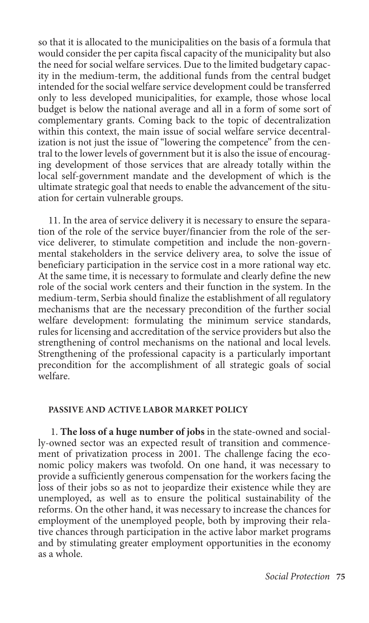so that it is allocated to the municipalities on the basis of a formula that would consider the per capita fiscal capacity of the municipality but also the need for social welfare services. Due to the limited budgetary capacity in the medium-term, the additional funds from the central budget intended for the social welfare service development could be transferred only to less developed municipalities, for example, those whose local budget is below the national average and all in a form of some sort of complementary grants. Coming back to the topic of decentralization within this context, the main issue of social welfare service decentralization is not just the issue of "lowering the competence" from the central to the lower levels of government but it is also the issue of encouraging development of those services that are already totally within the local self-government mandate and the development of which is the ultimate strategic goal that needs to enable the advancement of the situation for certain vulnerable groups.

11. In the area of service delivery it is necessary to ensure the separation of the role of the service buyer/financier from the role of the service deliverer, to stimulate competition and include the non-governmental stakeholders in the service delivery area, to solve the issue of beneficiary participation in the service cost in a more rational way etc. At the same time, it is necessary to formulate and clearly define the new role of the social work centers and their function in the system. In the medium-term, Serbia should finalize the establishment of all regulatory mechanisms that are the necessary precondition of the further social welfare development: formulating the minimum service standards, rules for licensing and accreditation of the service providers but also the strengthening of control mechanisms on the national and local levels. Strengthening of the professional capacity is a particularly important precondition for the accomplishment of all strategic goals of social welfare.

### **Passive and active labor market policy**

1. **The loss of a huge number of jobs** in the state-owned and socially-owned sector was an expected result of transition and commencement of privatization process in 2001. The challenge facing the economic policy makers was twofold. On one hand, it was necessary to provide a sufficiently generous compensation for the workers facing the loss of their jobs so as not to jeopardize their existence while they are unemployed, as well as to ensure the political sustainability of the reforms. On the other hand, it was necessary to increase the chances for employment of the unemployed people, both by improving their relative chances through participation in the active labor market programs and by stimulating greater employment opportunities in the economy as a whole.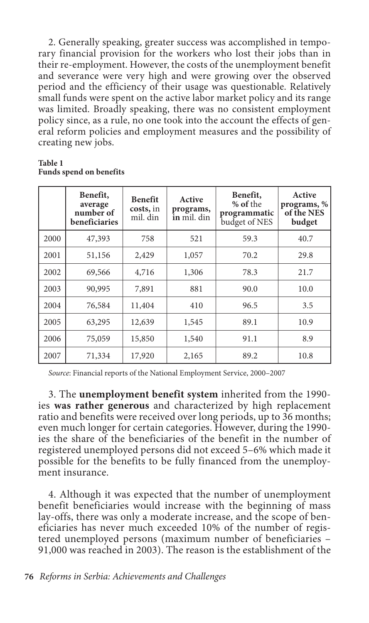2. Generally speaking, greater success was accomplished in temporary financial provision for the workers who lost their jobs than in their re-employment. However, the costs of the unemployment benefit and severance were very high and were growing over the observed period and the efficiency of their usage was questionable. Relatively small funds were spent on the active labor market policy and its range was limited. Broadly speaking, there was no consistent employment policy since, as a rule, no one took into the account the effects of general reform policies and employment measures and the possibility of creating new jobs.

#### **Table 1 Funds spend on benefits**

|      | Benefit,<br>average<br>number of<br>beneficiaries | <b>Benefit</b><br>costs, in<br>mil. din | Active<br>programs,<br>in mil. din | Benefit,<br>% of the<br>programmatic<br>budget of NES | Active<br>programs, %<br>of the NES<br>budget |
|------|---------------------------------------------------|-----------------------------------------|------------------------------------|-------------------------------------------------------|-----------------------------------------------|
| 2000 | 47,393                                            | 758                                     | 521                                | 59.3                                                  | 40.7                                          |
| 2001 | 51,156                                            | 2,429                                   | 1,057                              | 70.2                                                  | 29.8                                          |
| 2002 | 69,566                                            | 4,716                                   | 1,306                              | 78.3                                                  | 21.7                                          |
| 2003 | 90,995                                            | 7,891                                   | 881                                | 90.0                                                  | 10.0                                          |
| 2004 | 76,584                                            | 11,404                                  | 410                                | 96.5                                                  | 3.5                                           |
| 2005 | 63,295                                            | 12,639                                  | 1,545                              | 89.1                                                  | 10.9                                          |
| 2006 | 75,059                                            | 15,850                                  | 1,540                              | 91.1                                                  | 8.9                                           |
| 2007 | 71,334                                            | 17,920                                  | 2,165                              | 89.2                                                  | 10.8                                          |

*Source*: Financial reports of the National Employment Service, 2000–2007

3. The **unemployment benefit system** inherited from the 1990 ies **was rather generous** and characterized by high replacement ratio and benefits were received over long periods, up to 36 months; even much longer for certain categories. However, during the 1990 ies the share of the beneficiaries of the benefit in the number of registered unemployed persons did not exceed 5–6% which made it possible for the benefits to be fully financed from the unemployment insurance.

4. Although it was expected that the number of unemployment benefit beneficiaries would increase with the beginning of mass lay-offs, there was only a moderate increase, and the scope of beneficiaries has never much exceeded 10% of the number of registered unemployed persons (maximum number of beneficiaries – 91,000 was reached in 2003). The reason is the establishment of the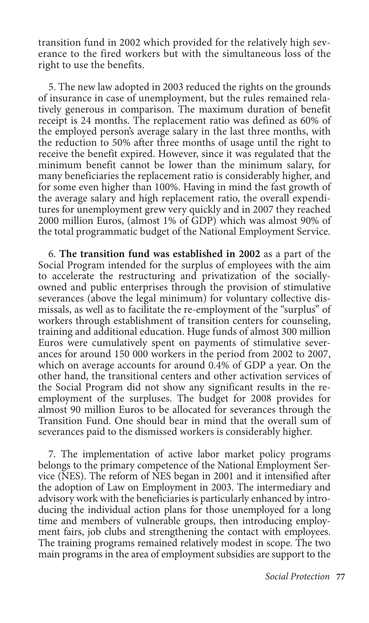transition fund in 2002 which provided for the relatively high severance to the fired workers but with the simultaneous loss of the right to use the benefits.

5. The new law adopted in 2003 reduced the rights on the grounds of insurance in case of unemployment, but the rules remained relatively generous in comparison. The maximum duration of benefit receipt is 24 months. The replacement ratio was defined as 60% of the employed person's average salary in the last three months, with the reduction to 50% after three months of usage until the right to receive the benefit expired. However, since it was regulated that the minimum benefit cannot be lower than the minimum salary, for many beneficiaries the replacement ratio is considerably higher, and for some even higher than 100%. Having in mind the fast growth of the average salary and high replacement ratio, the overall expenditures for unemployment grew very quickly and in 2007 they reached 2000 million Euros, (almost 1% of GDP) which was almost 90% of the total programmatic budget of the National Employment Service.

6. **The transition fund was established in 2002** as a part of the Social Program intended for the surplus of employees with the aim to accelerate the restructuring and privatization of the sociallyowned and public enterprises through the provision of stimulative severances (above the legal minimum) for voluntary collective dismissals, as well as to facilitate the re-employment of the "surplus" of workers through establishment of transition centers for counseling, training and additional education. Huge funds of almost 300 million Euros were cumulatively spent on payments of stimulative severances for around 150 000 workers in the period from 2002 to 2007, which on average accounts for around 0.4% of GDP a year. On the other hand, the transitional centers and other activation services of the Social Program did not show any significant results in the reemployment of the surpluses. The budget for 2008 provides for almost 90 million Euros to be allocated for severances through the Transition Fund. One should bear in mind that the overall sum of severances paid to the dismissed workers is considerably higher.

7. The implementation of active labor market policy programs belongs to the primary competence of the National Employment Service (NES). The reform of NES began in 2001 and it intensified after the adoption of Law on Employment in 2003. The intermediary and advisory work with the beneficiaries is particularly enhanced by introducing the individual action plans for those unemployed for a long time and members of vulnerable groups, then introducing employment fairs, job clubs and strengthening the contact with employees. The training programs remained relatively modest in scope. The two main programs in the area of employment subsidies are support to the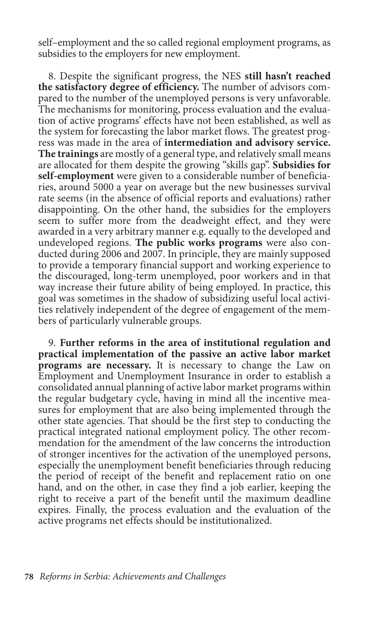self–employment and the so called regional employment programs, as subsidies to the employers for new employment.

8. Despite the significant progress, the NES **still hasn't reached the satisfactory degree of efficiency.** The number of advisors compared to the number of the unemployed persons is very unfavorable. The mechanisms for monitoring, process evaluation and the evaluation of active programs' effects have not been established, as well as the system for forecasting the labor market flows. The greatest progress was made in the area of **intermediation and advisory service. The trainings** are mostly of a general type, and relatively small means are allocated for them despite the growing "skills gap". **Subsidies for self-employment** were given to a considerable number of beneficiaries, around 5000 a year on average but the new businesses survival rate seems (in the absence of official reports and evaluations) rather disappointing. On the other hand, the subsidies for the employers seem to suffer more from the deadweight effect, and they were awarded in a very arbitrary manner e.g. equally to the developed and undeveloped regions. **The public works programs** were also conducted during 2006 and 2007. In principle, they are mainly supposed to provide a temporary financial support and working experience to the discouraged, long-term unemployed, poor workers and in that way increase their future ability of being employed. In practice, this goal was sometimes in the shadow of subsidizing useful local activities relatively independent of the degree of engagement of the members of particularly vulnerable groups.

9. **Further reforms in the area of institutional regulation and practical implementation of the passive an active labor market programs are necessary.** It is necessary to change the Law on Employment and Unemployment Insurance in order to establish a consolidated annual planning of active labor market programs within the regular budgetary cycle, having in mind all the incentive measures for employment that are also being implemented through the other state agencies. That should be the first step to conducting the practical integrated national employment policy. The other recommendation for the amendment of the law concerns the introduction of stronger incentives for the activation of the unemployed persons, especially the unemployment benefit beneficiaries through reducing the period of receipt of the benefit and replacement ratio on one hand, and on the other, in case they find a job earlier, keeping the right to receive a part of the benefit until the maximum deadline expires. Finally, the process evaluation and the evaluation of the active programs net effects should be institutionalized.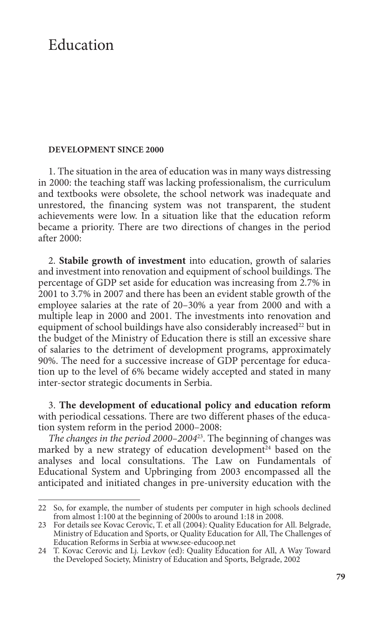# Education

### **Development since 2000**

1. The situation in the area of education was in many ways distressing in 2000: the teaching staff was lacking professionalism, the curriculum and textbooks were obsolete, the school network was inadequate and unrestored, the financing system was not transparent, the student achievements were low. In a situation like that the education reform became a priority. There are two directions of changes in the period after 2000:

2. **Stabile growth of investment** into education, growth of salaries and investment into renovation and equipment of school buildings. The percentage of GDP set aside for education was increasing from 2.7% in 2001 to 3.7% in 2007 and there has been an evident stable growth of the employee salaries at the rate of 20–30% a year from 2000 and with a multiple leap in 2000 and 2001. The investments into renovation and equipment of school buildings have also considerably increased<sup>22</sup> but in the budget of the Ministry of Education there is still an excessive share of salaries to the detriment of development programs, approximately 90%. The need for a successive increase of GDP percentage for education up to the level of 6% became widely accepted and stated in many inter-sector strategic documents in Serbia.

3. **The development of educational policy and education reform** with periodical cessations. There are two different phases of the education system reform in the period 2000–2008:

*The changes in the period 2000–2004*23. The beginning of changes was marked by a new strategy of education development<sup>24</sup> based on the analyses and local consultations. The Law on Fundamentals of Educational System and Upbringing from 2003 encompassed all the anticipated and initiated changes in pre-university education with the

<sup>22</sup> So, for example, the number of students per computer in high schools declined from almost 1:100 at the beginning of 2000s to around 1:18 in 2008.

<sup>23</sup> For details see Kovac Cerovic, T. et all (2004): Quality Education for All. Belgrade, Ministry of Education and Sports, or Quality Education for All, The Challenges of Education Reforms in Serbia at www.see-educoop.net

<sup>24</sup> T. Kovac Cerovic and Lj. Levkov (ed): Quality Education for All, A Way Toward the Developed Society, Ministry of Education and Sports, Belgrade, 2002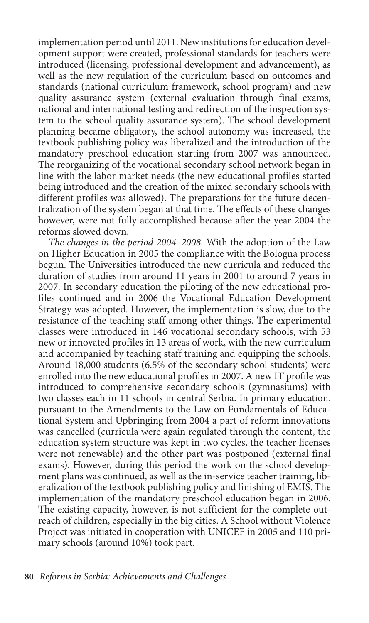implementation period until 2011. New institutions for education development support were created, professional standards for teachers were introduced (licensing, professional development and advancement), as well as the new regulation of the curriculum based on outcomes and standards (national curriculum framework, school program) and new quality assurance system (external evaluation through final exams, national and international testing and redirection of the inspection system to the school quality assurance system). The school development planning became obligatory, the school autonomy was increased, the textbook publishing policy was liberalized and the introduction of the mandatory preschool education starting from 2007 was announced. The reorganizing of the vocational secondary school network began in line with the labor market needs (the new educational profiles started being introduced and the creation of the mixed secondary schools with different profiles was allowed). The preparations for the future decentralization of the system began at that time. The effects of these changes however, were not fully accomplished because after the year 2004 the reforms slowed down.

*The changes in the period 2004–2008.* With the adoption of the Law on Higher Education in 2005 the compliance with the Bologna process begun. The Universities introduced the new curricula and reduced the duration of studies from around 11 years in 2001 to around 7 years in 2007. In secondary education the piloting of the new educational profiles continued and in 2006 the Vocational Education Development Strategy was adopted. However, the implementation is slow, due to the resistance of the teaching staff among other things. The experimental classes were introduced in 146 vocational secondary schools, with 53 new or innovated profiles in 13 areas of work, with the new curriculum and accompanied by teaching staff training and equipping the schools. Around 18,000 students (6.5% of the secondary school students) were enrolled into the new educational profiles in 2007. A new IT profile was introduced to comprehensive secondary schools (gymnasiums) with two classes each in 11 schools in central Serbia. In primary education, pursuant to the Amendments to the Law on Fundamentals of Educational System and Upbringing from 2004 a part of reform innovations was cancelled (curricula were again regulated through the content, the education system structure was kept in two cycles, the teacher licenses were not renewable) and the other part was postponed (external final exams). However, during this period the work on the school development plans was continued, as well as the in-service teacher training, liberalization of the textbook publishing policy and finishing of EMIS. The implementation of the mandatory preschool education began in 2006. The existing capacity, however, is not sufficient for the complete outreach of children, especially in the big cities. A School without Violence Project was initiated in cooperation with UNICEF in 2005 and 110 primary schools (around 10%) took part.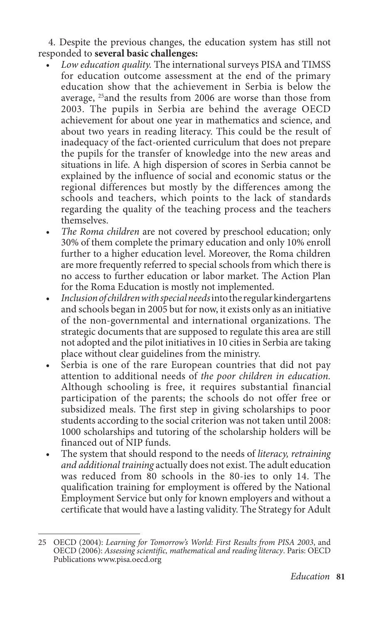4. Despite the previous changes, the education system has still not responded to **several basic challenges:**

- Low education quality. The international surveys PISA and TIMSS for education outcome assessment at the end of the primary education show that the achievement in Serbia is below the average, 25and the results from 2006 are worse than those from 2003. The pupils in Serbia are behind the average OECD achievement for about one year in mathematics and science, and about two years in reading literacy. This could be the result of inadequacy of the fact-oriented curriculum that does not prepare the pupils for the transfer of knowledge into the new areas and situations in life. A high dispersion of scores in Serbia cannot be explained by the influence of social and economic status or the regional differences but mostly by the differences among the schools and teachers, which points to the lack of standards regarding the quality of the teaching process and the teachers themselves.
- The Roma children are not covered by preschool education; only 30% of them complete the primary education and only 10% enroll further to a higher education level. Moreover, the Roma children are more frequently referred to special schools from which there is no access to further education or labor market. The Action Plan for the Roma Education is mostly not implemented.
- Inclusion of children with special needs into the regular kindergartens and schools began in 2005 but for now, it exists only as an initiative of the non-governmental and international organizations. The strategic documents that are supposed to regulate this area are still not adopted and the pilot initiatives in 10 cities in Serbia are taking place without clear guidelines from the ministry.
- Serbia is one of the rare European countries that did not pay attention to additional needs of *the poor children in education.*  Although schooling is free, it requires substantial financial participation of the parents; the schools do not offer free or subsidized meals. The first step in giving scholarships to poor students according to the social criterion was not taken until 2008: 1000 scholarships and tutoring of the scholarship holders will be financed out of NIP funds.
- The system that should respond to the needs of *literacy, retraining and additional training* actually does not exist. The adult education was reduced from 80 schools in the 80-ies to only 14. The qualification training for employment is offered by the National Employment Service but only for known employers and without a certificate that would have a lasting validity. The Strategy for Adult

<sup>25</sup> OECD (2004): *Learning for Tomorrow's World: First Results from PISA 2003*, and OECD (2006): *Assessing scientific, mathematical and reading literacy*. Paris: OECD Publications www.pisa.oecd.org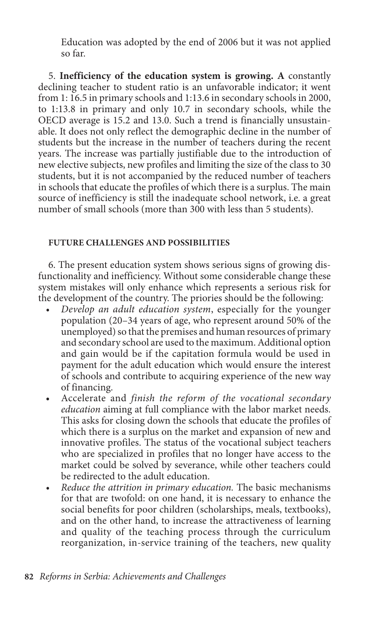Education was adopted by the end of 2006 but it was not applied so far.

5. **Inefficiency of the education system is growing. A** constantly declining teacher to student ratio is an unfavorable indicator; it went from 1: 16.5 in primary schools and 1:13.6 in secondary schools in 2000, to 1:13.8 in primary and only 10.7 in secondary schools, while the OECD average is 15.2 and 13.0. Such a trend is financially unsustainable. It does not only reflect the demographic decline in the number of students but the increase in the number of teachers during the recent years. The increase was partially justifiable due to the introduction of new elective subjects, new profiles and limiting the size of the class to 30 students, but it is not accompanied by the reduced number of teachers in schools that educate the profiles of which there is a surplus. The main source of inefficiency is still the inadequate school network, i.e. a great number of small schools (more than 300 with less than 5 students).

# **Future challenges and possibilities**

6. The present education system shows serious signs of growing disfunctionality and inefficiency. Without some considerable change these system mistakes will only enhance which represents a serious risk for the development of the country. The priories should be the following:

- *Develop an adult education system, especially for the younger* population (20–34 years of age, who represent around 50% of the unemployed) so that the premises and human resources of primary and secondary school are used to the maximum. Additional option and gain would be if the capitation formula would be used in payment for the adult education which would ensure the interest of schools and contribute to acquiring experience of the new way of financing.
- • Accelerate and *finish the reform of the vocational secondary education* aiming at full compliance with the labor market needs. This asks for closing down the schools that educate the profiles of which there is a surplus on the market and expansion of new and innovative profiles. The status of the vocational subject teachers who are specialized in profiles that no longer have access to the market could be solved by severance, while other teachers could be redirected to the adult education.
- *Reduce the attrition in primary education*. The basic mechanisms for that are twofold: on one hand, it is necessary to enhance the social benefits for poor children (scholarships, meals, textbooks), and on the other hand, to increase the attractiveness of learning and quality of the teaching process through the curriculum reorganization, in-service training of the teachers, new quality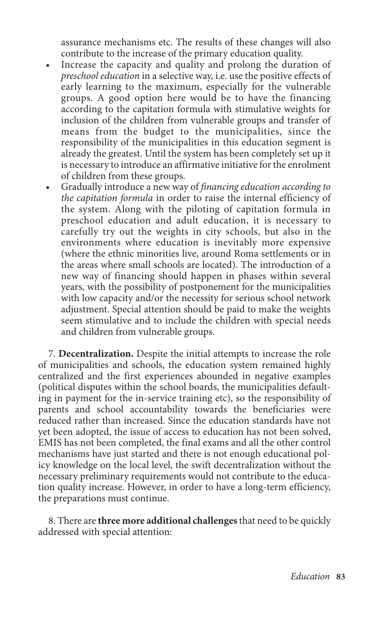assurance mechanisms etc. The results of these changes will also contribute to the increase of the primary education quality.

- Increase the capacity and quality and prolong the duration of *preschool education* in a selective way, i.e. use the positive effects of early learning to the maximum, especially for the vulnerable groups. A good option here would be to have the financing according to the capitation formula with stimulative weights for inclusion of the children from vulnerable groups and transfer of means from the budget to the municipalities, since the responsibility of the municipalities in this education segment is already the greatest. Until the system has been completely set up it is necessary to introduce an affirmative initiative for the enrolment of children from these groups.
- • Gradually introduce a new way of *financing education according to the capitation formula* in order to raise the internal efficiency of the system. Along with the piloting of capitation formula in preschool education and adult education, it is necessary to carefully try out the weights in city schools, but also in the environments where education is inevitably more expensive (where the ethnic minorities live, around Roma settlements or in the areas where small schools are located). The introduction of a new way of financing should happen in phases within several years, with the possibility of postponement for the municipalities with low capacity and/or the necessity for serious school network adjustment. Special attention should be paid to make the weights seem stimulative and to include the children with special needs and children from vulnerable groups.

7. **Decentralization.** Despite the initial attempts to increase the role of municipalities and schools, the education system remained highly centralized and the first experiences abounded in negative examples (political disputes within the school boards, the municipalities defaulting in payment for the in-service training etc), so the responsibility of parents and school accountability towards the beneficiaries were reduced rather than increased. Since the education standards have not yet been adopted, the issue of access to education has not been solved, EMIS has not been completed, the final exams and all the other control mechanisms have just started and there is not enough educational policy knowledge on the local level, the swift decentralization without the necessary preliminary requirements would not contribute to the education quality increase. However, in order to have a long-term efficiency, the preparations must continue.

8. There are **three more additional challenges** that need to be quickly addressed with special attention: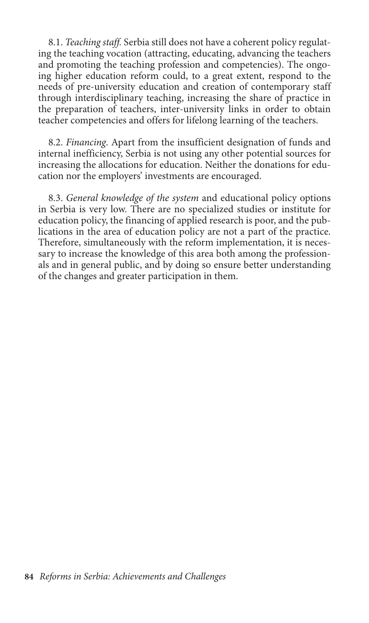8.1. *Teaching staff.* Serbia still does not have a coherent policy regulating the teaching vocation (attracting, educating, advancing the teachers and promoting the teaching profession and competencies). The ongoing higher education reform could, to a great extent, respond to the needs of pre-university education and creation of contemporary staff through interdisciplinary teaching, increasing the share of practice in the preparation of teachers, inter-university links in order to obtain teacher competencies and offers for lifelong learning of the teachers.

8.2. *Financing*. Apart from the insufficient designation of funds and internal inefficiency, Serbia is not using any other potential sources for increasing the allocations for education. Neither the donations for education nor the employers' investments are encouraged.

8.3. *General knowledge of the system* and educational policy options in Serbia is very low. There are no specialized studies or institute for education policy, the financing of applied research is poor, and the publications in the area of education policy are not a part of the practice. Therefore, simultaneously with the reform implementation, it is necessary to increase the knowledge of this area both among the professionals and in general public, and by doing so ensure better understanding of the changes and greater participation in them.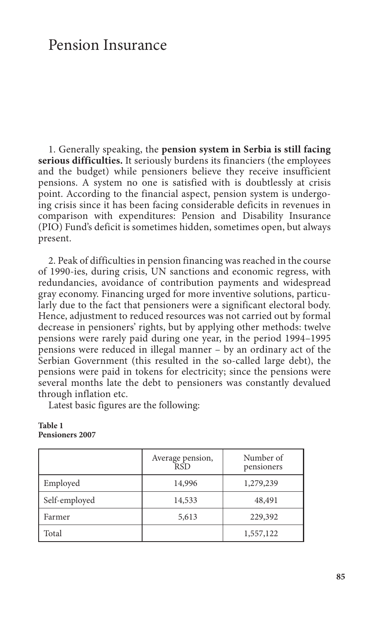# Pension Insurance

1. Generally speaking, the **pension system in Serbia is still facing serious difficulties.** It seriously burdens its financiers (the employees and the budget) while pensioners believe they receive insufficient pensions. A system no one is satisfied with is doubtlessly at crisis point. According to the financial aspect, pension system is undergoing crisis since it has been facing considerable deficits in revenues in comparison with expenditures: Pension and Disability Insurance (PIO) Fund's deficit is sometimes hidden, sometimes open, but always present.

2. Peak of difficulties in pension financing was reached in the course of 1990-ies, during crisis, UN sanctions and economic regress, with redundancies, avoidance of contribution payments and widespread gray economy. Financing urged for more inventive solutions, particularly due to the fact that pensioners were a significant electoral body. Hence, adjustment to reduced resources was not carried out by formal decrease in pensioners' rights, but by applying other methods: twelve pensions were rarely paid during one year, in the period 1994–1995 pensions were reduced in illegal manner – by an ordinary act of the Serbian Government (this resulted in the so-called large debt), the pensions were paid in tokens for electricity; since the pensions were several months late the debt to pensioners was constantly devalued through inflation etc.

Latest basic figures are the following:

|               | Average pension,<br><b>RSD</b> | Number of<br>pensioners |
|---------------|--------------------------------|-------------------------|
| Employed      | 14,996                         | 1,279,239               |
| Self-employed | 14,533                         | 48,491                  |
| Farmer        | 5,613                          | 229,392                 |
| Total         |                                | 1,557,122               |

#### **Table 1 Pensioners 2007**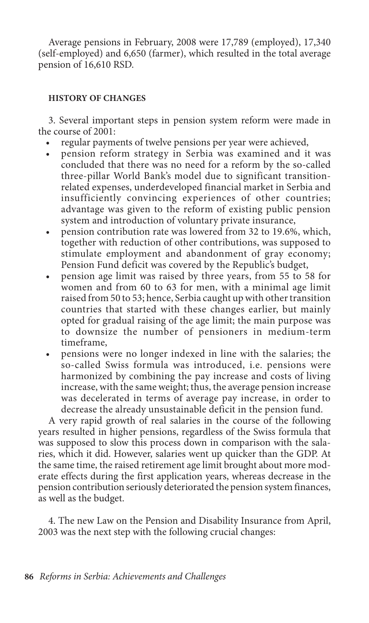Average pensions in February, 2008 were 17,789 (employed), 17,340 (self-employed) and 6,650 (farmer), which resulted in the total average pension of 16,610 RSD.

## **History of changes**

3. Several important steps in pension system reform were made in the course of 2001:

- regular payments of twelve pensions per year were achieved,
- • pension reform strategy in Serbia was examined and it was concluded that there was no need for a reform by the so-called three-pillar World Bank's model due to significant transitionrelated expenses, underdeveloped financial market in Serbia and insufficiently convincing experiences of other countries; advantage was given to the reform of existing public pension system and introduction of voluntary private insurance,
- pension contribution rate was lowered from 32 to 19.6%, which, together with reduction of other contributions, was supposed to stimulate employment and abandonment of gray economy; Pension Fund deficit was covered by the Republic's budget,
- pension age limit was raised by three years, from 55 to 58 for women and from 60 to 63 for men, with a minimal age limit raised from 50 to 53; hence, Serbia caught up with other transition countries that started with these changes earlier, but mainly opted for gradual raising of the age limit; the main purpose was to downsize the number of pensioners in medium-term timeframe,
- pensions were no longer indexed in line with the salaries; the so-called Swiss formula was introduced, i.e. pensions were harmonized by combining the pay increase and costs of living increase, with the same weight; thus, the average pension increase was decelerated in terms of average pay increase, in order to decrease the already unsustainable deficit in the pension fund.

A very rapid growth of real salaries in the course of the following years resulted in higher pensions, regardless of the Swiss formula that was supposed to slow this process down in comparison with the salaries, which it did. However, salaries went up quicker than the GDP. At the same time, the raised retirement age limit brought about more moderate effects during the first application years, whereas decrease in the pension contribution seriously deteriorated the pension system finances, as well as the budget.

4. The new Law on the Pension and Disability Insurance from April, 2003 was the next step with the following crucial changes: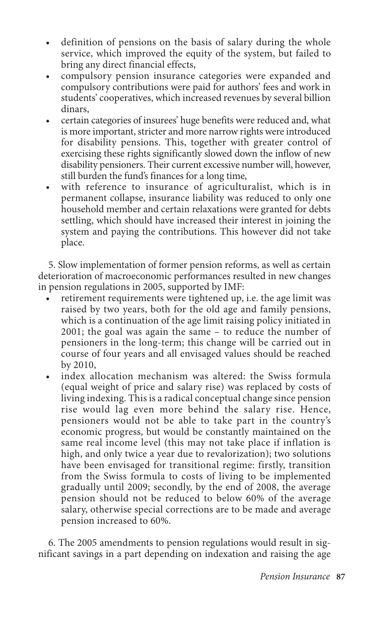- definition of pensions on the basis of salary during the whole service, which improved the equity of the system, but failed to bring any direct financial effects,
- compulsory pension insurance categories were expanded and compulsory contributions were paid for authors' fees and work in students' cooperatives, which increased revenues by several billion dinars,
- certain categories of insurees' huge benefits were reduced and, what is more important, stricter and more narrow rights were introduced for disability pensions. This, together with greater control of exercising these rights significantly slowed down the inflow of new disability pensioners. Their current excessive number will, however, still burden the fund's finances for a long time,
- • with reference to insurance of agriculturalist, which is in permanent collapse, insurance liability was reduced to only one household member and certain relaxations were granted for debts settling, which should have increased their interest in joining the system and paying the contributions. This however did not take place.

5. Slow implementation of former pension reforms, as well as certain deterioration of macroeconomic performances resulted in new changes in pension regulations in 2005, supported by IMF:

- retirement requirements were tightened up, i.e. the age limit was raised by two years, both for the old age and family pensions, which is a continuation of the age limit raising policy initiated in 2001; the goal was again the same – to reduce the number of pensioners in the long-term; this change will be carried out in course of four years and all envisaged values should be reached by 2010,
- index allocation mechanism was altered: the Swiss formula (equal weight of price and salary rise) was replaced by costs of living indexing. This is a radical conceptual change since pension rise would lag even more behind the salary rise. Hence, pensioners would not be able to take part in the country's economic progress, but would be constantly maintained on the same real income level (this may not take place if inflation is high, and only twice a year due to revalorization); two solutions have been envisaged for transitional regime: firstly, transition from the Swiss formula to costs of living to be implemented gradually until 2009; secondly, by the end of 2008, the average pension should not be reduced to below 60% of the average salary, otherwise special corrections are to be made and average pension increased to 60%.

6. The 2005 amendments to pension regulations would result in significant savings in a part depending on indexation and raising the age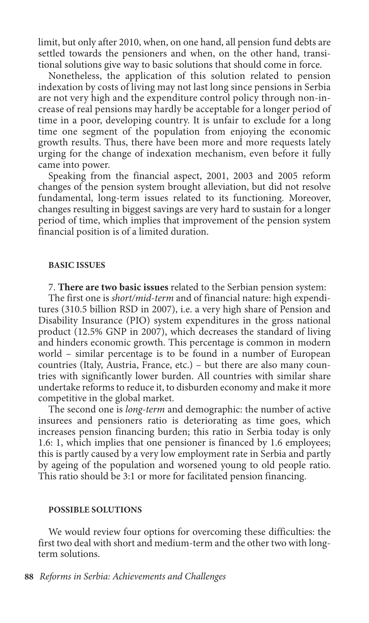limit, but only after 2010, when, on one hand, all pension fund debts are settled towards the pensioners and when, on the other hand, transitional solutions give way to basic solutions that should come in force.

Nonetheless, the application of this solution related to pension indexation by costs of living may not last long since pensions in Serbia are not very high and the expenditure control policy through non-increase of real pensions may hardly be acceptable for a longer period of time in a poor, developing country. It is unfair to exclude for a long time one segment of the population from enjoying the economic growth results. Thus, there have been more and more requests lately urging for the change of indexation mechanism, even before it fully came into power.

Speaking from the financial aspect, 2001, 2003 and 2005 reform changes of the pension system brought alleviation, but did not resolve fundamental, long-term issues related to its functioning. Moreover, changes resulting in biggest savings are very hard to sustain for a longer period of time, which implies that improvement of the pension system financial position is of a limited duration.

#### **Basic issues**

7. **There are two basic issues** related to the Serbian pension system:

The first one is *short/mid-term* and of financial nature: high expenditures (310.5 billion RSD in 2007), i.e. a very high share of Pension and Disability Insurance (PIO) system expenditures in the gross national product (12.5% GNP in 2007), which decreases the standard of living and hinders economic growth. This percentage is common in modern world – similar percentage is to be found in a number of European countries (Italy, Austria, France, etc.) – but there are also many countries with significantly lower burden. All countries with similar share undertake reforms to reduce it, to disburden economy and make it more competitive in the global market.

The second one is *long-term* and demographic: the number of active insurees and pensioners ratio is deteriorating as time goes, which increases pension financing burden; this ratio in Serbia today is only 1.6: 1, which implies that one pensioner is financed by 1.6 employees; this is partly caused by a very low employment rate in Serbia and partly by ageing of the population and worsened young to old people ratio. This ratio should be 3:1 or more for facilitated pension financing.

#### **Possible solutions**

We would review four options for overcoming these difficulties: the first two deal with short and medium-term and the other two with longterm solutions.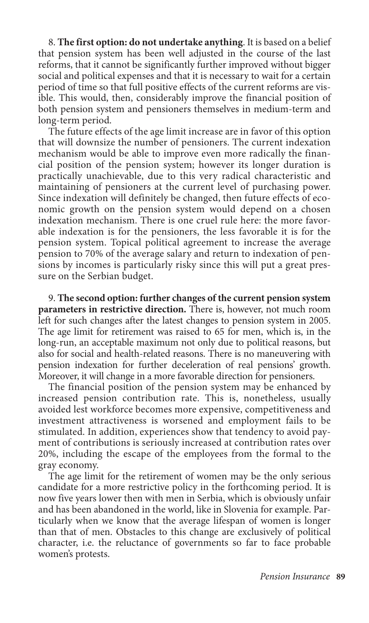8. **The first option: do not undertake anything**. It is based on a belief that pension system has been well adjusted in the course of the last reforms, that it cannot be significantly further improved without bigger social and political expenses and that it is necessary to wait for a certain period of time so that full positive effects of the current reforms are visible. This would, then, considerably improve the financial position of both pension system and pensioners themselves in medium-term and long-term period.

The future effects of the age limit increase are in favor of this option that will downsize the number of pensioners. The current indexation mechanism would be able to improve even more radically the financial position of the pension system; however its longer duration is practically unachievable, due to this very radical characteristic and maintaining of pensioners at the current level of purchasing power. Since indexation will definitely be changed, then future effects of economic growth on the pension system would depend on a chosen indexation mechanism. There is one cruel rule here: the more favorable indexation is for the pensioners, the less favorable it is for the pension system. Topical political agreement to increase the average pension to 70% of the average salary and return to indexation of pensions by incomes is particularly risky since this will put a great pressure on the Serbian budget.

9. **The second option: further changes of the current pension system parameters in restrictive direction.** There is, however, not much room left for such changes after the latest changes to pension system in 2005. The age limit for retirement was raised to 65 for men, which is, in the long-run, an acceptable maximum not only due to political reasons, but also for social and health-related reasons. There is no maneuvering with pension indexation for further deceleration of real pensions' growth. Moreover, it will change in a more favorable direction for pensioners.

The financial position of the pension system may be enhanced by increased pension contribution rate. This is, nonetheless, usually avoided lest workforce becomes more expensive, competitiveness and investment attractiveness is worsened and employment fails to be stimulated. In addition, experiences show that tendency to avoid payment of contributions is seriously increased at contribution rates over 20%, including the escape of the employees from the formal to the gray economy.

The age limit for the retirement of women may be the only serious candidate for a more restrictive policy in the forthcoming period. It is now five years lower then with men in Serbia, which is obviously unfair and has been abandoned in the world, like in Slovenia for example. Particularly when we know that the average lifespan of women is longer than that of men. Obstacles to this change are exclusively of political character, i.e. the reluctance of governments so far to face probable women's protests.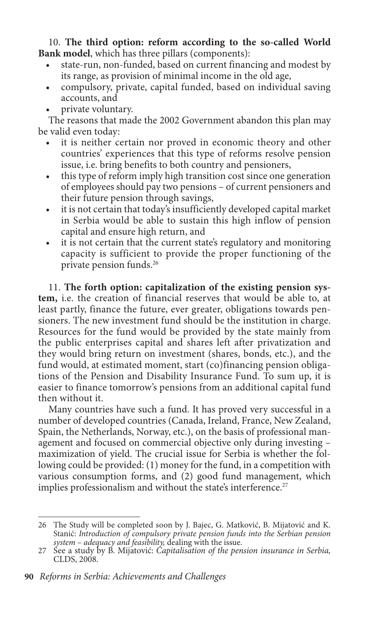10. **The third option: reform according to the so-called World Bank model**, which has three pillars (components):

- state-run, non-funded, based on current financing and modest by its range, as provision of minimal income in the old age,
- • compulsory, private, capital funded, based on individual saving accounts, and
- private voluntary.

The reasons that made the 2002 Government abandon this plan may be valid even today:

- it is neither certain nor proved in economic theory and other countries' experiences that this type of reforms resolve pension issue, i.e. bring benefits to both country and pensioners,
- this type of reform imply high transition cost since one generation of employees should pay two pensions – of current pensioners and their future pension through savings,
- it is not certain that today's insufficiently developed capital market in Serbia would be able to sustain this high inflow of pension capital and ensure high return, and
- it is not certain that the current state's regulatory and monitoring capacity is sufficient to provide the proper functioning of the private pension funds.26

11. **The forth option: capitalization of the existing pension system,** i.e. the creation of financial reserves that would be able to, at least partly, finance the future, ever greater, obligations towards pensioners. The new investment fund should be the institution in charge. Resources for the fund would be provided by the state mainly from the public enterprises capital and shares left after privatization and they would bring return on investment (shares, bonds, etc.), and the fund would, at estimated moment, start (co)financing pension obligations of the Pension and Disability Insurance Fund. To sum up, it is easier to finance tomorrow's pensions from an additional capital fund then without it.

Many countries have such a fund. It has proved very successful in a number of developed countries (Canada, Ireland, France, New Zealand, Spain, the Netherlands, Norway, etc.), on the basis of professional management and focused on commercial objective only during investing – maximization of yield. The crucial issue for Serbia is whether the following could be provided: (1) money for the fund, in a competition with various consumption forms, and (2) good fund management, which implies professionalism and without the state's interference.<sup>27</sup>

<sup>26</sup> The Study will be completed soon by J. Bajec, G. Matković, B. Mijatović and K. Stanić: *Introduction of compulsory private pension funds into the Serbian pension system – adequacy and feasibility,* dealing with the issue.

<sup>27</sup> See a study by B. Mijatović: *Capitalisation of the pension insurance in Serbia,*  CLDS, 2008.

**<sup>90</sup>** *Reforms in Serbia: Achievements and Challenges*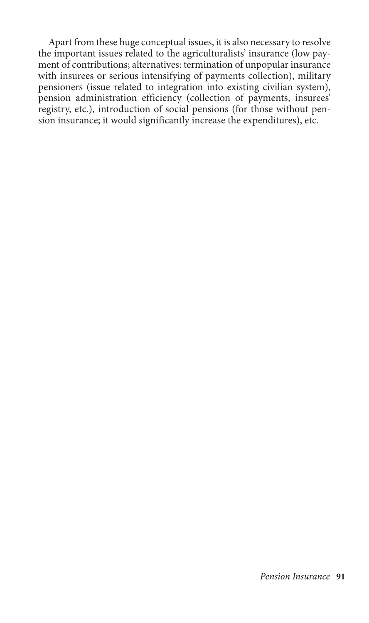Apart from these huge conceptual issues, it is also necessary to resolve the important issues related to the agriculturalists' insurance (low payment of contributions; alternatives: termination of unpopular insurance with insurees or serious intensifying of payments collection), military pensioners (issue related to integration into existing civilian system), pension administration efficiency (collection of payments, insurees' registry, etc.), introduction of social pensions (for those without pension insurance; it would significantly increase the expenditures), etc.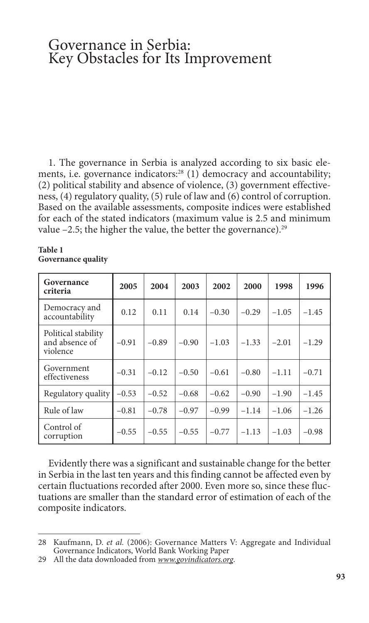# Governance in Serbia: Key Obstacles for Its Improvement

1. The governance in Serbia is analyzed according to six basic elements, i.e. governance indicators:<sup>28</sup> (1) democracy and accountability; (2) political stability and absence of violence, (3) government effectiveness, (4) regulatory quality, (5) rule of law and (6) control of corruption. Based on the available assessments, composite indices were established for each of the stated indicators (maximum value is 2.5 and minimum value  $-2.5$ ; the higher the value, the better the governance).<sup>29</sup>

#### **Table 1 Governance quality**

| Governance<br>criteria                            | 2005    | 2004    | 2003    | 2002    | 2000    | 1998    | 1996    |
|---------------------------------------------------|---------|---------|---------|---------|---------|---------|---------|
| Democracy and<br>accountability                   | 0.12    | 0.11    | 0.14    | $-0.30$ | $-0.29$ | $-1.05$ | $-1.45$ |
| Political stability<br>and absence of<br>violence | $-0.91$ | $-0.89$ | $-0.90$ | $-1.03$ | $-1.33$ | $-2.01$ | $-1.29$ |
| Government<br>effectiveness                       | $-0.31$ | $-0.12$ | $-0.50$ | $-0.61$ | $-0.80$ | $-1.11$ | $-0.71$ |
| Regulatory quality                                | $-0.53$ | $-0.52$ | $-0.68$ | $-0.62$ | $-0.90$ | $-1.90$ | $-1.45$ |
| Rule of law                                       | $-0.81$ | $-0.78$ | $-0.97$ | $-0.99$ | $-1.14$ | $-1.06$ | $-1.26$ |
| Control of<br>corruption                          | $-0.55$ | $-0.55$ | $-0.55$ | $-0.77$ | $-1.13$ | $-1.03$ | $-0.98$ |

Evidently there was a significant and sustainable change for the better in Serbia in the last ten years and this finding cannot be affected even by certain fluctuations recorded after 2000. Even more so, since these fluctuations are smaller than the standard error of estimation of each of the composite indicators.

<sup>28</sup> Kaufmann, D. *et al.* (2006): Governance Matters V: Aggregate and Individual Governance Indicators, World Bank Working Paper

<sup>29</sup> All the data downloaded from *www.govindicators.org*.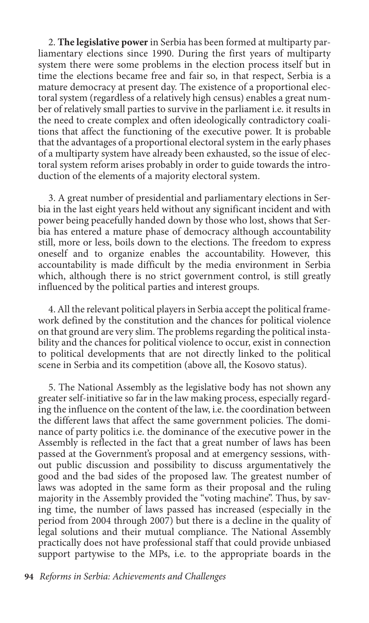2. **The legislative power** in Serbia has been formed at multiparty parliamentary elections since 1990. During the first years of multiparty system there were some problems in the election process itself but in time the elections became free and fair so, in that respect, Serbia is a mature democracy at present day. The existence of a proportional electoral system (regardless of a relatively high census) enables a great number of relatively small parties to survive in the parliament i.e. it results in the need to create complex and often ideologically contradictory coalitions that affect the functioning of the executive power. It is probable that the advantages of a proportional electoral system in the early phases of a multiparty system have already been exhausted, so the issue of electoral system reform arises probably in order to guide towards the introduction of the elements of a majority electoral system.

3. A great number of presidential and parliamentary elections in Serbia in the last eight years held without any significant incident and with power being peacefully handed down by those who lost, shows that Serbia has entered a mature phase of democracy although accountability still, more or less, boils down to the elections. The freedom to express oneself and to organize enables the accountability. However, this accountability is made difficult by the media environment in Serbia which, although there is no strict government control, is still greatly influenced by the political parties and interest groups.

4. All the relevant political players in Serbia accept the political framework defined by the constitution and the chances for political violence on that ground are very slim. The problems regarding the political instability and the chances for political violence to occur, exist in connection to political developments that are not directly linked to the political scene in Serbia and its competition (above all, the Kosovo status).

5. The National Assembly as the legislative body has not shown any greater self-initiative so far in the law making process, especially regarding the influence on the content of the law, i.e. the coordination between the different laws that affect the same government policies. The dominance of party politics i.e. the dominance of the executive power in the Assembly is reflected in the fact that a great number of laws has been passed at the Government's proposal and at emergency sessions, without public discussion and possibility to discuss argumentatively the good and the bad sides of the proposed law. The greatest number of laws was adopted in the same form as their proposal and the ruling majority in the Assembly provided the "voting machine". Thus, by saving time, the number of laws passed has increased (especially in the period from 2004 through 2007) but there is a decline in the quality of legal solutions and their mutual compliance. The National Assembly practically does not have professional staff that could provide unbiased support partywise to the MPs, i.e. to the appropriate boards in the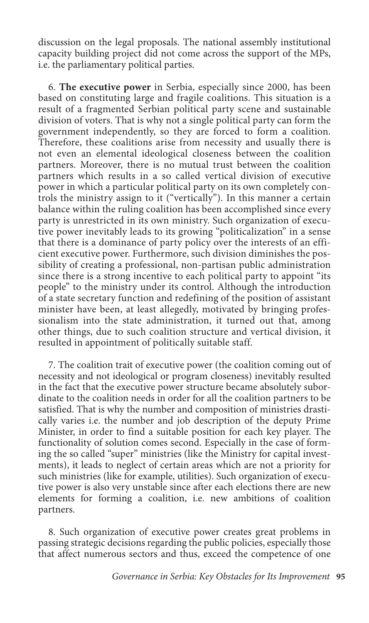discussion on the legal proposals. The national assembly institutional capacity building project did not come across the support of the MPs, i.e. the parliamentary political parties.

6. **The executive power** in Serbia, especially since 2000, has been based on constituting large and fragile coalitions. This situation is a result of a fragmented Serbian political party scene and sustainable division of voters. That is why not a single political party can form the government independently, so they are forced to form a coalition. Therefore, these coalitions arise from necessity and usually there is not even an elemental ideological closeness between the coalition partners. Moreover, there is no mutual trust between the coalition partners which results in a so called vertical division of executive power in which a particular political party on its own completely controls the ministry assign to it ("vertically"). In this manner a certain balance within the ruling coalition has been accomplished since every party is unrestricted in its own ministry. Such organization of executive power inevitably leads to its growing "politicalization" in a sense that there is a dominance of party policy over the interests of an efficient executive power. Furthermore, such division diminishes the possibility of creating a professional, non-partisan public administration since there is a strong incentive to each political party to appoint "its people" to the ministry under its control. Although the introduction of a state secretary function and redefining of the position of assistant minister have been, at least allegedly, motivated by bringing professionalism into the state administration, it turned out that, among other things, due to such coalition structure and vertical division, it resulted in appointment of politically suitable staff.

7. The coalition trait of executive power (the coalition coming out of necessity and not ideological or program closeness) inevitably resulted in the fact that the executive power structure became absolutely subordinate to the coalition needs in order for all the coalition partners to be satisfied. That is why the number and composition of ministries drastically varies i.e. the number and job description of the deputy Prime Minister, in order to find a suitable position for each key player. The functionality of solution comes second. Especially in the case of forming the so called "super" ministries (like the Ministry for capital investments), it leads to neglect of certain areas which are not a priority for such ministries (like for example, utilities). Such organization of executive power is also very unstable since after each elections there are new elements for forming a coalition, i.e. new ambitions of coalition partners.

8. Such organization of executive power creates great problems in passing strategic decisions regarding the public policies, especially those that affect numerous sectors and thus, exceed the competence of one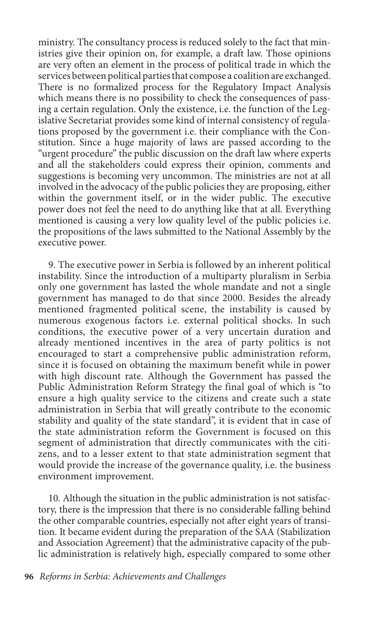ministry. The consultancy process is reduced solely to the fact that ministries give their opinion on, for example, a draft law. Those opinions are very often an element in the process of political trade in which the services between political parties that compose a coalition are exchanged. There is no formalized process for the Regulatory Impact Analysis which means there is no possibility to check the consequences of passing a certain regulation. Only the existence, i.e. the function of the Legislative Secretariat provides some kind of internal consistency of regulations proposed by the government i.e. their compliance with the Constitution. Since a huge majority of laws are passed according to the "urgent procedure" the public discussion on the draft law where experts and all the stakeholders could express their opinion, comments and suggestions is becoming very uncommon. The ministries are not at all involved in the advocacy of the public policies they are proposing, either within the government itself, or in the wider public. The executive power does not feel the need to do anything like that at all. Everything mentioned is causing a very low quality level of the public policies i.e. the propositions of the laws submitted to the National Assembly by the executive power.

9. The executive power in Serbia is followed by an inherent political instability. Since the introduction of a multiparty pluralism in Serbia only one government has lasted the whole mandate and not a single government has managed to do that since 2000. Besides the already mentioned fragmented political scene, the instability is caused by numerous exogenous factors i.e. external political shocks. In such conditions, the executive power of a very uncertain duration and already mentioned incentives in the area of party politics is not encouraged to start a comprehensive public administration reform, since it is focused on obtaining the maximum benefit while in power with high discount rate. Although the Government has passed the Public Administration Reform Strategy the final goal of which is "to ensure a high quality service to the citizens and create such a state administration in Serbia that will greatly contribute to the economic stability and quality of the state standard", it is evident that in case of the state administration reform the Government is focused on this segment of administration that directly communicates with the citizens, and to a lesser extent to that state administration segment that would provide the increase of the governance quality, i.e. the business environment improvement.

10. Although the situation in the public administration is not satisfactory, there is the impression that there is no considerable falling behind the other comparable countries, especially not after eight years of transition. It became evident during the preparation of the SAA (Stabilization and Association Agreement) that the administrative capacity of the public administration is relatively high, especially compared to some other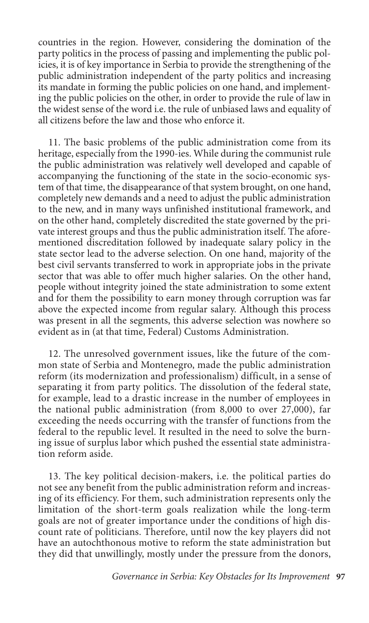countries in the region. However, considering the domination of the party politics in the process of passing and implementing the public policies, it is of key importance in Serbia to provide the strengthening of the public administration independent of the party politics and increasing its mandate in forming the public policies on one hand, and implementing the public policies on the other, in order to provide the rule of law in the widest sense of the word i.e. the rule of unbiased laws and equality of all citizens before the law and those who enforce it.

11. The basic problems of the public administration come from its heritage, especially from the 1990-ies. While during the communist rule the public administration was relatively well developed and capable of accompanying the functioning of the state in the socio-economic system of that time, the disappearance of that system brought, on one hand, completely new demands and a need to adjust the public administration to the new, and in many ways unfinished institutional framework, and on the other hand, completely discredited the state governed by the private interest groups and thus the public administration itself. The aforementioned discreditation followed by inadequate salary policy in the state sector lead to the adverse selection. On one hand, majority of the best civil servants transferred to work in appropriate jobs in the private sector that was able to offer much higher salaries. On the other hand, people without integrity joined the state administration to some extent and for them the possibility to earn money through corruption was far above the expected income from regular salary. Although this process was present in all the segments, this adverse selection was nowhere so evident as in (at that time, Federal) Customs Administration.

12. The unresolved government issues, like the future of the common state of Serbia and Montenegro, made the public administration reform (its modernization and professionalism) difficult, in a sense of separating it from party politics. The dissolution of the federal state, for example, lead to a drastic increase in the number of employees in the national public administration (from 8,000 to over 27,000), far exceeding the needs occurring with the transfer of functions from the federal to the republic level. It resulted in the need to solve the burning issue of surplus labor which pushed the essential state administration reform aside.

13. The key political decision-makers, i.e. the political parties do not see any benefit from the public administration reform and increasing of its efficiency. For them, such administration represents only the limitation of the short-term goals realization while the long-term goals are not of greater importance under the conditions of high discount rate of politicians. Therefore, until now the key players did not have an autochthonous motive to reform the state administration but they did that unwillingly, mostly under the pressure from the donors,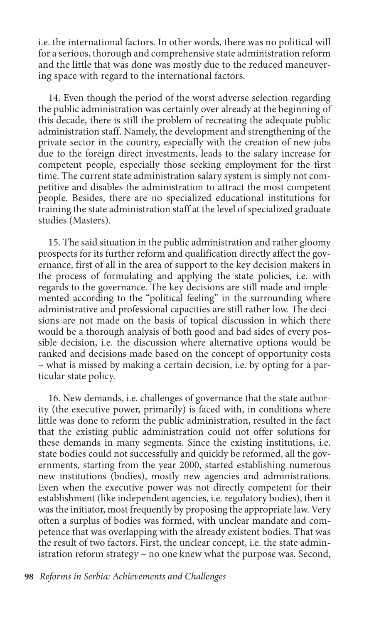i.e. the international factors. In other words, there was no political will for a serious, thorough and comprehensive state administration reform and the little that was done was mostly due to the reduced maneuvering space with regard to the international factors.

14. Even though the period of the worst adverse selection regarding the public administration was certainly over already at the beginning of this decade, there is still the problem of recreating the adequate public administration staff. Namely, the development and strengthening of the private sector in the country, especially with the creation of new jobs due to the foreign direct investments, leads to the salary increase for competent people, especially those seeking employment for the first time. The current state administration salary system is simply not competitive and disables the administration to attract the most competent people. Besides, there are no specialized educational institutions for training the state administration staff at the level of specialized graduate studies (Masters).

15. The said situation in the public administration and rather gloomy prospects for its further reform and qualification directly affect the governance, first of all in the area of support to the key decision makers in the process of formulating and applying the state policies, i.e. with regards to the governance. The key decisions are still made and implemented according to the "political feeling" in the surrounding where administrative and professional capacities are still rather low. The decisions are not made on the basis of topical discussion in which there would be a thorough analysis of both good and bad sides of every possible decision, i.e. the discussion where alternative options would be ranked and decisions made based on the concept of opportunity costs – what is missed by making a certain decision, i.e. by opting for a particular state policy.

16. New demands, i.e. challenges of governance that the state authority (the executive power, primarily) is faced with, in conditions where little was done to reform the public administration, resulted in the fact that the existing public administration could not offer solutions for these demands in many segments. Since the existing institutions, i.e. state bodies could not successfully and quickly be reformed, all the governments, starting from the year 2000, started establishing numerous new institutions (bodies), mostly new agencies and administrations. Even when the executive power was not directly competent for their establishment (like independent agencies, i.e. regulatory bodies), then it was the initiator, most frequently by proposing the appropriate law. Very often a surplus of bodies was formed, with unclear mandate and competence that was overlapping with the already existent bodies. That was the result of two factors. First, the unclear concept, i.e. the state administration reform strategy – no one knew what the purpose was. Second,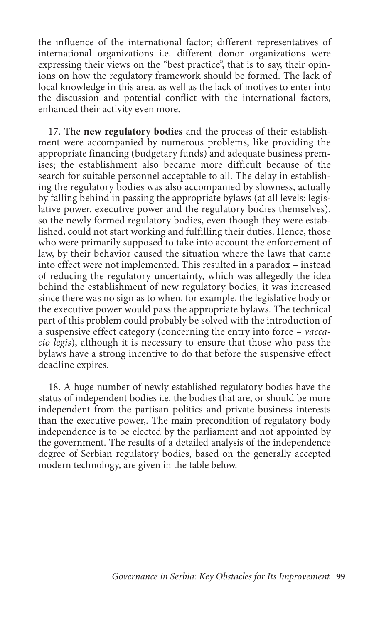the influence of the international factor; different representatives of international organizations i.e. different donor organizations were expressing their views on the "best practice", that is to say, their opinions on how the regulatory framework should be formed. The lack of local knowledge in this area, as well as the lack of motives to enter into the discussion and potential conflict with the international factors, enhanced their activity even more.

17. The **new regulatory bodies** and the process of their establishment were accompanied by numerous problems, like providing the appropriate financing (budgetary funds) and adequate business premises; the establishment also became more difficult because of the search for suitable personnel acceptable to all. The delay in establishing the regulatory bodies was also accompanied by slowness, actually by falling behind in passing the appropriate bylaws (at all levels: legislative power, executive power and the regulatory bodies themselves), so the newly formed regulatory bodies, even though they were established, could not start working and fulfilling their duties. Hence, those who were primarily supposed to take into account the enforcement of law, by their behavior caused the situation where the laws that came into effect were not implemented. This resulted in a paradox – instead of reducing the regulatory uncertainty, which was allegedly the idea behind the establishment of new regulatory bodies, it was increased since there was no sign as to when, for example, the legislative body or the executive power would pass the appropriate bylaws. The technical part of this problem could probably be solved with the introduction of a suspensive effect category (concerning the entry into force – *vaccacio legis*), although it is necessary to ensure that those who pass the bylaws have a strong incentive to do that before the suspensive effect deadline expires.

18. A huge number of newly established regulatory bodies have the status of independent bodies i.e. the bodies that are, or should be more independent from the partisan politics and private business interests than the executive power,. The main precondition of regulatory body independence is to be elected by the parliament and not appointed by the government. The results of a detailed analysis of the independence degree of Serbian regulatory bodies, based on the generally accepted modern technology, are given in the table below.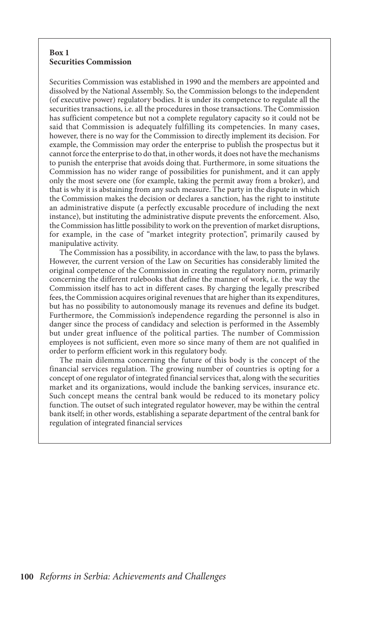#### **Box 1 Securities Commission**

Securities Commission was established in 1990 and the members are appointed and dissolved by the National Assembly. So, the Commission belongs to the independent (of executive power) regulatory bodies. It is under its competence to regulate all the securities transactions, i.e. all the procedures in those transactions. The Commission has sufficient competence but not a complete regulatory capacity so it could not be said that Commission is adequately fulfilling its competencies. In many cases, however, there is no way for the Commission to directly implement its decision. For example, the Commission may order the enterprise to publish the prospectus but it cannot force the enterprise to do that, in other words, it does not have the mechanisms to punish the enterprise that avoids doing that. Furthermore, in some situations the Commission has no wider range of possibilities for punishment, and it can apply only the most severe one (for example, taking the permit away from a broker), and that is why it is abstaining from any such measure. The party in the dispute in which the Commission makes the decision or declares a sanction, has the right to institute an administrative dispute (a perfectly excusable procedure of including the next instance), but instituting the administrative dispute prevents the enforcement. Also, the Commission has little possibility to work on the prevention of market disruptions, for example, in the case of "market integrity protection", primarily caused by manipulative activity.

The Commission has a possibility, in accordance with the law, to pass the bylaws. However, the current version of the Law on Securities has considerably limited the original competence of the Commission in creating the regulatory norm, primarily concerning the different rulebooks that define the manner of work, i.e. the way the Commission itself has to act in different cases. By charging the legally prescribed fees, the Commission acquires original revenues that are higher than its expenditures, but has no possibility to autonomously manage its revenues and define its budget. Furthermore, the Commission's independence regarding the personnel is also in danger since the process of candidacy and selection is performed in the Assembly but under great influence of the political parties. The number of Commission employees is not sufficient, even more so since many of them are not qualified in order to perform efficient work in this regulatory body.

The main dilemma concerning the future of this body is the concept of the financial services regulation. The growing number of countries is opting for a concept of one regulator of integrated financial services that, along with the securities market and its organizations, would include the banking services, insurance etc. Such concept means the central bank would be reduced to its monetary policy function. The outset of such integrated regulator however, may be within the central bank itself; in other words, establishing a separate department of the central bank for regulation of integrated financial services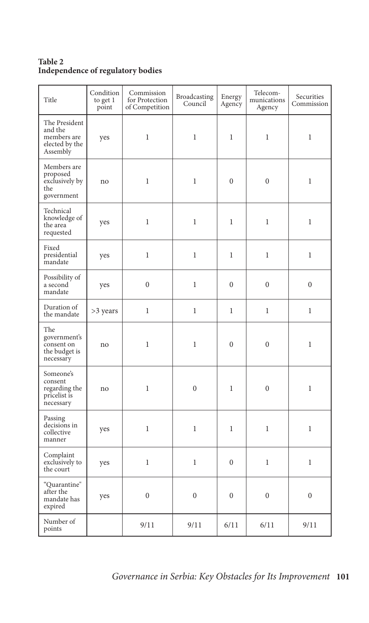## **Table 2 Independence of regulatory bodies**

| Title                                                                 | Condition<br>to get 1<br>point | Commission<br>for Protection<br>of Competition | Broadcasting<br>Council | Energy<br>Agency | Telecom-<br>munications<br>Agency | Securities<br>Commission |
|-----------------------------------------------------------------------|--------------------------------|------------------------------------------------|-------------------------|------------------|-----------------------------------|--------------------------|
| The President<br>and the<br>members are<br>elected by the<br>Assembly | yes                            | $\mathbf{1}$                                   | $\mathbf{1}$            | 1                | $\mathbf{1}$                      | $\mathbf{1}$             |
| Members are<br>proposed<br>exclusively by<br>the<br>government        | no                             | $\mathbf{1}$                                   | $\mathbf{1}$            | $\mathbf{0}$     | $\boldsymbol{0}$                  | $\mathbf{1}$             |
| Technical<br>knowledge of<br>the area<br>requested                    | yes                            | $\mathbf{1}$                                   | $\mathbf{1}$            | $\mathbf{1}$     | $\mathbf{1}$                      | $\mathbf{1}$             |
| Fixed<br>presidential<br>mandate                                      | yes                            | $\mathbf{1}$                                   | $\,1$                   | $\mathbf{1}$     | $\mathbf{1}$                      | $\mathbf{1}$             |
| Possibility of<br>a second<br>mandate                                 | yes                            | $\mathbf{0}$                                   | $\mathbf{1}$            | $\mathbf{0}$     | $\overline{0}$                    | $\overline{0}$           |
| Duration of<br>the mandate                                            | >3 years                       | $\mathbf{1}$                                   | $\mathbf{1}$            | $\mathbf{1}$     | $\mathbf{1}$                      | $\mathbf{1}$             |
| The<br>government's<br>consent on<br>the budget is<br>necessary       | no                             | $\mathbf{1}$                                   | $\mathbf{1}$            | $\mathbf{0}$     | $\boldsymbol{0}$                  | $\mathbf{1}$             |
| Someone's<br>consent<br>regarding the<br>pricelist is<br>necessary    | no                             | $\mathbf{1}$                                   | $\mathbf{0}$            | $\mathbf{1}$     | $\overline{0}$                    | $\mathbf{1}$             |
| Passing<br>decisions in<br>collective<br>manner                       | yes                            | $\mathbf{1}$                                   | $\mathbf{1}$            | $\mathbf{1}$     | $\mathbf{1}$                      | $\mathbf{1}$             |
| Complaint<br>exclusively to<br>the court                              | yes                            | $\mathbf{1}$                                   | $\mathbf{1}$            | $\overline{0}$   | $\mathbf{1}$                      | $\mathbf{1}$             |
| "Quarantine"<br>after the<br>mandate has<br>expired                   | yes                            | $\boldsymbol{0}$                               | $\mathbf{0}$            | $\mathbf{0}$     | $\overline{0}$                    | $\overline{0}$           |
| Number of<br>points                                                   |                                | 9/11                                           | 9/11                    | 6/11             | 6/11                              | 9/11                     |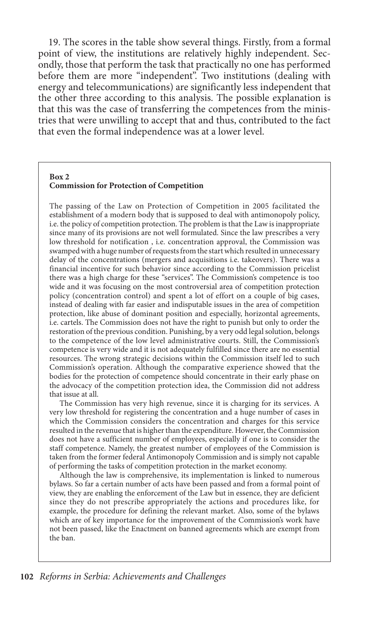19. The scores in the table show several things. Firstly, from a formal point of view, the institutions are relatively highly independent. Secondly, those that perform the task that practically no one has performed before them are more "independent". Two institutions (dealing with energy and telecommunications) are significantly less independent that the other three according to this analysis. The possible explanation is that this was the case of transferring the competences from the ministries that were unwilling to accept that and thus, contributed to the fact that even the formal independence was at a lower level.

#### **Box 2 Commission for Protection of Competition**

The passing of the Law on Protection of Competition in 2005 facilitated the establishment of a modern body that is supposed to deal with antimonopoly policy, i.e. the policy of competition protection. The problem is that the Law is inappropriate since many of its provisions are not well formulated. Since the law prescribes a very low threshold for notification , i.e. concentration approval, the Commission was swamped with a huge number of requests from the start which resulted in unnecessary delay of the concentrations (mergers and acquisitions i.e. takeovers). There was a financial incentive for such behavior since according to the Commission pricelist there was a high charge for these "services". The Commission's competence is too wide and it was focusing on the most controversial area of competition protection policy (concentration control) and spent a lot of effort on a couple of big cases, instead of dealing with far easier and indisputable issues in the area of competition protection, like abuse of dominant position and especially, horizontal agreements, i.e. cartels. The Commission does not have the right to punish but only to order the restoration of the previous condition. Punishing, by a very odd legal solution, belongs to the competence of the low level administrative courts. Still, the Commission's competence is very wide and it is not adequately fulfilled since there are no essential resources. The wrong strategic decisions within the Commission itself led to such Commission's operation. Although the comparative experience showed that the bodies for the protection of competence should concentrate in their early phase on the advocacy of the competition protection idea, the Commission did not address that issue at all.

The Commission has very high revenue, since it is charging for its services. A very low threshold for registering the concentration and a huge number of cases in which the Commission considers the concentration and charges for this service resulted in the revenue that is higher than the expenditure. However, the Commission does not have a sufficient number of employees, especially if one is to consider the staff competence. Namely, the greatest number of employees of the Commission is taken from the former federal Antimonopoly Commission and is simply not capable of performing the tasks of competition protection in the market economy.

Although the law is comprehensive, its implementation is linked to numerous bylaws. So far a certain number of acts have been passed and from a formal point of view, they are enabling the enforcement of the Law but in essence, they are deficient since they do not prescribe appropriately the actions and procedures like, for example, the procedure for defining the relevant market. Also, some of the bylaws which are of key importance for the improvement of the Commission's work have not been passed, like the Enactment on banned agreements which are exempt from the ban.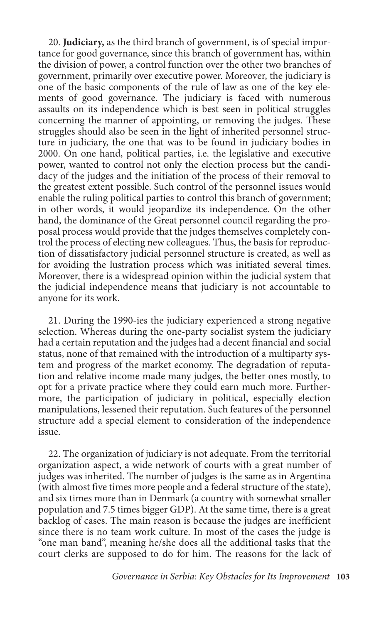20. **Judiciary,** as the third branch of government, is of special importance for good governance, since this branch of government has, within the division of power, a control function over the other two branches of government, primarily over executive power. Moreover, the judiciary is one of the basic components of the rule of law as one of the key elements of good governance. The judiciary is faced with numerous assaults on its independence which is best seen in political struggles concerning the manner of appointing, or removing the judges. These struggles should also be seen in the light of inherited personnel structure in judiciary, the one that was to be found in judiciary bodies in 2000. On one hand, political parties, i.e. the legislative and executive power, wanted to control not only the election process but the candidacy of the judges and the initiation of the process of their removal to the greatest extent possible. Such control of the personnel issues would enable the ruling political parties to control this branch of government; in other words, it would jeopardize its independence. On the other hand, the dominance of the Great personnel council regarding the proposal process would provide that the judges themselves completely control the process of electing new colleagues. Thus, the basis for reproduction of dissatisfactory judicial personnel structure is created, as well as for avoiding the lustration process which was initiated several times. Moreover, there is a widespread opinion within the judicial system that the judicial independence means that judiciary is not accountable to anyone for its work.

21. During the 1990-ies the judiciary experienced a strong negative selection. Whereas during the one-party socialist system the judiciary had a certain reputation and the judges had a decent financial and social status, none of that remained with the introduction of a multiparty system and progress of the market economy. The degradation of reputation and relative income made many judges, the better ones mostly, to opt for a private practice where they could earn much more. Furthermore, the participation of judiciary in political, especially election manipulations, lessened their reputation. Such features of the personnel structure add a special element to consideration of the independence issue.

22. The organization of judiciary is not adequate. From the territorial organization aspect, a wide network of courts with a great number of judges was inherited. The number of judges is the same as in Argentina (with almost five times more people and a federal structure of the state), and six times more than in Denmark (a country with somewhat smaller population and 7.5 times bigger GDP). At the same time, there is a great backlog of cases. The main reason is because the judges are inefficient since there is no team work culture. In most of the cases the judge is "one man band", meaning he/she does all the additional tasks that the court clerks are supposed to do for him. The reasons for the lack of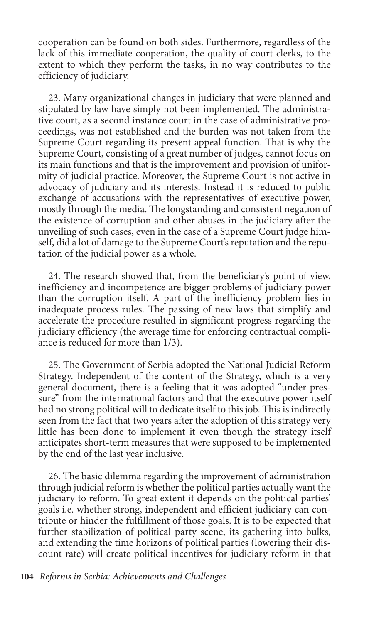cooperation can be found on both sides. Furthermore, regardless of the lack of this immediate cooperation, the quality of court clerks, to the extent to which they perform the tasks, in no way contributes to the efficiency of judiciary.

23. Many organizational changes in judiciary that were planned and stipulated by law have simply not been implemented. The administrative court, as a second instance court in the case of administrative proceedings, was not established and the burden was not taken from the Supreme Court regarding its present appeal function. That is why the Supreme Court, consisting of a great number of judges, cannot focus on its main functions and that is the improvement and provision of uniformity of judicial practice. Moreover, the Supreme Court is not active in advocacy of judiciary and its interests. Instead it is reduced to public exchange of accusations with the representatives of executive power, mostly through the media. The longstanding and consistent negation of the existence of corruption and other abuses in the judiciary after the unveiling of such cases, even in the case of a Supreme Court judge himself, did a lot of damage to the Supreme Court's reputation and the reputation of the judicial power as a whole.

24. The research showed that, from the beneficiary's point of view, inefficiency and incompetence are bigger problems of judiciary power than the corruption itself. A part of the inefficiency problem lies in inadequate process rules. The passing of new laws that simplify and accelerate the procedure resulted in significant progress regarding the judiciary efficiency (the average time for enforcing contractual compliance is reduced for more than 1/3).

25. The Government of Serbia adopted the National Judicial Reform Strategy. Independent of the content of the Strategy, which is a very general document, there is a feeling that it was adopted "under pressure" from the international factors and that the executive power itself had no strong political will to dedicate itself to this job. This is indirectly seen from the fact that two years after the adoption of this strategy very little has been done to implement it even though the strategy itself anticipates short-term measures that were supposed to be implemented by the end of the last year inclusive.

26. The basic dilemma regarding the improvement of administration through judicial reform is whether the political parties actually want the judiciary to reform. To great extent it depends on the political parties' goals i.e. whether strong, independent and efficient judiciary can contribute or hinder the fulfillment of those goals. It is to be expected that further stabilization of political party scene, its gathering into bulks, and extending the time horizons of political parties (lowering their discount rate) will create political incentives for judiciary reform in that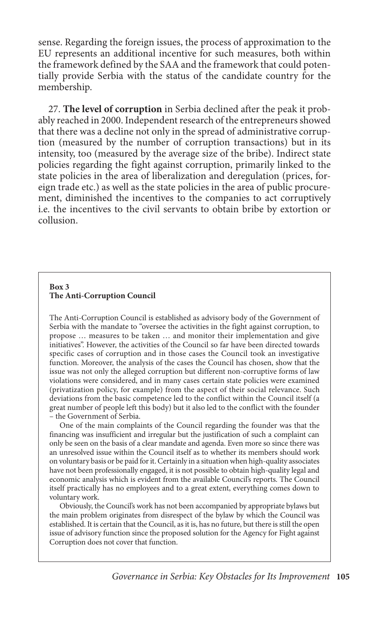sense. Regarding the foreign issues, the process of approximation to the EU represents an additional incentive for such measures, both within the framework defined by the SAA and the framework that could potentially provide Serbia with the status of the candidate country for the membership.

27. **The level of corruption** in Serbia declined after the peak it probably reached in 2000. Independent research of the entrepreneurs showed that there was a decline not only in the spread of administrative corruption (measured by the number of corruption transactions) but in its intensity, too (measured by the average size of the bribe). Indirect state policies regarding the fight against corruption, primarily linked to the state policies in the area of liberalization and deregulation (prices, foreign trade etc.) as well as the state policies in the area of public procurement, diminished the incentives to the companies to act corruptively i.e. the incentives to the civil servants to obtain bribe by extortion or collusion.

### **Box 3 The Anti-Corruption Council**

The Anti-Corruption Council is established as advisory body of the Government of Serbia with the mandate to "oversee the activities in the fight against corruption, to propose … measures to be taken … and monitor their implementation and give initiatives". However, the activities of the Council so far have been directed towards specific cases of corruption and in those cases the Council took an investigative function. Moreover, the analysis of the cases the Council has chosen, show that the issue was not only the alleged corruption but different non-corruptive forms of law violations were considered, and in many cases certain state policies were examined (privatization policy, for example) from the aspect of their social relevance. Such deviations from the basic competence led to the conflict within the Council itself (a great number of people left this body) but it also led to the conflict with the founder – the Government of Serbia.

One of the main complaints of the Council regarding the founder was that the financing was insufficient and irregular but the justification of such a complaint can only be seen on the basis of a clear mandate and agenda. Even more so since there was an unresolved issue within the Council itself as to whether its members should work on voluntary basis or be paid for it. Certainly in a situation when high-quality associates have not been professionally engaged, it is not possible to obtain high-quality legal and economic analysis which is evident from the available Council's reports. The Council itself practically has no employees and to a great extent, everything comes down to voluntary work.

Obviously, the Council's work has not been accompanied by appropriate bylaws but the main problem originates from disrespect of the bylaw by which the Council was established. It is certain that the Council, as it is, has no future, but there is still the open issue of advisory function since the proposed solution for the Agency for Fight against Corruption does not cover that function.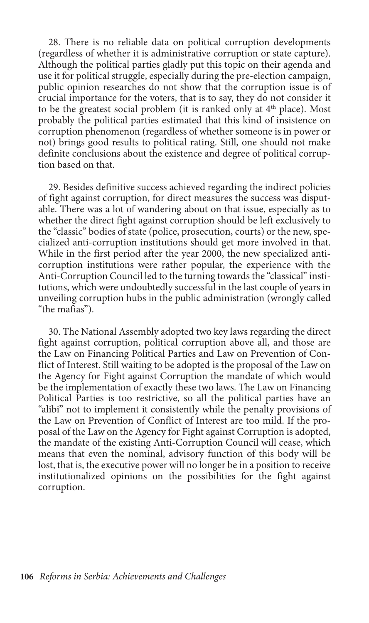28. There is no reliable data on political corruption developments (regardless of whether it is administrative corruption or state capture). Although the political parties gladly put this topic on their agenda and use it for political struggle, especially during the pre-election campaign, public opinion researches do not show that the corruption issue is of crucial importance for the voters, that is to say, they do not consider it to be the greatest social problem (it is ranked only at  $4<sup>th</sup>$  place). Most probably the political parties estimated that this kind of insistence on corruption phenomenon (regardless of whether someone is in power or not) brings good results to political rating. Still, one should not make definite conclusions about the existence and degree of political corruption based on that.

29. Besides definitive success achieved regarding the indirect policies of fight against corruption, for direct measures the success was disputable. There was a lot of wandering about on that issue, especially as to whether the direct fight against corruption should be left exclusively to the "classic" bodies of state (police, prosecution, courts) or the new, specialized anti-corruption institutions should get more involved in that. While in the first period after the year 2000, the new specialized anticorruption institutions were rather popular, the experience with the Anti-Corruption Council led to the turning towards the "classical" institutions, which were undoubtedly successful in the last couple of years in unveiling corruption hubs in the public administration (wrongly called "the mafias").

30. The National Assembly adopted two key laws regarding the direct fight against corruption, political corruption above all, and those are the Law on Financing Political Parties and Law on Prevention of Conflict of Interest. Still waiting to be adopted is the proposal of the Law on the Agency for Fight against Corruption the mandate of which would be the implementation of exactly these two laws. The Law on Financing Political Parties is too restrictive, so all the political parties have an "alibi" not to implement it consistently while the penalty provisions of the Law on Prevention of Conflict of Interest are too mild. If the proposal of the Law on the Agency for Fight against Corruption is adopted, the mandate of the existing Anti-Corruption Council will cease, which means that even the nominal, advisory function of this body will be lost, that is, the executive power will no longer be in a position to receive institutionalized opinions on the possibilities for the fight against corruption.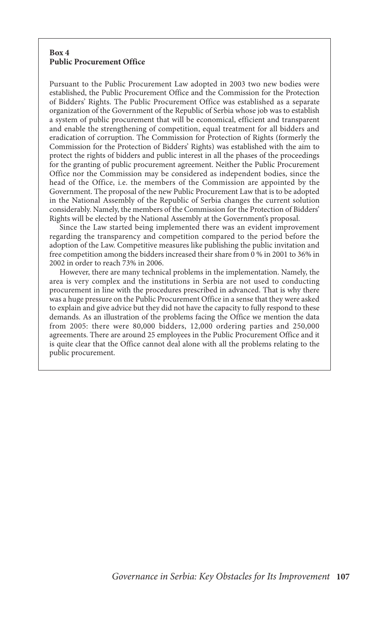#### **Box 4 Public Procurement Office**

Pursuant to the Public Procurement Law adopted in 2003 two new bodies were established, the Public Procurement Office and the Commission for the Protection of Bidders' Rights. The Public Procurement Office was established as a separate organization of the Government of the Republic of Serbia whose job was to establish a system of public procurement that will be economical, efficient and transparent and enable the strengthening of competition, equal treatment for all bidders and eradication of corruption. The Commission for Protection of Rights (formerly the Commission for the Protection of Bidders' Rights) was established with the aim to protect the rights of bidders and public interest in all the phases of the proceedings for the granting of public procurement agreement. Neither the Public Procurement Office nor the Commission may be considered as independent bodies, since the head of the Office, i.e. the members of the Commission are appointed by the Government. The proposal of the new Public Procurement Law that is to be adopted in the National Assembly of the Republic of Serbia changes the current solution considerably. Namely, the members of the Commission for the Protection of Bidders' Rights will be elected by the National Assembly at the Government's proposal.

Since the Law started being implemented there was an evident improvement regarding the transparency and competition compared to the period before the adoption of the Law. Competitive measures like publishing the public invitation and free competition among the bidders increased their share from 0 % in 2001 to 36% in 2002 in order to reach 73% in 2006.

However, there are many technical problems in the implementation. Namely, the area is very complex and the institutions in Serbia are not used to conducting procurement in line with the procedures prescribed in advanced. That is why there was a huge pressure on the Public Procurement Office in a sense that they were asked to explain and give advice but they did not have the capacity to fully respond to these demands. As an illustration of the problems facing the Office we mention the data from 2005: there were 80,000 bidders, 12,000 ordering parties and 250,000 agreements. There are around 25 employees in the Public Procurement Office and it is quite clear that the Office cannot deal alone with all the problems relating to the public procurement.